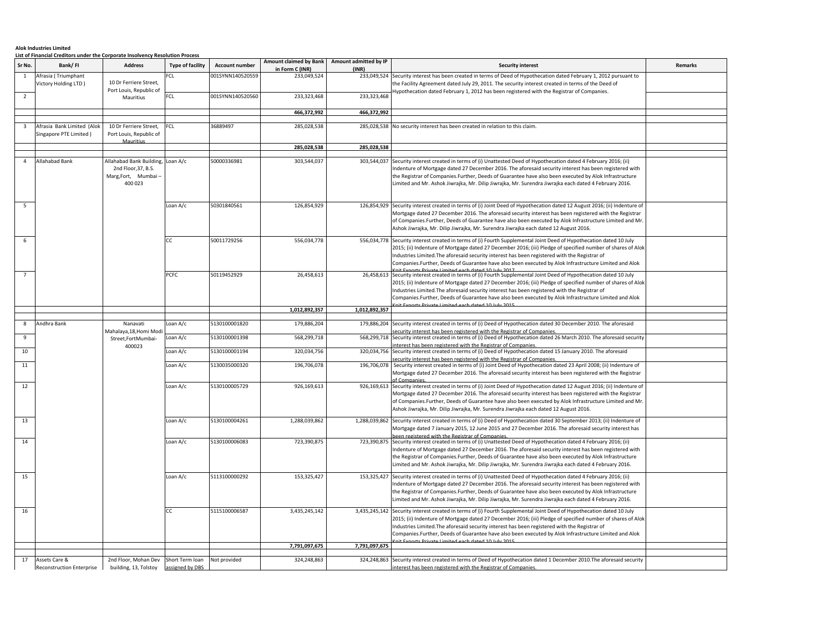## **Alok Industries Limited**

|                         | <b>List of Financial Creditors under the Corporate Insolvency Resolution Process</b> |                                                                                           |                         |                       |                 |                                                       |                                                                                                                                                                                                                                                                                                                                                                                                                                                       |         |
|-------------------------|--------------------------------------------------------------------------------------|-------------------------------------------------------------------------------------------|-------------------------|-----------------------|-----------------|-------------------------------------------------------|-------------------------------------------------------------------------------------------------------------------------------------------------------------------------------------------------------------------------------------------------------------------------------------------------------------------------------------------------------------------------------------------------------------------------------------------------------|---------|
| Sr No.                  | Bank/FI                                                                              | <b>Address</b>                                                                            | <b>Type of facility</b> | <b>Account number</b> | in Form C (INR) | Amount claimed by Bank Amount admitted by IP<br>(INR) | <b>Security interest</b>                                                                                                                                                                                                                                                                                                                                                                                                                              | Remarks |
| 1                       | Afrasia (Triumphant<br>Victory Holding LTD)                                          | 10 Dr Ferriere Street,<br>Port Louis, Republic of                                         | C1                      | 001SYNN140520559      | 233,049,524     |                                                       | 233,049,524 Security interest has been created in terms of Deed of Hypothecation dated February 1, 2012 pursuant to<br>the Facility Agreement dated July 29, 2011. The security interest created in terms of the Deed of                                                                                                                                                                                                                              |         |
| $\overline{2}$          |                                                                                      | Mauritius                                                                                 | FCL                     | 001SYNN140520560      | 233,323,468     | 233,323,468                                           | lypothecation dated February 1, 2012 has been registered with the Registrar of Companies.                                                                                                                                                                                                                                                                                                                                                             |         |
|                         |                                                                                      |                                                                                           |                         |                       | 466,372,992     | 466,372,992                                           |                                                                                                                                                                                                                                                                                                                                                                                                                                                       |         |
|                         |                                                                                      |                                                                                           |                         |                       |                 |                                                       |                                                                                                                                                                                                                                                                                                                                                                                                                                                       |         |
| $\overline{\mathbf{3}}$ | Afrasia Bank Limited (Alok<br>Singapore PTE Limited)                                 | 10 Dr Ferriere Street,<br>Port Louis, Republic of<br>Mauritius                            | FCL                     | 36889497              | 285,028,538     |                                                       | 285,028,538 No security interest has been created in relation to this claim.                                                                                                                                                                                                                                                                                                                                                                          |         |
|                         |                                                                                      |                                                                                           |                         |                       | 285,028,538     | 285,028,538                                           |                                                                                                                                                                                                                                                                                                                                                                                                                                                       |         |
| $\overline{4}$          | <b>Allahabad Bank</b>                                                                | Allahabad Bank Building, Loan A/c<br>2nd Floor, 37, B.S.<br>Marg,Fort, Mumbai-<br>400 023 |                         | 50000336981           | 303,544,037     | 303,544,037                                           | Security interest created in terms of (i) Unattested Deed of Hypothecation dated 4 February 2016; (ii)<br>ndenture of Mortgage dated 27 December 2016. The aforesaid security interest has been registered with<br>the Registrar of Companies.Further, Deeds of Guarantee have also been executed by Alok Infrastructure<br>Limited and Mr. Ashok Jiwrajka, Mr. Dilip Jiwrajka, Mr. Surendra Jiwrajka each dated 4 February 2016.                     |         |
| 5                       |                                                                                      |                                                                                           | Loan A/c                | 50301840561           | 126,854,929     |                                                       | 126,854,929 Security interest created in terms of (i) Joint Deed of Hypothecation dated 12 August 2016; (ii) Indenture o<br>Mortgage dated 27 December 2016. The aforesaid security interest has been registered with the Registrar<br>of Companies.Further, Deeds of Guarantee have also been executed by Alok Infrastructure Limited and Mr<br>Ashok Jiwrajka, Mr. Dilip Jiwrajka, Mr. Surendra Jiwrajka each dated 12 August 2016.                 |         |
| 6                       |                                                                                      |                                                                                           | <b>CC</b>               | 50011729256           | 556,034,778     | 556,034,778                                           | Security interest created in terms of (i) Fourth Supplemental Joint Deed of Hypothecation dated 10 July<br>2015; (ii) Indenture of Mortgage dated 27 December 2016; (iii) Pledge of specified number of shares of Alok<br>Industries Limited. The aforesaid security interest has been registered with the Registrar of<br>Companies.Further, Deeds of Guarantee have also been executed by Alok Infrastructure Limited and Alok<br>atod 10 July 2017 |         |
|                         |                                                                                      |                                                                                           | PCFC                    | 50119452929           | 26,458,613      | 26,458,613                                            | Security interest created in terms of (i) Fourth Supplemental Joint Deed of Hypothecation dated 10 July<br>2015; (ii) Indenture of Mortgage dated 27 December 2016; (iii) Pledge of specified number of shares of Alok<br>Industries Limited. The aforesaid security interest has been registered with the Registrar of<br>Companies.Further, Deeds of Guarantee have also been executed by Alok Infrastructure Limited and Alok                      |         |
|                         |                                                                                      |                                                                                           |                         |                       | 1,012,892,357   | 1,012,892,357                                         |                                                                                                                                                                                                                                                                                                                                                                                                                                                       |         |
| 8                       | Andhra Bank                                                                          | Nanavati                                                                                  | oan A/c                 | 5130100001820         | 179,886,204     | 179,886,204                                           | Security interest created in terms of (i) Deed of Hypothecation dated 30 December 2010. The aforesaid                                                                                                                                                                                                                                                                                                                                                 |         |
|                         |                                                                                      | Mahalaya,18,Homi Mod                                                                      |                         |                       |                 |                                                       | curity interest has been registered with the Registrar of Companies.                                                                                                                                                                                                                                                                                                                                                                                  |         |
| 9                       |                                                                                      | Street,FortMumbai-<br>400023                                                              | oan A/c                 | 5130100001398         | 568,299,718     | 568,299,718                                           | Security interest created in terms of (i) Deed of Hypothecation dated 26 March 2010. The aforesaid security<br>nterest has been registered with the Registrar of Companies.                                                                                                                                                                                                                                                                           |         |
| 10                      |                                                                                      |                                                                                           | oan A/c                 | 5130100001194         | 320,034,756     | 320,034,756                                           | Security interest created in terms of (i) Deed of Hypothecation dated 15 January 2010. The aforesaid<br>curity interest has been registered with the Registrar of Companies.                                                                                                                                                                                                                                                                          |         |
| 11                      |                                                                                      |                                                                                           | oan A/c                 | 5130035000320         | 196,706,078     | 196,706,078                                           | Security interest created in terms of (i) Joint Deed of Hypothecation dated 23 April 2008; (ii) Indenture of<br>Mortgage dated 27 December 2016. The aforesaid security interest has been registered with the Registrar<br>f Comnani                                                                                                                                                                                                                  |         |
| 12                      |                                                                                      |                                                                                           | oan A/c                 | 5130100005729         | 926,169,613     | 926,169,613                                           | Security interest created in terms of (i) Joint Deed of Hypothecation dated 12 August 2016; (ii) Indenture of<br>Mortgage dated 27 December 2016. The aforesaid security interest has been registered with the Registrar<br>of Companies.Further, Deeds of Guarantee have also been executed by Alok Infrastructure Limited and Mr<br>Ashok Jiwrajka, Mr. Dilip Jiwrajka, Mr. Surendra Jiwrajka each dated 12 August 2016.                            |         |
| 13                      |                                                                                      |                                                                                           | oan A/c                 | 5130100004261         | 1,288,039,862   |                                                       | 1,288,039,862 Security interest created in terms of (i) Deed of Hypothecation dated 30 September 2013; (ii) Indenture of<br>Mortgage dated 7 January 2015, 12 June 2015 and 27 December 2016. The aforesaid security interest has<br>en registered with the Registrar of Companies                                                                                                                                                                    |         |
| 14                      |                                                                                      |                                                                                           | oan A/c                 | 5130100006083         | 723,390,875     | 723,390,875                                           | Security interest created in terms of (i) Unattested Deed of Hypothecation dated 4 February 2016; (ii)<br>ndenture of Mortgage dated 27 December 2016. The aforesaid security interest has been registered with<br>the Registrar of Companies.Further, Deeds of Guarantee have also been executed by Alok Infrastructure<br>Limited and Mr. Ashok Jiwrajka, Mr. Dilip Jiwrajka, Mr. Surendra Jiwrajka each dated 4 February 2016.                     |         |
| 15                      |                                                                                      |                                                                                           | Loan A/c                | 5113100000292         | 153,325,427     | 153,325,427                                           | Security interest created in terms of (i) Unattested Deed of Hypothecation dated 4 February 2016; (ii)<br>Indenture of Mortgage dated 27 December 2016. The aforesaid security interest has been registered with<br>the Registrar of Companies.Further, Deeds of Guarantee have also been executed by Alok Infrastructure<br>Limited and Mr. Ashok Jiwrajka, Mr. Dilip Jiwrajka, Mr. Surendra Jiwrajka each dated 4 February 2016.                    |         |
| 16                      |                                                                                      |                                                                                           | СC                      | 5115100006587         | 3,435,245,142   | 3,435,245,142                                         | Security interest created in terms of (i) Fourth Supplemental Joint Deed of Hypothecation dated 10 July<br>2015; (ii) Indenture of Mortgage dated 27 December 2016; (iii) Pledge of specified number of shares of Alok<br>Industries Limited. The aforesaid security interest has been registered with the Registrar of<br>Companies. Further, Deeds of Guarantee have also been executed by Alok Infrastructure Limited and Alok                     |         |
|                         |                                                                                      |                                                                                           |                         |                       | 7,791,097,675   | 7,791,097,675                                         |                                                                                                                                                                                                                                                                                                                                                                                                                                                       |         |
| 17                      | Assets Care &                                                                        | 2nd Floor, Mohan Dev                                                                      | Short Term loan         | Not provided          | 324,248,863     | 324,248,863                                           | Security interest created in terms of Deed of Hypothecation dated 1 December 2010. The aforesaid security                                                                                                                                                                                                                                                                                                                                             |         |
|                         | <b>Reconstruction Enterprise</b>                                                     | building, 13, Tolstoy                                                                     | assigned by DBS         |                       |                 |                                                       | interest has been registered with the Registrar of Companies.                                                                                                                                                                                                                                                                                                                                                                                         |         |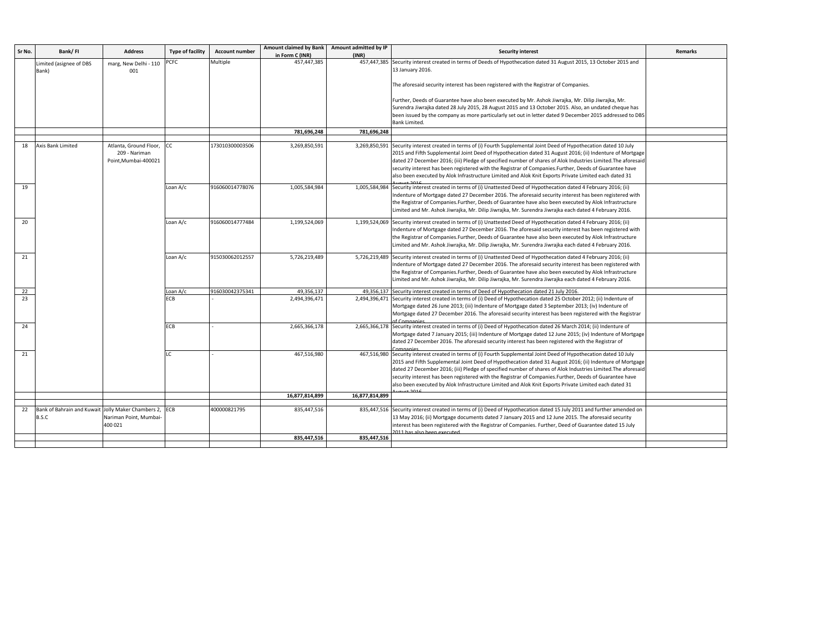| Sr No. | Bank/FI                                                | <b>Address</b>         | <b>Type of facility</b> | <b>Account number</b> | <b>Amount claimed by Bank</b>  | Amount admitted by IP | <b>Security interest</b>                                                                                                                                                                                         | <b>Remarks</b> |
|--------|--------------------------------------------------------|------------------------|-------------------------|-----------------------|--------------------------------|-----------------------|------------------------------------------------------------------------------------------------------------------------------------------------------------------------------------------------------------------|----------------|
|        | Limited (asignee of DBS                                | marg, New Delhi - 110  | <b>PCFC</b>             | Multiple              | in Form C (INR)<br>457,447,385 | (INR)                 | 457,447,385 Security interest created in terms of Deeds of Hypothecation dated 31 August 2015, 13 October 2015 and                                                                                               |                |
|        | Bank)                                                  | 001                    |                         |                       |                                |                       | 13 January 2016.                                                                                                                                                                                                 |                |
|        |                                                        |                        |                         |                       |                                |                       |                                                                                                                                                                                                                  |                |
|        |                                                        |                        |                         |                       |                                |                       | The aforesaid security interest has been registered with the Registrar of Companies.                                                                                                                             |                |
|        |                                                        |                        |                         |                       |                                |                       | Further, Deeds of Guarantee have also been executed by Mr. Ashok Jiwrajka, Mr. Dilip Jiwrajka, Mr.                                                                                                               |                |
|        |                                                        |                        |                         |                       |                                |                       | Surendra Jiwrajka dated 28 July 2015, 28 August 2015 and 13 October 2015. Also, an undated cheque has                                                                                                            |                |
|        |                                                        |                        |                         |                       |                                |                       | been issued by the company as more particularly set out in letter dated 9 December 2015 addressed to DBS                                                                                                         |                |
|        |                                                        |                        |                         |                       |                                |                       | <b>Bank Limited.</b>                                                                                                                                                                                             |                |
|        |                                                        |                        |                         |                       | 781,696,248                    | 781,696,248           |                                                                                                                                                                                                                  |                |
| 18     | Axis Bank Limited                                      | Atlanta, Ground Floor, | CC                      | 173010300003506       | 3,269,850,591                  | 3,269,850,591         | Security interest created in terms of (i) Fourth Supplemental Joint Deed of Hypothecation dated 10 July                                                                                                          |                |
|        |                                                        | 209 - Nariman          |                         |                       |                                |                       | 2015 and Fifth Supplemental Joint Deed of Hypothecation dated 31 August 2016; (ii) Indenture of Mortgage                                                                                                         |                |
|        |                                                        | Point, Mumbai-400021   |                         |                       |                                |                       | dated 27 December 2016; (iii) Pledge of specified number of shares of Alok Industries Limited. The aforesaid                                                                                                     |                |
|        |                                                        |                        |                         |                       |                                |                       | security interest has been registered with the Registrar of Companies. Further, Deeds of Guarantee have                                                                                                          |                |
|        |                                                        |                        |                         |                       |                                |                       | also been executed by Alok Infrastructure Limited and Alok Knit Exports Private Limited each dated 31                                                                                                            |                |
| 19     |                                                        |                        | Loan A/c                | 916060014778076       | 1,005,584,984                  | 1,005,584,984         | Security interest created in terms of (i) Unattested Deed of Hypothecation dated 4 February 2016; (ii)                                                                                                           |                |
|        |                                                        |                        |                         |                       |                                |                       | Indenture of Mortgage dated 27 December 2016. The aforesaid security interest has been registered with                                                                                                           |                |
|        |                                                        |                        |                         |                       |                                |                       | the Registrar of Companies.Further, Deeds of Guarantee have also been executed by Alok Infrastructure                                                                                                            |                |
|        |                                                        |                        |                         |                       |                                |                       | Limited and Mr. Ashok Jiwrajka, Mr. Dilip Jiwrajka, Mr. Surendra Jiwrajka each dated 4 February 2016.                                                                                                            |                |
| 20     |                                                        |                        | Loan A/c                | 916060014777484       | 1,199,524,069                  |                       | 1,199,524,069 Security interest created in terms of (i) Unattested Deed of Hypothecation dated 4 February 2016; (ii)                                                                                             |                |
|        |                                                        |                        |                         |                       |                                |                       | Indenture of Mortgage dated 27 December 2016. The aforesaid security interest has been registered with                                                                                                           |                |
|        |                                                        |                        |                         |                       |                                |                       | the Registrar of Companies.Further, Deeds of Guarantee have also been executed by Alok Infrastructure                                                                                                            |                |
|        |                                                        |                        |                         |                       |                                |                       | Limited and Mr. Ashok Jiwrajka, Mr. Dilip Jiwrajka, Mr. Surendra Jiwrajka each dated 4 February 2016.                                                                                                            |                |
| 21     |                                                        |                        | Loan A/c                | 915030062012557       | 5,726,219,489                  |                       | 5,726,219,489 Security interest created in terms of (i) Unattested Deed of Hypothecation dated 4 February 2016; (ii)                                                                                             |                |
|        |                                                        |                        |                         |                       |                                |                       | Indenture of Mortgage dated 27 December 2016. The aforesaid security interest has been registered with                                                                                                           |                |
|        |                                                        |                        |                         |                       |                                |                       | the Registrar of Companies.Further, Deeds of Guarantee have also been executed by Alok Infrastructure                                                                                                            |                |
|        |                                                        |                        |                         |                       |                                |                       | Limited and Mr. Ashok Jiwrajka, Mr. Dilip Jiwrajka, Mr. Surendra Jiwrajka each dated 4 February 2016.                                                                                                            |                |
| 22     |                                                        |                        | Loan A/c                | 916030042375341       | 49,356,137                     |                       | 49,356,137 Security interest created in terms of Deed of Hypothecation dated 21 July 2016.                                                                                                                       |                |
| 23     |                                                        |                        | ECB                     |                       | 2,494,396,471                  |                       | 2,494,396,471 Security interest created in terms of (i) Deed of Hypothecation dated 25 October 2012; (ii) Indenture of                                                                                           |                |
|        |                                                        |                        |                         |                       |                                |                       | Mortgage dated 26 June 2013; (iii) Indenture of Mortgage dated 3 September 2013; (iv) Indenture of                                                                                                               |                |
|        |                                                        |                        |                         |                       |                                |                       | Mortgage dated 27 December 2016. The aforesaid security interest has been registered with the Registrar                                                                                                          |                |
| 24     |                                                        |                        | ECB                     |                       | 2,665,366,178                  |                       | 2,665,366,178 Security interest created in terms of (i) Deed of Hypothecation dated 26 March 2014; (ii) Indenture of                                                                                             |                |
|        |                                                        |                        |                         |                       |                                |                       | Mortgage dated 7 January 2015; (iii) Indenture of Mortgage dated 12 June 2015; (iv) Indenture of Mortgage                                                                                                        |                |
|        |                                                        |                        |                         |                       |                                |                       | dated 27 December 2016. The aforesaid security interest has been registered with the Registrar of                                                                                                                |                |
|        |                                                        |                        |                         |                       |                                |                       |                                                                                                                                                                                                                  |                |
| 21     |                                                        |                        | LC                      |                       | 467,516,980                    |                       | 467,516,980 Security interest created in terms of (i) Fourth Supplemental Joint Deed of Hypothecation dated 10 July                                                                                              |                |
|        |                                                        |                        |                         |                       |                                |                       | 2015 and Fifth Supplemental Joint Deed of Hypothecation dated 31 August 2016; (ii) Indenture of Mortgage                                                                                                         |                |
|        |                                                        |                        |                         |                       |                                |                       | dated 27 December 2016; (iii) Pledge of specified number of shares of Alok Industries Limited. The aforesaic                                                                                                     |                |
|        |                                                        |                        |                         |                       |                                |                       | security interest has been registered with the Registrar of Companies. Further, Deeds of Guarantee have<br>also been executed by Alok Infrastructure Limited and Alok Knit Exports Private Limited each dated 31 |                |
|        |                                                        |                        |                         |                       |                                |                       |                                                                                                                                                                                                                  |                |
|        |                                                        |                        |                         |                       | 16,877,814,899                 | 16,877,814,899        |                                                                                                                                                                                                                  |                |
| 22     | Bank of Bahrain and Kuwait Jolly Maker Chambers 2, ECB |                        |                         | 400000821795          | 835,447,516                    |                       | 835,447,516 Security interest created in terms of (i) Deed of Hypothecation dated 15 July 2011 and further amended on                                                                                            |                |
|        | B.S.C                                                  | Nariman Point, Mumbai- |                         |                       |                                |                       | 13 May 2016; (ii) Mortgage documents dated 7 January 2015 and 12 June 2015. The aforesaid security                                                                                                               |                |
|        |                                                        | 400 021                |                         |                       |                                |                       | interest has been registered with the Registrar of Companies. Further, Deed of Guarantee dated 15 July                                                                                                           |                |
|        |                                                        |                        |                         |                       | 835.447.516                    | 835,447,516           | 011 has also heen everuted                                                                                                                                                                                       |                |
|        |                                                        |                        |                         |                       |                                |                       |                                                                                                                                                                                                                  |                |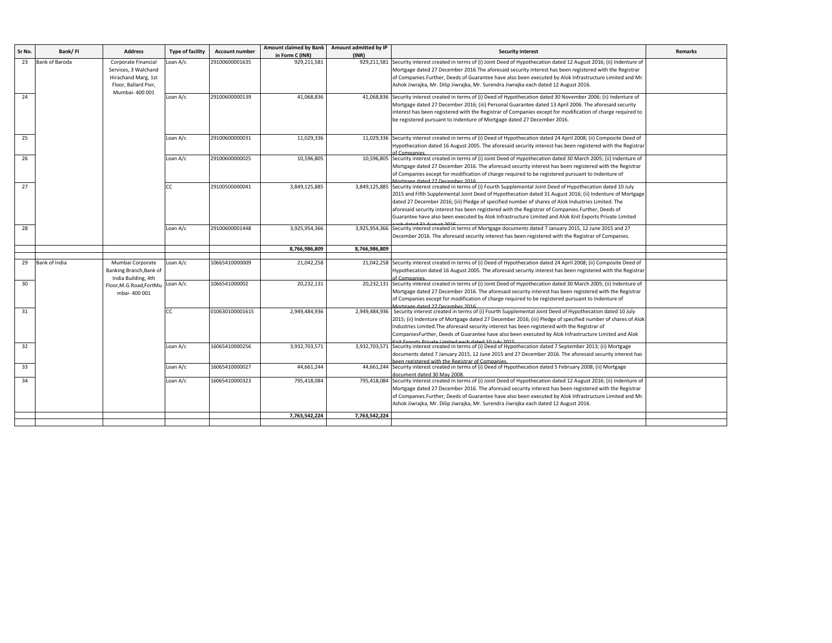| Sr No. | Bank/FI        | <b>Address</b>                                 | <b>Type of facility</b> | <b>Account number</b> | <b>Amount claimed by Bank</b> | Amount admitted by IP | <b>Security interest</b>                                                                                                                    | <b>Remarks</b> |
|--------|----------------|------------------------------------------------|-------------------------|-----------------------|-------------------------------|-----------------------|---------------------------------------------------------------------------------------------------------------------------------------------|----------------|
|        |                |                                                |                         |                       | in Form C (INR)               | (INR)                 |                                                                                                                                             |                |
| 23     | Bank of Baroda | Corporate Financial                            | oan A/c                 | 29100600001635        | 929,211,581                   | 929,211,581           | Security interest created in terms of (i) Joint Deed of Hypothecation dated 12 August 2016; (ii) Indenture of                               |                |
|        |                | Services, 3 Walchand                           |                         |                       |                               |                       | Mortgage dated 27 December 2016. The aforesaid security interest has been registered with the Registrar                                     |                |
|        |                | Hirachand Marg, 1st                            |                         |                       |                               |                       | of Companies.Further, Deeds of Guarantee have also been executed by Alok Infrastructure Limited and Mr                                      |                |
|        |                | Floor, Ballard Pier,                           |                         |                       |                               |                       | Ashok Jiwrajka, Mr. Dilip Jiwrajka, Mr. Surendra Jiwrajka each dated 12 August 2016.                                                        |                |
| 24     |                | Mumbai- 400 001                                | Loan A/c                | 29100600000139        | 41,068,836                    | 41,068,836            | Security interest created in terms of (i) Deed of Hypothecation dated 30 November 2006; (ii) Indenture of                                   |                |
|        |                |                                                |                         |                       |                               |                       | Mortgage dated 27 December 2016; (iii) Personal Guarantee dated 13 April 2006. The aforesaid security                                       |                |
|        |                |                                                |                         |                       |                               |                       | interest has been registered with the Registrar of Companies except for modification of charge required to                                  |                |
|        |                |                                                |                         |                       |                               |                       | be registered pursuant to Indenture of Mortgage dated 27 December 2016.                                                                     |                |
|        |                |                                                |                         |                       |                               |                       |                                                                                                                                             |                |
| 25     |                |                                                | Loan A/c                | 29100600000031        | 11,029,336                    |                       | 11,029,336 Security interest created in terms of (i) Deed of Hypothecation dated 24 April 2008; (ii) Composite Deed of                      |                |
|        |                |                                                |                         |                       |                               |                       | Hypothecation dated 16 August 2005. The aforesaid security interest has been registered with the Registrai                                  |                |
|        |                |                                                |                         |                       |                               |                       | of Companies                                                                                                                                |                |
| 26     |                |                                                | Loan A/c                | 29100600000025        | 10,596,805                    | 10,596,805            | Security interest created in terms of (i) Joint Deed of Hypothecation dated 30 March 2005; (ii) Indenture of                                |                |
|        |                |                                                |                         |                       |                               |                       | Mortgage dated 27 December 2016. The aforesaid security interest has been registered with the Registrar                                     |                |
|        |                |                                                |                         |                       |                               |                       | of Companies except for modification of charge required to be registered pursuant to Indenture of<br>Mortgage dated 27 December 2016        |                |
| 27     |                |                                                | СC                      | 29100500000041        | 3,849,125,885                 | 3,849,125,885         | Security interest created in terms of (i) Fourth Supplemental Joint Deed of Hypothecation dated 10 July                                     |                |
|        |                |                                                |                         |                       |                               |                       | 2015 and Fifth Supplemental Joint Deed of Hypothecation dated 31 August 2016; (ii) Indenture of Mortgage                                    |                |
|        |                |                                                |                         |                       |                               |                       | dated 27 December 2016; (iii) Pledge of specified number of shares of Alok Industries Limited. The                                          |                |
|        |                |                                                |                         |                       |                               |                       | aforesaid security interest has been registered with the Registrar of Companies. Further, Deeds of                                          |                |
|        |                |                                                |                         |                       |                               |                       | Guarantee have also been executed by Alok Infrastructure Limited and Alok Knit Exports Private Limited                                      |                |
|        |                |                                                |                         |                       |                               |                       |                                                                                                                                             |                |
| 28     |                |                                                | Loan A/c                | 29100600001448        | 3,925,954,366                 |                       | 3,925,954,366 Security interest created in terms of Mortgage documents dated 7 January 2015, 12 June 2015 and 27                            |                |
|        |                |                                                |                         |                       |                               |                       | December 2016. The aforesaid security interest has been registered with the Registrar of Companies.                                         |                |
|        |                |                                                |                         |                       | 8,766,986,809                 | 8,766,986,809         |                                                                                                                                             |                |
|        |                |                                                |                         |                       |                               |                       |                                                                                                                                             |                |
| 29     | Bank of India  | Mumbai Corporate                               | oan A/c                 | 10665410000009        | 21,042,258                    |                       | 21,042,258 Security interest created in terms of (i) Deed of Hypothecation dated 24 April 2008; (ii) Composite Deed of                      |                |
|        |                | Banking Branch, Bank of                        |                         |                       |                               |                       | Hypothecation dated 16 August 2005. The aforesaid security interest has been registered with the Registrar<br>of Companies.                 |                |
| 30     |                | India Building, 4th<br>Floor, M.G.Road, FortMu | Loan A/c                | 1066541000002         | 20,232,131                    | 20,232,131            | Security interest created in terms of (i) Joint Deed of Hypothecation dated 30 March 2005; (ii) Indenture of                                |                |
|        |                | mbai-400 001                                   |                         |                       |                               |                       | Mortgage dated 27 December 2016. The aforesaid security interest has been registered with the Registrar                                     |                |
|        |                |                                                |                         |                       |                               |                       | of Companies except for modification of charge required to be registered pursuant to Indenture of                                           |                |
|        |                |                                                |                         |                       |                               |                       | Mortgage dated 27 December 2016                                                                                                             |                |
| 31     |                |                                                | <b>CC</b>               | 010630100001615       | 2,949,484,936                 | 2,949,484,936         | Security interest created in terms of (i) Fourth Supplemental Joint Deed of Hypothecation dated 10 July                                     |                |
|        |                |                                                |                         |                       |                               |                       | 2015; (ii) Indenture of Mortgage dated 27 December 2016; (iii) Pledge of specified number of shares of Alok                                 |                |
|        |                |                                                |                         |                       |                               |                       | Industries Limited. The aforesaid security interest has been registered with the Registrar of                                               |                |
|        |                |                                                |                         |                       |                               |                       | CompaniesFurther, Deeds of Guarantee have also been executed by Alok Infrastructure Limited and Alok<br>Limited each dated 10 July 2015     |                |
| 32     |                |                                                | Loan A/c                | 16065410000256        | 3,932,703,571                 | 3,932,703,571         | Security interest created in terms of (i) Deed of Hypothecation dated 7 September 2013; (ii) Mortgage                                       |                |
|        |                |                                                |                         |                       |                               |                       | documents dated 7 January 2015, 12 June 2015 and 27 December 2016. The aforesaid security interest has                                      |                |
|        |                |                                                |                         |                       |                               |                       | been registered with the Registrar of Companies.                                                                                            |                |
| 33     |                |                                                | Loan A/c                | 16065410000027        | 44,661,244                    |                       | 44,661,244 Security interest created in terms of (i) Deed of Hypothecation dated 5 February 2008; (ii) Mortgage                             |                |
| 34     |                |                                                | Loan A/c                | 16065410000323        | 795,418,084                   |                       | document dated 30 May 2008<br>Security interest created in terms of (i) Joint Deed of Hypothecation dated 12 August 2016; (ii) Indenture of |                |
|        |                |                                                |                         |                       |                               | 795,418,084           | Mortgage dated 27 December 2016. The aforesaid security interest has been registered with the Registrar                                     |                |
|        |                |                                                |                         |                       |                               |                       | of Companies.Further, Deeds of Guarantee have also been executed by Alok Infrastructure Limited and Mr                                      |                |
|        |                |                                                |                         |                       |                               |                       | Ashok Jiwrajka, Mr. Dilip Jiwrajka, Mr. Surendra Jiwrajka each dated 12 August 2016.                                                        |                |
|        |                |                                                |                         |                       |                               |                       |                                                                                                                                             |                |
|        |                |                                                |                         |                       | 7,763,542,224                 | 7,763,542,224         |                                                                                                                                             |                |
|        |                |                                                |                         |                       |                               |                       |                                                                                                                                             |                |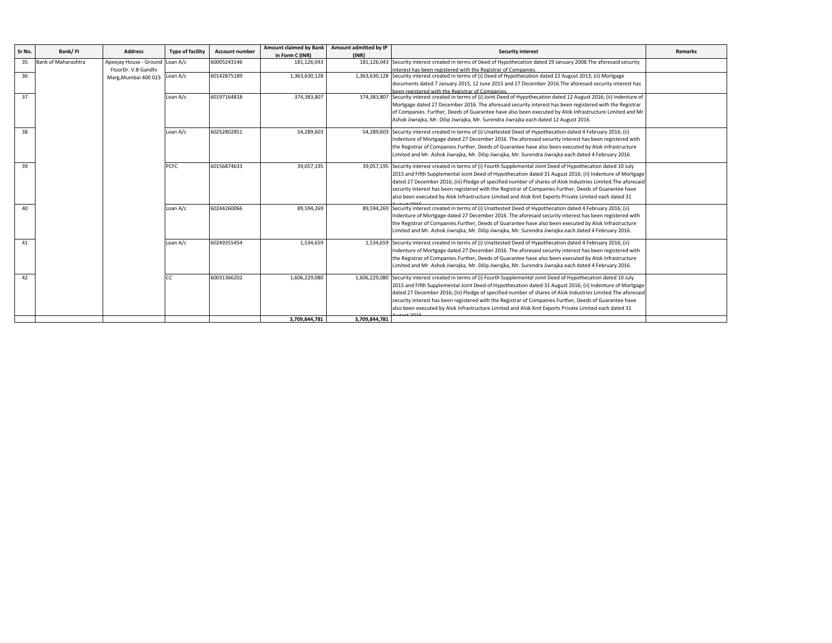| Sr No. | Bank/FI             | <b>Address</b>                  | Type of facility | <b>Account number</b> |                 | Amount claimed by Bank Amount admitted by IP | <b>Security interest</b>                                                                                                  | <b>Remarks</b> |
|--------|---------------------|---------------------------------|------------------|-----------------------|-----------------|----------------------------------------------|---------------------------------------------------------------------------------------------------------------------------|----------------|
|        |                     |                                 |                  |                       | in Form C (INR) | (INR)                                        |                                                                                                                           |                |
| 35     | Bank of Maharashtra | Apeejay House - Ground Loan A/c |                  | 60005243146           | 181,126,043     |                                              | 181,126,043 Security interest created in terms of Deed of Hypothecation dated 29 January 2008. The aforesaid security     |                |
|        |                     | FloorDr. V.B Gandhi             |                  |                       |                 |                                              | interest has been registered with the Registrar of Companies.                                                             |                |
| 36     |                     | Marg, Mumbai 400 023 Loan A/c   |                  | 60142875189           | 1,363,630,128   |                                              | 1,363,630,128 Security interest created in terms of (i) Deed of Hypothecation dated 22 August 2013; (ii) Mortgage         |                |
|        |                     |                                 |                  |                       |                 |                                              | documents dated 7 January 2015, 12 June 2015 and 27 December 2016. The aforesaid security interest has                    |                |
|        |                     |                                 |                  |                       |                 |                                              | heen registered with the Registrar of Companies                                                                           |                |
| 37     |                     |                                 | Loan A/c         | 60197164818           | 374,383,807     |                                              | 374,383,807 Security interest created in terms of (i) Joint Deed of Hypothecation dated 12 August 2016; (ii) Indenture of |                |
|        |                     |                                 |                  |                       |                 |                                              | Mortgage dated 27 December 2016. The aforesaid security interest has been registered with the Registrar                   |                |
|        |                     |                                 |                  |                       |                 |                                              | of Companies. Further, Deeds of Guarantee have also been executed by Alok Infrastructure Limited and Mr                   |                |
|        |                     |                                 |                  |                       |                 |                                              | Ashok Jiwrajka, Mr. Dilip Jiwrajka, Mr. Surendra Jiwrajka each dated 12 August 2016.                                      |                |
| 38     |                     |                                 | Loan A/c         | 60252802851           | 54,289,603      | 54,289,603                                   | Security interest created in terms of (i) Unattested Deed of Hypothecation dated 4 February 2016; (ii)                    |                |
|        |                     |                                 |                  |                       |                 |                                              | Indenture of Mortgage dated 27 December 2016. The aforesaid security interest has been registered with                    |                |
|        |                     |                                 |                  |                       |                 |                                              | the Registrar of Companies.Further, Deeds of Guarantee have also been executed by Alok Infrastructure                     |                |
|        |                     |                                 |                  |                       |                 |                                              |                                                                                                                           |                |
|        |                     |                                 |                  |                       |                 |                                              | Limited and Mr. Ashok Jiwrajka, Mr. Dilip Jiwrajka, Mr. Surendra Jiwrajka each dated 4 February 2016.                     |                |
| 39     |                     |                                 | PCFC             | 60156874633           | 39,057,195      |                                              | 39,057,195 Security interest created in terms of (i) Fourth Supplemental Joint Deed of Hypothecation dated 10 July        |                |
|        |                     |                                 |                  |                       |                 |                                              | 2015 and Fifth Supplemental Joint Deed of Hypothecation dated 31 August 2016; (ii) Indenture of Mortgage                  |                |
|        |                     |                                 |                  |                       |                 |                                              | dated 27 December 2016; (iii) Pledge of specified number of shares of Alok Industries Limited. The aforesaid              |                |
|        |                     |                                 |                  |                       |                 |                                              | security interest has been registered with the Registrar of Companies. Further, Deeds of Guarantee have                   |                |
|        |                     |                                 |                  |                       |                 |                                              | also been executed by Alok Infrastructure Limited and Alok Knit Exports Private Limited each dated 31                     |                |
|        |                     |                                 |                  |                       |                 |                                              |                                                                                                                           |                |
| 40     |                     |                                 | Loan A/c         | 60244260066           | 89,594,269      |                                              | 89,594,269 Security interest created in terms of (i) Unattested Deed of Hypothecation dated 4 February 2016; (ii)         |                |
|        |                     |                                 |                  |                       |                 |                                              | Indenture of Mortgage dated 27 December 2016. The aforesaid security interest has been registered with                    |                |
|        |                     |                                 |                  |                       |                 |                                              | the Registrar of Companies.Further, Deeds of Guarantee have also been executed by Alok Infrastructure                     |                |
|        |                     |                                 |                  |                       |                 |                                              | Limited and Mr. Ashok Jiwrajka, Mr. Dilip Jiwrajka, Mr. Surendra Jiwrajka each dated 4 February 2016.                     |                |
| 41     |                     |                                 | Loan A/c         | 60249355454           | 1,534,659       |                                              | 1,534,659 Security interest created in terms of (i) Unattested Deed of Hypothecation dated 4 February 2016; (ii)          |                |
|        |                     |                                 |                  |                       |                 |                                              |                                                                                                                           |                |
|        |                     |                                 |                  |                       |                 |                                              | Indenture of Mortgage dated 27 December 2016. The aforesaid security interest has been registered with                    |                |
|        |                     |                                 |                  |                       |                 |                                              | the Registrar of Companies.Further, Deeds of Guarantee have also been executed by Alok Infrastructure                     |                |
|        |                     |                                 |                  |                       |                 |                                              | Limited and Mr. Ashok Jiwrajka, Mr. Dilip Jiwrajka, Mr. Surendra Jiwrajka each dated 4 February 2016.                     |                |
| 42     |                     |                                 | CC               | 60031366202           | 1,606,229,080   |                                              | 1,606,229,080 Security interest created in terms of (i) Fourth Supplemental Joint Deed of Hypothecation dated 10 July     |                |
|        |                     |                                 |                  |                       |                 |                                              | 2015 and Fifth Supplemental Joint Deed of Hypothecation dated 31 August 2016; (ii) Indenture of Mortgage                  |                |
|        |                     |                                 |                  |                       |                 |                                              | dated 27 December 2016; (iii) Pledge of specified number of shares of Alok Industries Limited. The aforesaic              |                |
|        |                     |                                 |                  |                       |                 |                                              | security interest has been registered with the Registrar of Companies. Further, Deeds of Guarantee have                   |                |
|        |                     |                                 |                  |                       |                 |                                              | also been executed by Alok Infrastructure Limited and Alok Knit Exports Private Limited each dated 31                     |                |
|        |                     |                                 |                  |                       |                 |                                              |                                                                                                                           |                |
|        |                     |                                 |                  |                       | 3.709.844.781   | 3,709,844,781                                |                                                                                                                           |                |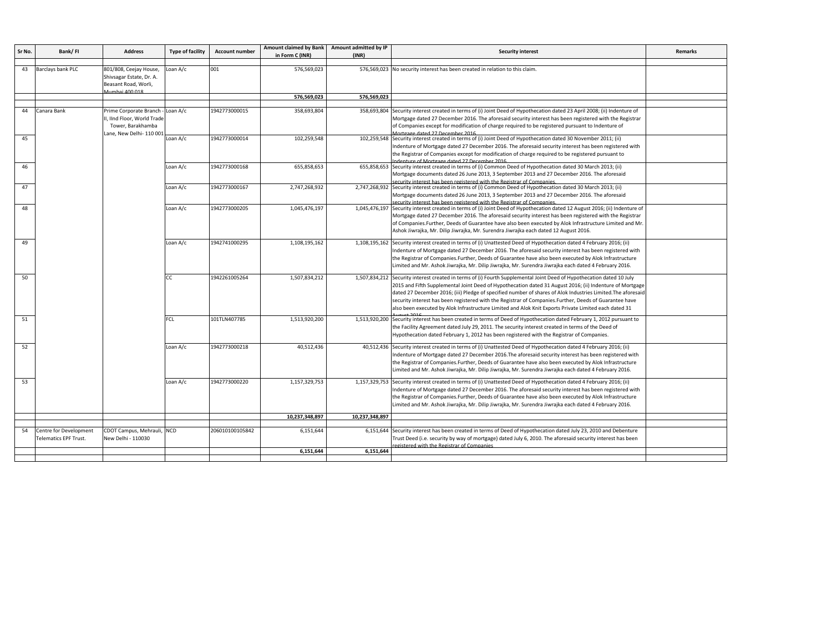| Sr No. | Bank/FI                      | <b>Address</b>                         | <b>Type of facility</b> | <b>Account number</b> | <b>Amount claimed by Bank</b> | Amount admitted by IP | <b>Security interest</b>                                                                                                                                            | Remarks |
|--------|------------------------------|----------------------------------------|-------------------------|-----------------------|-------------------------------|-----------------------|---------------------------------------------------------------------------------------------------------------------------------------------------------------------|---------|
|        |                              |                                        |                         |                       | in Form C (INR)               | (INR)                 |                                                                                                                                                                     |         |
| 43     | Barclays bank PLC            | 801/808, Ceejay House,                 | oan A/c                 | 001                   | 576,569,023                   |                       | 576,569,023 No security interest has been created in relation to this claim.                                                                                        |         |
|        |                              | Shivsagar Estate, Dr. A.               |                         |                       |                               |                       |                                                                                                                                                                     |         |
|        |                              | Beasant Road, Worli,<br>Aumhai 400.018 |                         |                       |                               |                       |                                                                                                                                                                     |         |
|        |                              |                                        |                         |                       | 576,569,023                   | 576.569.023           |                                                                                                                                                                     |         |
|        |                              |                                        |                         |                       |                               |                       |                                                                                                                                                                     |         |
| 44     | Canara Bank                  | Prime Corporate Branch -               | oan A/c                 | 1942773000015         | 358,693,804                   |                       | 358,693,804 Security interest created in terms of (i) Joint Deed of Hypothecation dated 23 April 2008; (ii) Indenture of                                            |         |
|        |                              | II, IInd Floor, World Trade            |                         |                       |                               |                       | Mortgage dated 27 December 2016. The aforesaid security interest has been registered with the Registrar                                                             |         |
|        |                              | Tower, Barakhamba                      |                         |                       |                               |                       | of Companies except for modification of charge required to be registered pursuant to Indenture of<br>Mortgage dated 27 December 2016                                |         |
| 45     |                              | Lane, New Delhi- 110 001               | Loan A/c                | 1942773000014         | 102,259,548                   | 102,259,548           | Security interest created in terms of (i) Joint Deed of Hypothecation dated 30 November 2011; (ii)                                                                  |         |
|        |                              |                                        |                         |                       |                               |                       | Indenture of Mortgage dated 27 December 2016. The aforesaid security interest has been registered with                                                              |         |
|        |                              |                                        |                         |                       |                               |                       | the Registrar of Companies except for modification of charge required to be registered pursuant to                                                                  |         |
|        |                              |                                        |                         |                       |                               |                       | denture of Mortgage dated 27 December 2016                                                                                                                          |         |
| 46     |                              |                                        | oan A/c                 | 1942773000168         | 655,858,653                   | 655,858,653           | Security interest created in terms of (i) Common Deed of Hypothecation dated 30 March 2013; (ii)                                                                    |         |
|        |                              |                                        |                         |                       |                               |                       | Mortgage documents dated 26 June 2013, 3 September 2013 and 27 December 2016. The aforesaid<br>ecurity interest has been registered with the Registrar of Companies |         |
| 47     |                              |                                        | Loan A/c                | 1942773000167         | 2,747,268,932                 | 2,747,268,932         | Security interest created in terms of (i) Common Deed of Hypothecation dated 30 March 2013; (ii)                                                                    |         |
|        |                              |                                        |                         |                       |                               |                       | Mortgage documents dated 26 June 2013, 3 September 2013 and 27 December 2016. The aforesaid                                                                         |         |
|        |                              |                                        |                         |                       |                               |                       | ecurity interest has been registered with the Registrar of Companies.                                                                                               |         |
| 48     |                              |                                        | Loan A/c                | 1942773000205         | 1,045,476,197                 | 1,045,476,197         | Security interest created in terms of (i) Joint Deed of Hypothecation dated 12 August 2016; (ii) Indenture of                                                       |         |
|        |                              |                                        |                         |                       |                               |                       | Mortgage dated 27 December 2016. The aforesaid security interest has been registered with the Registrar                                                             |         |
|        |                              |                                        |                         |                       |                               |                       | of Companies. Further, Deeds of Guarantee have also been executed by Alok Infrastructure Limited and Mr                                                             |         |
|        |                              |                                        |                         |                       |                               |                       | Ashok Jiwrajka, Mr. Dilip Jiwrajka, Mr. Surendra Jiwrajka each dated 12 August 2016.                                                                                |         |
| 49     |                              |                                        | oan A/c                 | 1942741000295         | 1,108,195,162                 | 1,108,195,162         | Security interest created in terms of (i) Unattested Deed of Hypothecation dated 4 February 2016; (ii)                                                              |         |
|        |                              |                                        |                         |                       |                               |                       | Indenture of Mortgage dated 27 December 2016. The aforesaid security interest has been registered with                                                              |         |
|        |                              |                                        |                         |                       |                               |                       | the Registrar of Companies.Further, Deeds of Guarantee have also been executed by Alok Infrastructure                                                               |         |
|        |                              |                                        |                         |                       |                               |                       | Limited and Mr. Ashok Jiwrajka, Mr. Dilip Jiwrajka, Mr. Surendra Jiwrajka each dated 4 February 2016.                                                               |         |
| 50     |                              |                                        | СC                      | 1942261005264         | 1,507,834,212                 |                       | 1,507,834,212 Security interest created in terms of (i) Fourth Supplemental Joint Deed of Hypothecation dated 10 July                                               |         |
|        |                              |                                        |                         |                       |                               |                       | 2015 and Fifth Supplemental Joint Deed of Hypothecation dated 31 August 2016; (ii) Indenture of Mortgage                                                            |         |
|        |                              |                                        |                         |                       |                               |                       | dated 27 December 2016; (iii) Pledge of specified number of shares of Alok Industries Limited. The aforesaid                                                        |         |
|        |                              |                                        |                         |                       |                               |                       | security interest has been registered with the Registrar of Companies. Further, Deeds of Guarantee have                                                             |         |
|        |                              |                                        |                         |                       |                               |                       | also been executed by Alok Infrastructure Limited and Alok Knit Exports Private Limited each dated 31                                                               |         |
| 51     |                              |                                        | <b>FCL</b>              | 101TLN407785          | 1,513,920,200                 | 1,513,920,200         | Security interest has been created in terms of Deed of Hypothecation dated February 1, 2012 pursuant to                                                             |         |
|        |                              |                                        |                         |                       |                               |                       | the Facility Agreement dated July 29, 2011. The security interest created in terms of the Deed of                                                                   |         |
|        |                              |                                        |                         |                       |                               |                       | Hypothecation dated February 1, 2012 has been registered with the Registrar of Companies.                                                                           |         |
|        |                              |                                        |                         |                       |                               |                       |                                                                                                                                                                     |         |
| 52     |                              |                                        | Loan A/c                | 1942773000218         | 40,512,436                    |                       | 40,512,436 Security interest created in terms of (i) Unattested Deed of Hypothecation dated 4 February 2016; (ii)                                                   |         |
|        |                              |                                        |                         |                       |                               |                       | Indenture of Mortgage dated 27 December 2016. The aforesaid security interest has been registered with                                                              |         |
|        |                              |                                        |                         |                       |                               |                       | the Registrar of Companies.Further, Deeds of Guarantee have also been executed by Alok Infrastructure                                                               |         |
|        |                              |                                        |                         |                       |                               |                       | Limited and Mr. Ashok Jiwrajka, Mr. Dilip Jiwrajka, Mr. Surendra Jiwrajka each dated 4 February 2016.                                                               |         |
| 53     |                              |                                        | Loan A/c                | 1942773000220         | 1,157,329,753                 |                       | 1,157,329,753 Security interest created in terms of (i) Unattested Deed of Hypothecation dated 4 February 2016; (ii)                                                |         |
|        |                              |                                        |                         |                       |                               |                       | Indenture of Mortgage dated 27 December 2016. The aforesaid security interest has been registered with                                                              |         |
|        |                              |                                        |                         |                       |                               |                       | the Registrar of Companies.Further, Deeds of Guarantee have also been executed by Alok Infrastructure                                                               |         |
|        |                              |                                        |                         |                       |                               |                       | Limited and Mr. Ashok Jiwrajka, Mr. Dilip Jiwrajka, Mr. Surendra Jiwrajka each dated 4 February 2016.                                                               |         |
|        |                              |                                        |                         |                       | 10,237,348,897                | 10,237,348,897        |                                                                                                                                                                     |         |
|        |                              |                                        |                         |                       |                               |                       |                                                                                                                                                                     |         |
| 54     | Centre for Development       | CDOT Campus, Mehrauli, NCD             |                         | 206010100105842       | 6,151,644                     | 6,151,644             | Security interest has been created in terms of Deed of Hypothecation dated July 23, 2010 and Debenture                                                              |         |
|        | <b>Telematics EPF Trust.</b> | New Delhi - 110030                     |                         |                       |                               |                       | Trust Deed (i.e. security by way of mortgage) dated July 6, 2010. The aforesaid security interest has been                                                          |         |
|        |                              |                                        |                         |                       | 6,151,644                     | 6,151,644             | registered with the Registrar of Companies                                                                                                                          |         |
|        |                              |                                        |                         |                       |                               |                       |                                                                                                                                                                     |         |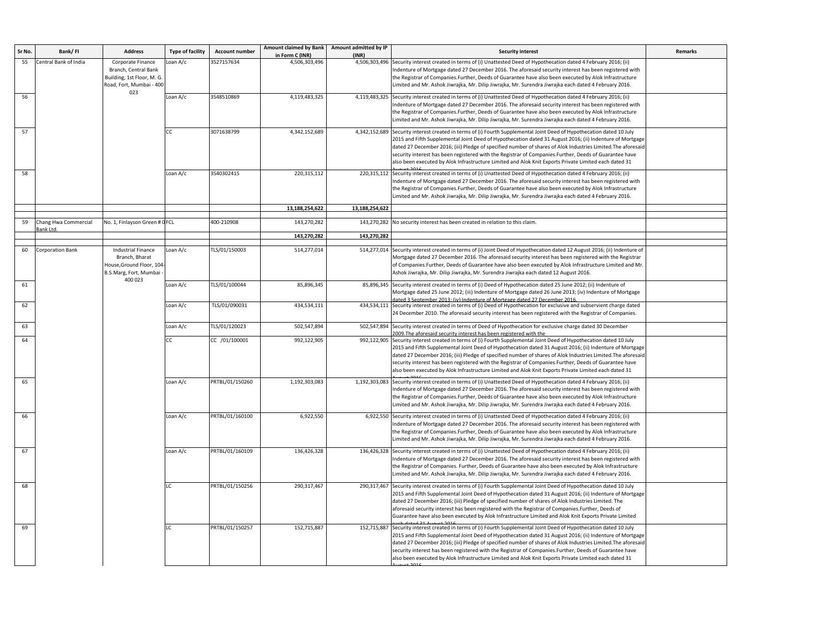| Sr No | Bank/FI                          | <b>Address</b>                                                                                                 | <b>Type of facility</b> | <b>Account number</b> | Amount claimed by Bank<br>in Form C (INR) | Amount admitted by IP<br>(INR) | <b>Security interest</b>                                                                                                                                                                                                                                                                                                                                                                                                                                                                                                                                             | <b>Remarks</b> |
|-------|----------------------------------|----------------------------------------------------------------------------------------------------------------|-------------------------|-----------------------|-------------------------------------------|--------------------------------|----------------------------------------------------------------------------------------------------------------------------------------------------------------------------------------------------------------------------------------------------------------------------------------------------------------------------------------------------------------------------------------------------------------------------------------------------------------------------------------------------------------------------------------------------------------------|----------------|
| 55    | <b>Central Bank of India</b>     | Corporate Finance<br>Branch, Central Bank<br>Building, 1st Floor, M. G.<br>Road, Fort, Mumbai - 400<br>023     | Loan A/c                | 3527157634            | 4,506,303,496                             | 4,506,303,496                  | Security interest created in terms of (i) Unattested Deed of Hypothecation dated 4 February 2016; (ii)<br>Indenture of Mortgage dated 27 December 2016. The aforesaid security interest has been registered with<br>the Registrar of Companies.Further, Deeds of Guarantee have also been executed by Alok Infrastructure<br>imited and Mr. Ashok Jiwrajka, Mr. Dilip Jiwrajka, Mr. Surendra Jiwrajka each dated 4 February 2016.                                                                                                                                    |                |
| 56    |                                  |                                                                                                                | Loan A/c                | 3548510869            | 4,119,483,325                             |                                | 4,119,483,325 Security interest created in terms of (i) Unattested Deed of Hypothecation dated 4 February 2016; (ii)<br>Indenture of Mortgage dated 27 December 2016. The aforesaid security interest has been registered with<br>the Registrar of Companies.Further, Deeds of Guarantee have also been executed by Alok Infrastructure<br>Limited and Mr. Ashok Jiwrajka, Mr. Dilip Jiwrajka, Mr. Surendra Jiwrajka each dated 4 February 2016.                                                                                                                     |                |
| 57    |                                  |                                                                                                                | СC                      | 3071638799            | 4,342,152,689                             |                                | 4,342,152,689 Security interest created in terms of (i) Fourth Supplemental Joint Deed of Hypothecation dated 10 July<br>2015 and Fifth Supplemental Joint Deed of Hypothecation dated 31 August 2016; (ii) Indenture of Mortgage<br>dated 27 December 2016; (iii) Pledge of specified number of shares of Alok Industries Limited. The aforesaid<br>security interest has been registered with the Registrar of Companies.Further, Deeds of Guarantee have<br>also been executed by Alok Infrastructure Limited and Alok Knit Exports Private Limited each dated 31 |                |
| 58    |                                  |                                                                                                                | Loan A/c                | 3540302415            | 220,315,112                               |                                | 220,315,112 Security interest created in terms of (i) Unattested Deed of Hypothecation dated 4 February 2016; (ii)<br>Indenture of Mortgage dated 27 December 2016. The aforesaid security interest has been registered with<br>the Registrar of Companies.Further, Deeds of Guarantee have also been executed by Alok Infrastructure<br>Limited and Mr. Ashok Jiwrajka, Mr. Dilip Jiwrajka, Mr. Surendra Jiwrajka each dated 4 February 2016.                                                                                                                       |                |
|       |                                  |                                                                                                                |                         |                       | 13,188,254,622                            | 13,188,254,622                 |                                                                                                                                                                                                                                                                                                                                                                                                                                                                                                                                                                      |                |
| 59    | Chang Hwa Commercial<br>ank Ltd. | No. 1, Finlayson Green # OFCL                                                                                  |                         | 400-210908            | 143,270,282                               |                                | 143,270,282 No security interest has been created in relation to this claim.                                                                                                                                                                                                                                                                                                                                                                                                                                                                                         |                |
|       |                                  |                                                                                                                |                         |                       | 143,270,282                               | 143,270,282                    |                                                                                                                                                                                                                                                                                                                                                                                                                                                                                                                                                                      |                |
| 60    | Corporation Bank                 | <b>Industrial Finance</b><br>Branch, Bharat<br>House, Ground Floor, 104<br>B.S.Marg, Fort, Mumbai -<br>400 023 | Loan A/c                | TLS/01/150003         | 514,277,014                               |                                | 514,277,014 Security interest created in terms of (i) Joint Deed of Hypothecation dated 12 August 2016; (ii) Indenture of<br>Mortgage dated 27 December 2016. The aforesaid security interest has been registered with the Registrar<br>of Companies.Further, Deeds of Guarantee have also been executed by Alok Infrastructure Limited and Mr.<br>Ashok Jiwrajka, Mr. Dilip Jiwrajka, Mr. Surendra Jiwrajka each dated 12 August 2016.                                                                                                                              |                |
| 61    |                                  |                                                                                                                | Loan A/c                | TLS/01/100044         | 85,896,345                                |                                | 85,896,345 Security interest created in terms of (i) Deed of Hypothecation dated 25 June 2012; (ii) Indenture of<br>Mortgage dated 25 June 2012; (iii) Indenture of Mortgage dated 26 June 2013; (iv) Indenture of Mortgage<br>ated 3 September 2013: (iv) Indenture of Mortgage dated 27 December 2016.                                                                                                                                                                                                                                                             |                |
| 62    |                                  |                                                                                                                | Loan A/c                | TLS/01/090031         | 434,534,111                               |                                | 434,534,111 Security interest created in terms of (i) Deed of Hypothecation for exclusive and subservient charge dated<br>24 December 2010. The aforesaid security interest has been registered with the Registrar of Companies.                                                                                                                                                                                                                                                                                                                                     |                |
| 63    |                                  |                                                                                                                | Loan A/c                | TLS/01/120023         | 502,547,894                               | 502,547,894                    | Security interest created in terms of Deed of Hypothecation for exclusive charge dated 30 December<br>009. The aforesaid security interest has been registered with the                                                                                                                                                                                                                                                                                                                                                                                              |                |
| 64    |                                  |                                                                                                                | СC                      | CC /01/100001         | 992,122,905                               |                                | 992,122,905 Security interest created in terms of (i) Fourth Supplemental Joint Deed of Hypothecation dated 10 July<br>2015 and Fifth Supplemental Joint Deed of Hypothecation dated 31 August 2016; (ii) Indenture of Mortgage<br>dated 27 December 2016; (iii) Pledge of specified number of shares of Alok Industries Limited. The aforesaic<br>security interest has been registered with the Registrar of Companies.Further, Deeds of Guarantee have<br>also been executed by Alok Infrastructure Limited and Alok Knit Exports Private Limited each dated 31   |                |
| 65    |                                  |                                                                                                                | Loan A/c                | PRTBL/01/150260       | 1,192,303,083                             |                                | 1,192,303,083 Security interest created in terms of (i) Unattested Deed of Hypothecation dated 4 February 2016; (ii)<br>Indenture of Mortgage dated 27 December 2016. The aforesaid security interest has been registered with<br>the Registrar of Companies. Further, Deeds of Guarantee have also been executed by Alok Infrastructure<br>Limited and Mr. Ashok Jiwrajka, Mr. Dilip Jiwrajka, Mr. Surendra Jiwrajka each dated 4 February 2016.                                                                                                                    |                |
| 66    |                                  |                                                                                                                | Loan A/c                | PRTBL/01/160100       | 6,922,550                                 |                                | 6,922,550 Security interest created in terms of (i) Unattested Deed of Hypothecation dated 4 February 2016; (ii)<br>Indenture of Mortgage dated 27 December 2016. The aforesaid security interest has been registered with<br>the Registrar of Companies.Further, Deeds of Guarantee have also been executed by Alok Infrastructure<br>Limited and Mr. Ashok Jiwrajka, Mr. Dilip Jiwrajka, Mr. Surendra Jiwrajka each dated 4 February 2016.                                                                                                                         |                |
| 67    |                                  |                                                                                                                | Loan A/c                | PRTBL/01/160109       | 136,426,328                               |                                | 136,426,328 Security interest created in terms of (i) Unattested Deed of Hypothecation dated 4 February 2016; (ii)<br>Indenture of Mortgage dated 27 December 2016. The aforesaid security interest has been registered with<br>the Registrar of Companies. Further, Deeds of Guarantee have also been executed by Alok Infrastructure<br>Limited and Mr. Ashok Jiwrajka, Mr. Dilip Jiwrajka, Mr. Surendra Jiwrajka each dated 4 February 2016.                                                                                                                      |                |
| 68    |                                  |                                                                                                                | LC.                     | PRTBL/01/150256       | 290,317,467                               |                                | 290,317,467 Security interest created in terms of (i) Fourth Supplemental Joint Deed of Hypothecation dated 10 July<br>2015 and Fifth Supplemental Joint Deed of Hypothecation dated 31 August 2016; (ii) Indenture of Mortgage<br>dated 27 December 2016; (iii) Pledge of specified number of shares of Alok Industries Limited. The<br>aforesaid security interest has been registered with the Registrar of Companies.Further, Deeds of<br>Guarantee have also been executed by Alok Infrastructure Limited and Alok Knit Exports Private Limited                 |                |
| 69    |                                  |                                                                                                                | IC.                     | PRTBL/01/150257       | 152,715,887                               |                                | 152,715,887 Security interest created in terms of (i) Fourth Supplemental Joint Deed of Hypothecation dated 10 July<br>2015 and Fifth Supplemental Joint Deed of Hypothecation dated 31 August 2016; (ii) Indenture of Mortgage<br>dated 27 December 2016; (iii) Pledge of specified number of shares of Alok Industries Limited. The aforesaid<br>security interest has been registered with the Registrar of Companies.Further, Deeds of Guarantee have<br>also been executed by Alok Infrastructure Limited and Alok Knit Exports Private Limited each dated 31   |                |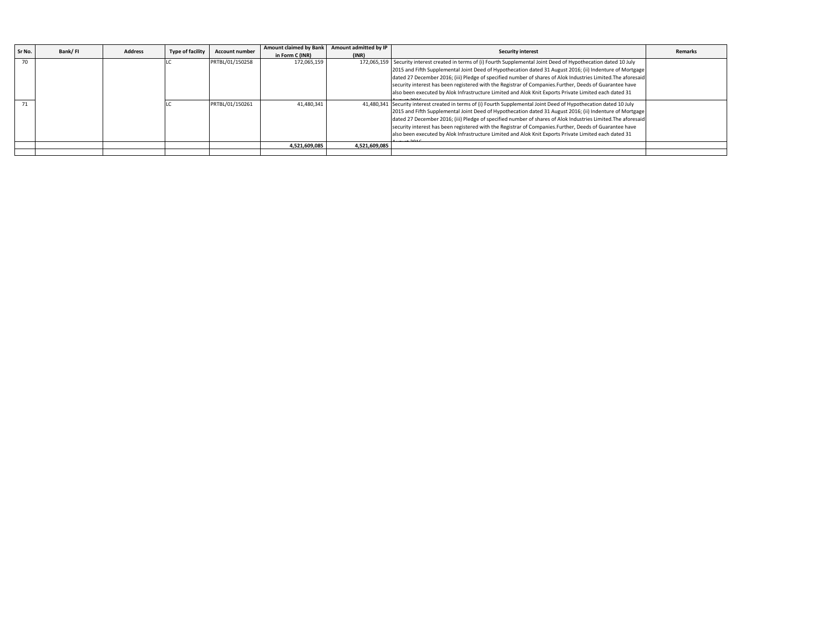| Sr No. | Bank/FI | <b>Address</b> | <b>Type of facility</b> | <b>Account number</b> | <b>Amount claimed by Bank</b> | Amount admitted by IP | <b>Security interest</b>                                                                                            | Remarks |
|--------|---------|----------------|-------------------------|-----------------------|-------------------------------|-----------------------|---------------------------------------------------------------------------------------------------------------------|---------|
|        |         |                |                         |                       | in Form C (INR)               | (INR)                 |                                                                                                                     |         |
| 70     |         |                |                         | PRTBL/01/150258       | 172.065.159                   |                       | 172,065,159 Security interest created in terms of (i) Fourth Supplemental Joint Deed of Hypothecation dated 10 July |         |
|        |         |                |                         |                       |                               |                       | 2015 and Fifth Supplemental Joint Deed of Hypothecation dated 31 August 2016; (ii) Indenture of Mortgage            |         |
|        |         |                |                         |                       |                               |                       | dated 27 December 2016; (iii) Pledge of specified number of shares of Alok Industries Limited. The aforesaid        |         |
|        |         |                |                         |                       |                               |                       | security interest has been registered with the Registrar of Companies. Further, Deeds of Guarantee have             |         |
|        |         |                |                         |                       |                               |                       | also been executed by Alok Infrastructure Limited and Alok Knit Exports Private Limited each dated 31               |         |
|        |         |                |                         |                       |                               |                       | $+201c$                                                                                                             |         |
| 71     |         |                |                         | PRTBL/01/150261       | 41.480.341                    |                       | 41,480,341 Security interest created in terms of (i) Fourth Supplemental Joint Deed of Hypothecation dated 10 July  |         |
|        |         |                |                         |                       |                               |                       | 2015 and Fifth Supplemental Joint Deed of Hypothecation dated 31 August 2016; (ii) Indenture of Mortgage            |         |
|        |         |                |                         |                       |                               |                       | dated 27 December 2016; (iii) Pledge of specified number of shares of Alok Industries Limited. The aforesaid        |         |
|        |         |                |                         |                       |                               |                       | security interest has been registered with the Registrar of Companies. Further, Deeds of Guarantee have             |         |
|        |         |                |                         |                       |                               |                       | also been executed by Alok Infrastructure Limited and Alok Knit Exports Private Limited each dated 31               |         |
|        |         |                |                         |                       |                               |                       | $+2010$                                                                                                             |         |
|        |         |                |                         |                       | 4.521.609.085                 | 4.521.609.085         |                                                                                                                     |         |
|        |         |                |                         |                       |                               |                       |                                                                                                                     |         |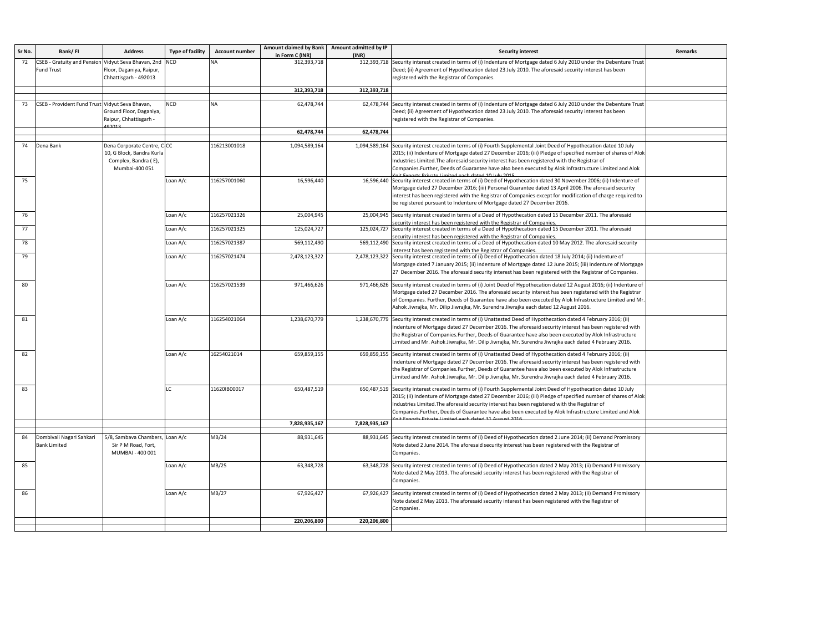| Sr No. | Bank/FI                                         | <b>Address</b>                               | <b>Type of facility</b> | <b>Account number</b> | Amount claimed by Bank         | Amount admitted by IP | <b>Security interest</b>                                                                                                                                                                                                  | Remarks |
|--------|-------------------------------------------------|----------------------------------------------|-------------------------|-----------------------|--------------------------------|-----------------------|---------------------------------------------------------------------------------------------------------------------------------------------------------------------------------------------------------------------------|---------|
| 72     | <b>CSEB - Gratuity and Pension</b>              | Vidyut Seva Bhavan, 2nd                      | <b>NCD</b>              | NΔ                    | in Form C (INR)<br>312,393,718 | (INR)<br>312,393,718  | Security interest created in terms of (i) Indenture of Mortgage dated 6 July 2010 under the Debenture Trust                                                                                                               |         |
|        | Fund Trust                                      | Floor, Daganiya, Raipur,                     |                         |                       |                                |                       | Deed; (ii) Agreement of Hypothecation dated 23 July 2010. The aforesaid security interest has been                                                                                                                        |         |
|        |                                                 | Chhattisgarh - 492013                        |                         |                       |                                |                       | registered with the Registrar of Companies.                                                                                                                                                                               |         |
|        |                                                 |                                              |                         |                       | 312,393,718                    | 312,393,718           |                                                                                                                                                                                                                           |         |
|        |                                                 |                                              |                         |                       |                                |                       |                                                                                                                                                                                                                           |         |
| 73     | CSEB - Provident Fund Trust Vidyut Seva Bhavan, |                                              | <b>NCD</b>              | <b>NA</b>             | 62,478,744                     |                       | 62,478,744 Security interest created in terms of (i) Indenture of Mortgage dated 6 July 2010 under the Debenture Trust                                                                                                    |         |
|        |                                                 | Ground Floor, Daganiya,                      |                         |                       |                                |                       | Deed; (ii) Agreement of Hypothecation dated 23 July 2010. The aforesaid security interest has been                                                                                                                        |         |
|        |                                                 | Raipur, Chhattisgarh -<br>92013              |                         |                       |                                |                       | registered with the Registrar of Companies.                                                                                                                                                                               |         |
|        |                                                 |                                              |                         |                       | 62,478,744                     | 62,478,744            |                                                                                                                                                                                                                           |         |
| 74     | Dena Bank                                       | Dena Corporate Centre, C-CC                  |                         | 116213001018          | 1,094,589,164                  | 1,094,589,164         | Security interest created in terms of (i) Fourth Supplemental Joint Deed of Hypothecation dated 10 July                                                                                                                   |         |
|        |                                                 | 10, G Block, Bandra Kurla                    |                         |                       |                                |                       | 2015; (ii) Indenture of Mortgage dated 27 December 2016; (iii) Pledge of specified number of shares of Alok                                                                                                               |         |
|        |                                                 | Complex, Bandra (E),                         |                         |                       |                                |                       | Industries Limited. The aforesaid security interest has been registered with the Registrar of                                                                                                                             |         |
|        |                                                 | Mumbai-400 051                               |                         |                       |                                |                       | Companies.Further, Deeds of Guarantee have also been executed by Alok Infrastructure Limited and Alok                                                                                                                     |         |
| 75     |                                                 |                                              | Loan A/c                | 116257001060          | 16,596,440                     |                       | 16,596,440 Security interest created in terms of (i) Deed of Hypothecation dated 30 November 2006; (ii) Indenture of                                                                                                      |         |
|        |                                                 |                                              |                         |                       |                                |                       | Mortgage dated 27 December 2016; (iii) Personal Guarantee dated 13 April 2006. The aforesaid security                                                                                                                     |         |
|        |                                                 |                                              |                         |                       |                                |                       | interest has been registered with the Registrar of Companies except for modification of charge required to                                                                                                                |         |
|        |                                                 |                                              |                         |                       |                                |                       | be registered pursuant to Indenture of Mortgage dated 27 December 2016.                                                                                                                                                   |         |
| 76     |                                                 |                                              | Loan A/c                | 116257021326          | 25,004,945                     |                       | 25,004,945 Security interest created in terms of a Deed of Hypothecation dated 15 December 2011. The aforesaid                                                                                                            |         |
| 77     |                                                 |                                              | Loan A/c                | 116257021325          | 125,024,727                    | 125,024,727           | ecurity interest has been registered with the Registrar of Companies<br>Security interest created in terms of a Deed of Hypothecation dated 15 December 2011. The aforesaid                                               |         |
| 78     |                                                 |                                              | Loan A/c                | 116257021387          | 569,112,490                    |                       | security interest has been registered with the Registrar of Companies.<br>569,112,490 Security interest created in terms of a Deed of Hypothecation dated 10 May 2012. The aforesaid security                             |         |
|        |                                                 |                                              |                         |                       |                                |                       | interest has been registered with the Registrar of Companies.                                                                                                                                                             |         |
| 79     |                                                 |                                              | Loan A/c                | 116257021474          | 2,478,123,322                  | 2,478,123,322         | Security interest created in terms of (i) Deed of Hypothecation dated 18 July 2014; (ii) Indenture of                                                                                                                     |         |
|        |                                                 |                                              |                         |                       |                                |                       | Mortgage dated 7 January 2015; (ii) Indenture of Mortgage dated 12 June 2015; (iii) Indenture of Mortgage                                                                                                                 |         |
|        |                                                 |                                              |                         |                       |                                |                       | 27 December 2016. The aforesaid security interest has been registered with the Registrar of Companies.                                                                                                                    |         |
| 80     |                                                 |                                              | Loan A/c                | 116257021539          | 971,466,626                    |                       | 971,466,626 Security interest created in terms of (i) Joint Deed of Hypothecation dated 12 August 2016; (ii) Indenture of                                                                                                 |         |
|        |                                                 |                                              |                         |                       |                                |                       | Mortgage dated 27 December 2016. The aforesaid security interest has been registered with the Registrar                                                                                                                   |         |
|        |                                                 |                                              |                         |                       |                                |                       | of Companies. Further, Deeds of Guarantee have also been executed by Alok Infrastructure Limited and Mr<br>Ashok Jiwrajka, Mr. Dilip Jiwrajka, Mr. Surendra Jiwrajka each dated 12 August 2016.                           |         |
|        |                                                 |                                              |                         |                       |                                |                       |                                                                                                                                                                                                                           |         |
| 81     |                                                 |                                              | Loan A/c                | 116254021064          | 1,238,670,779                  |                       | 1,238,670,779 Security interest created in terms of (i) Unattested Deed of Hypothecation dated 4 February 2016; (ii)                                                                                                      |         |
|        |                                                 |                                              |                         |                       |                                |                       | Indenture of Mortgage dated 27 December 2016. The aforesaid security interest has been registered with<br>the Registrar of Companies.Further, Deeds of Guarantee have also been executed by Alok Infrastructure           |         |
|        |                                                 |                                              |                         |                       |                                |                       | Limited and Mr. Ashok Jiwrajka, Mr. Dilip Jiwrajka, Mr. Surendra Jiwrajka each dated 4 February 2016.                                                                                                                     |         |
|        |                                                 |                                              |                         |                       |                                |                       |                                                                                                                                                                                                                           |         |
| 82     |                                                 |                                              | Loan A/c                | 16254021014           | 659,859,155                    | 659,859,155           | Security interest created in terms of (i) Unattested Deed of Hypothecation dated 4 February 2016; (ii)<br>Indenture of Mortgage dated 27 December 2016. The aforesaid security interest has been registered with          |         |
|        |                                                 |                                              |                         |                       |                                |                       | the Registrar of Companies.Further, Deeds of Guarantee have also been executed by Alok Infrastructure                                                                                                                     |         |
|        |                                                 |                                              |                         |                       |                                |                       | Limited and Mr. Ashok Jiwrajka, Mr. Dilip Jiwrajka, Mr. Surendra Jiwrajka each dated 4 February 2016.                                                                                                                     |         |
| 83     |                                                 |                                              | $\overline{C}$          | 11620IB00017          | 650,487,519                    |                       | 650,487,519 Security interest created in terms of (i) Fourth Supplemental Joint Deed of Hypothecation dated 10 July                                                                                                       |         |
|        |                                                 |                                              |                         |                       |                                |                       | 2015; (ii) Indenture of Mortgage dated 27 December 2016; (iii) Pledge of specified number of shares of Alok                                                                                                               |         |
|        |                                                 |                                              |                         |                       |                                |                       | Industries Limited. The aforesaid security interest has been registered with the Registrar of                                                                                                                             |         |
|        |                                                 |                                              |                         |                       |                                |                       | Companies.Further, Deeds of Guarantee have also been executed by Alok Infrastructure Limited and Alok                                                                                                                     |         |
|        |                                                 |                                              |                         |                       | 7,828,935,167                  | 7,828,935,167         | neb data d.21 Au<br>$-1016$                                                                                                                                                                                               |         |
|        |                                                 |                                              |                         |                       |                                |                       |                                                                                                                                                                                                                           |         |
| 84     | Dombivali Nagari Sahkari<br><b>Bank Limited</b> | 5/8, Sambava Chambers<br>Sir P M Road, Fort, | Loan A/c                | MB/24                 | 88,931,645                     |                       | 88,931,645 Security interest created in terms of (i) Deed of Hypothecation dated 2 June 2014; (ii) Demand Promissory<br>Note dated 2 June 2014. The aforesaid security interest has been registered with the Registrar of |         |
|        |                                                 | MUMBAI - 400 001                             |                         |                       |                                |                       | Companies.                                                                                                                                                                                                                |         |
|        |                                                 |                                              |                         |                       |                                |                       |                                                                                                                                                                                                                           |         |
| 85     |                                                 |                                              | Loan A/c                | MB/25                 | 63,348,728                     |                       | 63,348,728 Security interest created in terms of (i) Deed of Hypothecation dated 2 May 2013; (ii) Demand Promissory                                                                                                       |         |
|        |                                                 |                                              |                         |                       |                                |                       | Note dated 2 May 2013. The aforesaid security interest has been registered with the Registrar of<br>Companies.                                                                                                            |         |
|        |                                                 |                                              |                         |                       |                                |                       |                                                                                                                                                                                                                           |         |
| 86     |                                                 |                                              | Loan A/c                | MB/27                 | 67,926,427                     |                       | 67,926,427 Security interest created in terms of (i) Deed of Hypothecation dated 2 May 2013; (ii) Demand Promissory                                                                                                       |         |
|        |                                                 |                                              |                         |                       |                                |                       | Note dated 2 May 2013. The aforesaid security interest has been registered with the Registrar of<br>Companies.                                                                                                            |         |
|        |                                                 |                                              |                         |                       |                                |                       |                                                                                                                                                                                                                           |         |
|        |                                                 |                                              |                         |                       | 220,206,800                    | 220,206,800           |                                                                                                                                                                                                                           |         |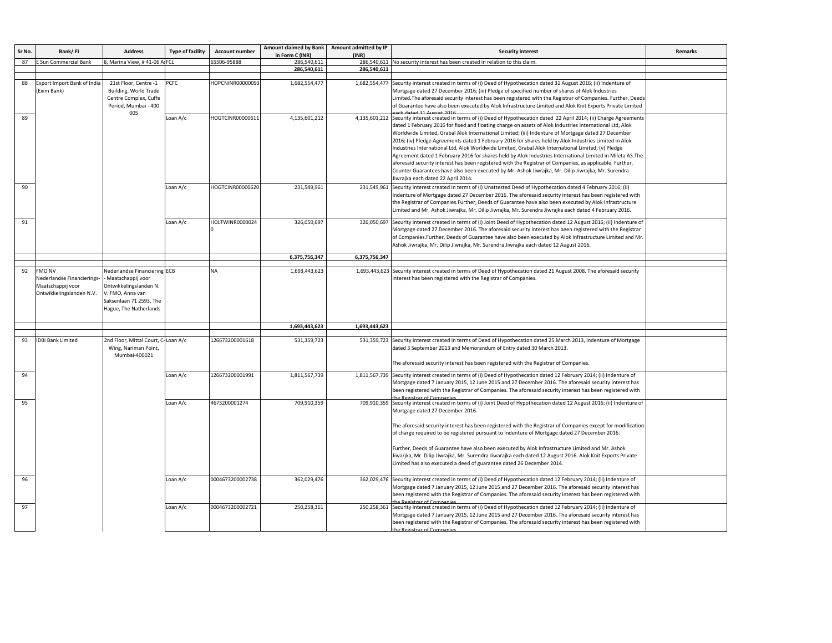| Sr No. | Bank/FI                                                                                      | <b>Address</b>                                                                                                                                       | <b>Type of facility</b> | <b>Account number</b> | Amount claimed by Bank<br>in Form C (INR) | Amount admitted by IP<br>(INR) | <b>Security interest</b>                                                                                                                                                                                                                                                                                                                                                                                                                                                                                                                                                                                                                                                                                                                                                                                                                                                                                                           | <b>Remarks</b>                                                                                                                                                                                                                                                                                                                                                                                                                     |                  |                 |               |                                                                                                                                                                                                                                                                                                                                                             |                                                                                                                                                                                                                                                                                                                                               |  |
|--------|----------------------------------------------------------------------------------------------|------------------------------------------------------------------------------------------------------------------------------------------------------|-------------------------|-----------------------|-------------------------------------------|--------------------------------|------------------------------------------------------------------------------------------------------------------------------------------------------------------------------------------------------------------------------------------------------------------------------------------------------------------------------------------------------------------------------------------------------------------------------------------------------------------------------------------------------------------------------------------------------------------------------------------------------------------------------------------------------------------------------------------------------------------------------------------------------------------------------------------------------------------------------------------------------------------------------------------------------------------------------------|------------------------------------------------------------------------------------------------------------------------------------------------------------------------------------------------------------------------------------------------------------------------------------------------------------------------------------------------------------------------------------------------------------------------------------|------------------|-----------------|---------------|-------------------------------------------------------------------------------------------------------------------------------------------------------------------------------------------------------------------------------------------------------------------------------------------------------------------------------------------------------------|-----------------------------------------------------------------------------------------------------------------------------------------------------------------------------------------------------------------------------------------------------------------------------------------------------------------------------------------------|--|
| 87     | Sun Commercial Bank                                                                          | 3. Marina View, #41-06 AFCL                                                                                                                          |                         | 5506-95888            | 286.540.611                               | 286.540.611                    | No security interest has been created in relation to this claim                                                                                                                                                                                                                                                                                                                                                                                                                                                                                                                                                                                                                                                                                                                                                                                                                                                                    |                                                                                                                                                                                                                                                                                                                                                                                                                                    |                  |                 |               |                                                                                                                                                                                                                                                                                                                                                             |                                                                                                                                                                                                                                                                                                                                               |  |
|        |                                                                                              |                                                                                                                                                      |                         |                       | 286,540,611                               | 286,540,611                    |                                                                                                                                                                                                                                                                                                                                                                                                                                                                                                                                                                                                                                                                                                                                                                                                                                                                                                                                    |                                                                                                                                                                                                                                                                                                                                                                                                                                    |                  |                 |               |                                                                                                                                                                                                                                                                                                                                                             |                                                                                                                                                                                                                                                                                                                                               |  |
| 88     | Export Import Bank of India<br>(Exim Bank)                                                   | 21st Floor, Centre -1<br>Building, World Trade<br>Centre Complex, Cuffe<br>Period, Mumbai - 400<br>005                                               | <b>PCFC</b>             | HOPCNINR00000093      | 1,682,554,477                             | 1,682,554,477                  | Security interest created in terms of (i) Deed of Hypothecation dated 31 August 2016; (ii) Indenture of<br>Mortgage dated 27 December 2016; (iii) Pledge of specified number of shares of Alok Industries<br>Limited. The aforesaid security interest has been registered with the Registrar of Companies. Further, Deeds<br>of Guarantee have also been executed by Alok Infrastructure Limited and Alok Knit Exports Private Limited<br>ab datad 21 August 2016                                                                                                                                                                                                                                                                                                                                                                                                                                                                  |                                                                                                                                                                                                                                                                                                                                                                                                                                    |                  |                 |               |                                                                                                                                                                                                                                                                                                                                                             |                                                                                                                                                                                                                                                                                                                                               |  |
| 89     |                                                                                              |                                                                                                                                                      | Loan A/c                | HOGTCINR00000611      | 4,135,601,212                             |                                | 4,135,601,212 Security interest created in terms of (i) Deed of Hypothecation dated 22 April 2014; (ii) Charge Agreement:<br>dated 1 February 2016 for fixed and floating charge on assets of Alok Industries International Ltd, Alok<br>Worldwide Limited, Grabal Alok International Limited; (iii) Indenture of Mortgage dated 27 December<br>2016; (iv) Pledge Agreements dated 1 February 2016 for shares held by Alok Industries Limited in Alok<br>Industries International Ltd, Alok Worldwide Limited, Grabal Alok International Limited; (v) Pledge<br>Agreement dated 1 February 2016 for shares held by Alok Industries International Limited in Mileta AS. The<br>aforesaid security interest has been registered with the Registrar of Companies, as applicable. Further,<br>Counter Guarantees have also been executed by Mr. Ashok Jiwrajka, Mr. Dilip Jiwrajka, Mr. Surendra<br>Jiwrajka each dated 22 April 2014. |                                                                                                                                                                                                                                                                                                                                                                                                                                    |                  |                 |               |                                                                                                                                                                                                                                                                                                                                                             |                                                                                                                                                                                                                                                                                                                                               |  |
| 90     |                                                                                              |                                                                                                                                                      |                         | Loan A/c              | HOGTCINR00000620                          | 231,549,961                    | 231.549.961                                                                                                                                                                                                                                                                                                                                                                                                                                                                                                                                                                                                                                                                                                                                                                                                                                                                                                                        | Security interest created in terms of (i) Unattested Deed of Hypothecation dated 4 February 2016; (ii)<br>Indenture of Mortgage dated 27 December 2016. The aforesaid security interest has been registered with<br>the Registrar of Companies.Further, Deeds of Guarantee have also been executed by Alok Infrastructure<br>Limited and Mr. Ashok Jiwrajka, Mr. Dilip Jiwrajka, Mr. Surendra Jiwrajka each dated 4 February 2016. |                  |                 |               |                                                                                                                                                                                                                                                                                                                                                             |                                                                                                                                                                                                                                                                                                                                               |  |
| 91     |                                                                                              |                                                                                                                                                      | Loan A/c                | HOLTWINR0000024       | 326,050,697                               |                                | 326,050,697 Security interest created in terms of (i) Joint Deed of Hypothecation dated 12 August 2016; (ii) Indenture of<br>Mortgage dated 27 December 2016. The aforesaid security interest has been registered with the Registrar<br>of Companies. Further, Deeds of Guarantee have also been executed by Alok Infrastructure Limited and Mr<br>Ashok Jiwrajka, Mr. Dilip Jiwrajka, Mr. Surendra Jiwrajka each dated 12 August 2016.                                                                                                                                                                                                                                                                                                                                                                                                                                                                                            |                                                                                                                                                                                                                                                                                                                                                                                                                                    |                  |                 |               |                                                                                                                                                                                                                                                                                                                                                             |                                                                                                                                                                                                                                                                                                                                               |  |
|        |                                                                                              |                                                                                                                                                      |                         |                       | 6,375,756,347                             | 6,375,756,347                  |                                                                                                                                                                                                                                                                                                                                                                                                                                                                                                                                                                                                                                                                                                                                                                                                                                                                                                                                    |                                                                                                                                                                                                                                                                                                                                                                                                                                    |                  |                 |               |                                                                                                                                                                                                                                                                                                                                                             |                                                                                                                                                                                                                                                                                                                                               |  |
| 92     | <b>FMO NV</b><br>Nederlandse Financierings-<br>Maatschappij voor<br>Ontwikkelingslanden N.V. | Nederlandse Financiering ECB<br>Maatschappij voor<br>Ontwikkelingslanden N.<br>V. FMO, Anna van<br>Saksenlaan 71 2593, The<br>lague, The Natherlands |                         | <b>NA</b>             | 1,693,443,623                             | 1,693,443,623                  | Security interest created in terms of Deed of Hypothecation dated 21 August 2008. The aforesaid security<br>interest has been registered with the Registrar of Companies.                                                                                                                                                                                                                                                                                                                                                                                                                                                                                                                                                                                                                                                                                                                                                          |                                                                                                                                                                                                                                                                                                                                                                                                                                    |                  |                 |               |                                                                                                                                                                                                                                                                                                                                                             |                                                                                                                                                                                                                                                                                                                                               |  |
|        |                                                                                              |                                                                                                                                                      |                         |                       | 1,693,443,623                             | 1,693,443,623                  |                                                                                                                                                                                                                                                                                                                                                                                                                                                                                                                                                                                                                                                                                                                                                                                                                                                                                                                                    |                                                                                                                                                                                                                                                                                                                                                                                                                                    |                  |                 |               |                                                                                                                                                                                                                                                                                                                                                             |                                                                                                                                                                                                                                                                                                                                               |  |
| 93     | <b>IDBI Bank Limited</b>                                                                     | 2nd Floor, Mittal Court, C-Loan A/c<br>Wing, Nariman Point,<br>Mumbai-400021                                                                         |                         | 126673200001618       | 531,359,723                               |                                | 531,359,723 Security Interest created in terms of Deed of Hypothecation dated 25 March 2013, Indenture of Mortgage<br>dated 3 September 2013 and Memorandum of Entry dated 30 March 2013.<br>The aforesaid security interest has been registered with the Registrar of Companies.                                                                                                                                                                                                                                                                                                                                                                                                                                                                                                                                                                                                                                                  |                                                                                                                                                                                                                                                                                                                                                                                                                                    |                  |                 |               |                                                                                                                                                                                                                                                                                                                                                             |                                                                                                                                                                                                                                                                                                                                               |  |
| 94     |                                                                                              |                                                                                                                                                      |                         |                       |                                           |                                |                                                                                                                                                                                                                                                                                                                                                                                                                                                                                                                                                                                                                                                                                                                                                                                                                                                                                                                                    | Loan A/c                                                                                                                                                                                                                                                                                                                                                                                                                           |                  | 126673200001991 | 1,811,567,739 |                                                                                                                                                                                                                                                                                                                                                             | 1,811,567,739 Security interest created in terms of (i) Deed of Hypothecation dated 12 February 2014; (ii) Indenture of<br>Mortgage dated 7 January 2015, 12 June 2015 and 27 December 2016. The aforesaid security interest has<br>been registered with the Registrar of Companies. The aforesaid security interest has been registered with |  |
| 95     |                                                                                              |                                                                                                                                                      | Loan A/c                | 4673200001274         | 709,910,359                               |                                | 709,910,359 Security interest created in terms of (i) Joint Deed of Hypothecation dated 12 August 2016; (ii) Indenture of<br>Mortgage dated 27 December 2016.<br>The aforesaid security interest has been registered with the Registrar of Companies except for modification<br>of charge required to be registered pursuant to Indenture of Mortgage dated 27 December 2016.<br>Further, Deeds of Guarantee have also been executed by Alok Infrastructure Limited and Mr. Ashok<br>Jiwarjka, Mr. Dilip Jiwrajka, Mr. Surendra Jiwarajka each dated 12 August 2016. Alok Knit Exports Private<br>Limited has also executed a deed of guarantee dated 26 December 2014.                                                                                                                                                                                                                                                            |                                                                                                                                                                                                                                                                                                                                                                                                                                    |                  |                 |               |                                                                                                                                                                                                                                                                                                                                                             |                                                                                                                                                                                                                                                                                                                                               |  |
| 96     |                                                                                              |                                                                                                                                                      |                         |                       |                                           |                                | Loan A/c                                                                                                                                                                                                                                                                                                                                                                                                                                                                                                                                                                                                                                                                                                                                                                                                                                                                                                                           |                                                                                                                                                                                                                                                                                                                                                                                                                                    | 0004673200002738 | 362,029,476     | 362,029,476   | Security interest created in terms of (i) Deed of Hypothecation dated 12 February 2014; (ii) Indenture of<br>Mortgage dated 7 January 2015, 12 June 2015 and 27 December 2016. The aforesaid security interest has<br>been registered with the Registrar of Companies. The aforesaid security interest has been registered with<br>he Pegistrar of Companie |                                                                                                                                                                                                                                                                                                                                               |  |
| 97     |                                                                                              |                                                                                                                                                      | Loan A/c                | 0004673200002721      | 250,258,361                               | 250,258,361                    | Security interest created in terms of (i) Deed of Hypothecation dated 12 February 2014; (ii) Indenture of<br>Mortgage dated 7 January 2015, 12 June 2015 and 27 December 2016. The aforesaid security interest has<br>been registered with the Registrar of Companies. The aforesaid security interest has been registered with                                                                                                                                                                                                                                                                                                                                                                                                                                                                                                                                                                                                    |                                                                                                                                                                                                                                                                                                                                                                                                                                    |                  |                 |               |                                                                                                                                                                                                                                                                                                                                                             |                                                                                                                                                                                                                                                                                                                                               |  |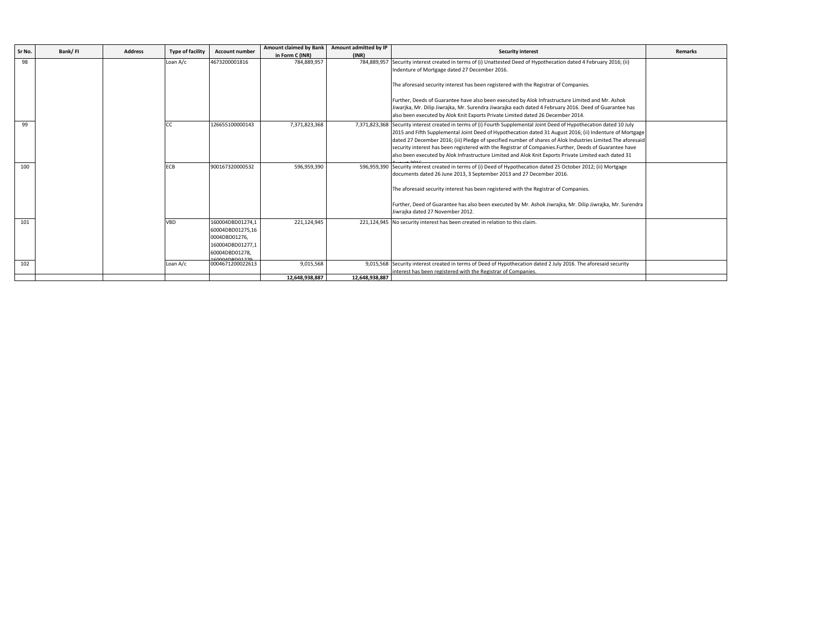|        |         |                |                         |                                      | <b>Amount claimed by Bank</b> | Amount admitted by IP |                                                                                                                                               |                |
|--------|---------|----------------|-------------------------|--------------------------------------|-------------------------------|-----------------------|-----------------------------------------------------------------------------------------------------------------------------------------------|----------------|
| Sr No. | Bank/FI | <b>Address</b> | <b>Type of facility</b> | <b>Account number</b>                | in Form C (INR)               | (INR)                 | <b>Security interest</b>                                                                                                                      | <b>Remarks</b> |
| 98     |         |                | Loan A/c                | 4673200001816                        | 784,889,957                   | 784,889,957           | Security interest created in terms of (i) Unattested Deed of Hypothecation dated 4 February 2016; (ii)                                        |                |
|        |         |                |                         |                                      |                               |                       | Indenture of Mortgage dated 27 December 2016.                                                                                                 |                |
|        |         |                |                         |                                      |                               |                       | The aforesaid security interest has been registered with the Registrar of Companies.                                                          |                |
|        |         |                |                         |                                      |                               |                       | Further, Deeds of Guarantee have also been executed by Alok Infrastructure Limited and Mr. Ashok                                              |                |
|        |         |                |                         |                                      |                               |                       | Jiwarjka, Mr. Dilip Jiwrajka, Mr. Surendra Jiwarajka each dated 4 February 2016. Deed of Guarantee has                                        |                |
|        |         |                |                         |                                      |                               |                       | also been executed by Alok Knit Exports Private Limited dated 26 December 2014.                                                               |                |
| 99     |         |                | CC.                     | 126655100000143                      | 7,371,823,368                 |                       | 7,371,823,368 Security interest created in terms of (i) Fourth Supplemental Joint Deed of Hypothecation dated 10 July                         |                |
|        |         |                |                         |                                      |                               |                       | 2015 and Fifth Supplemental Joint Deed of Hypothecation dated 31 August 2016; (ii) Indenture of Mortgage                                      |                |
|        |         |                |                         |                                      |                               |                       | dated 27 December 2016; (iii) Pledge of specified number of shares of Alok Industries Limited. The aforesaid                                  |                |
|        |         |                |                         |                                      |                               |                       | security interest has been registered with the Registrar of Companies. Further, Deeds of Guarantee have                                       |                |
|        |         |                |                         |                                      |                               |                       | also been executed by Alok Infrastructure Limited and Alok Knit Exports Private Limited each dated 31                                         |                |
| 100    |         |                | <b>ECB</b>              | 900167320000532                      | 596,959,390                   |                       | 596,959,390 Security interest created in terms of (i) Deed of Hypothecation dated 25 October 2012; (ii) Mortgage                              |                |
|        |         |                |                         |                                      |                               |                       | documents dated 26 June 2013, 3 September 2013 and 27 December 2016.                                                                          |                |
|        |         |                |                         |                                      |                               |                       | The aforesaid security interest has been registered with the Registrar of Companies.                                                          |                |
|        |         |                |                         |                                      |                               |                       | Further, Deed of Guarantee has also been executed by Mr. Ashok Jiwrajka, Mr. Dilip Jiwrajka, Mr. Surendra<br>Jiwrajka dated 27 November 2012. |                |
| 101    |         |                | <b>VBD</b>              | 160004DBD01274,1<br>60004DBD01275,16 | 221,124,945                   |                       | 221,124,945 No security interest has been created in relation to this claim.                                                                  |                |
|        |         |                |                         | 0004DBD01276,                        |                               |                       |                                                                                                                                               |                |
|        |         |                |                         | 160004DBD01277,1                     |                               |                       |                                                                                                                                               |                |
|        |         |                |                         | 60004DBD01278,                       |                               |                       |                                                                                                                                               |                |
| 102    |         |                | Loan A/c                | 0004671200022613                     | 9,015,568                     |                       | 9,015,568 Security interest created in terms of Deed of Hypothecation dated 2 July 2016. The aforesaid security                               |                |
|        |         |                |                         |                                      |                               |                       | interest has been registered with the Registrar of Companies.                                                                                 |                |
|        |         |                |                         |                                      | 12,648,938,887                | 12,648,938,887        |                                                                                                                                               |                |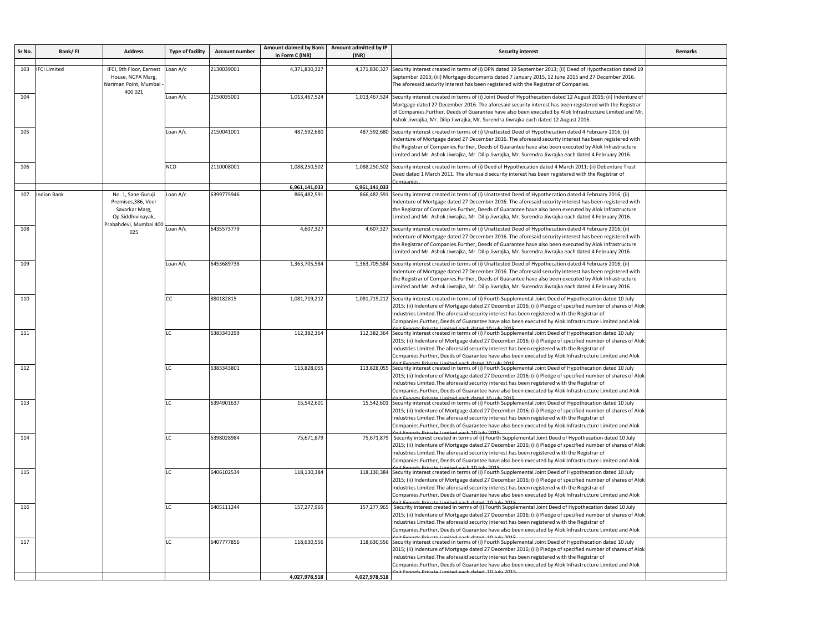| Sr No. | Bank/FI             | <b>Address</b>                                                                                             | <b>Type of facility</b> | <b>Account number</b> | Amount claimed by Bank<br>in Form C (INR) | Amount admitted by IP<br>(INR) | <b>Security interest</b>                                                                                                                                                                                                                                                                                                                                                                                                                                                                   | <b>Remarks</b>                                                                                                                                                                                                                                                                                                                                                                                                                                                                      |  |                                                                                                                                                                                                                                                                                                                                                                                                                                                                                   |  |
|--------|---------------------|------------------------------------------------------------------------------------------------------------|-------------------------|-----------------------|-------------------------------------------|--------------------------------|--------------------------------------------------------------------------------------------------------------------------------------------------------------------------------------------------------------------------------------------------------------------------------------------------------------------------------------------------------------------------------------------------------------------------------------------------------------------------------------------|-------------------------------------------------------------------------------------------------------------------------------------------------------------------------------------------------------------------------------------------------------------------------------------------------------------------------------------------------------------------------------------------------------------------------------------------------------------------------------------|--|-----------------------------------------------------------------------------------------------------------------------------------------------------------------------------------------------------------------------------------------------------------------------------------------------------------------------------------------------------------------------------------------------------------------------------------------------------------------------------------|--|
| 103    | <b>IFCI Limited</b> | IFCI, 9th Floor, Earnest<br>House, NCPA Marg,<br>Nariman Point, Mumbai<br>400 021                          | oan A/c                 | 2130039001            | 4,371,830,327                             | 4,371,830,327                  | Security interest created in terms of (i) DPN dated 19 September 2013; (ii) Deed of Hypothecation dated 19<br>Geptember 2013; (iii) Mortgage documents dated 7 January 2015, 12 June 2015 and 27 December 2016.<br>The aforesaid security interest has been registered with the Registrar of Companies.                                                                                                                                                                                    |                                                                                                                                                                                                                                                                                                                                                                                                                                                                                     |  |                                                                                                                                                                                                                                                                                                                                                                                                                                                                                   |  |
| 104    |                     |                                                                                                            | Loan A/c                | 2150035001            | 1,013,467,524                             |                                | 1,013,467,524 Security interest created in terms of (i) Joint Deed of Hypothecation dated 12 August 2016; (ii) Indenture of<br>Mortgage dated 27 December 2016. The aforesaid security interest has been registered with the Registrar<br>of Companies.Further, Deeds of Guarantee have also been executed by Alok Infrastructure Limited and Mr.<br>Ashok Jiwrajka, Mr. Dilip Jiwrajka, Mr. Surendra Jiwrajka each dated 12 August 2016.                                                  |                                                                                                                                                                                                                                                                                                                                                                                                                                                                                     |  |                                                                                                                                                                                                                                                                                                                                                                                                                                                                                   |  |
| 105    |                     |                                                                                                            | Loan A/c                | 2150041001            | 487,592,680                               |                                | 487,592,680 Security interest created in terms of (i) Unattested Deed of Hypothecation dated 4 February 2016; (ii)<br>Indenture of Mortgage dated 27 December 2016. The aforesaid security interest has been registered with<br>the Registrar of Companies.Further, Deeds of Guarantee have also been executed by Alok Infrastructure<br>Limited and Mr. Ashok Jiwrajka, Mr. Dilip Jiwrajka, Mr. Surendra Jiwrajka each dated 4 February 2016.                                             |                                                                                                                                                                                                                                                                                                                                                                                                                                                                                     |  |                                                                                                                                                                                                                                                                                                                                                                                                                                                                                   |  |
| 106    |                     |                                                                                                            | <b>NCD</b>              | 2110008001            | 1,088,250,502                             |                                | 1,088,250,502 Security interest created in terms of (i) Deed of Hypothecation dated 4 March 2011; (ii) Debenture Trust<br>Deed dated 1 March 2011. The aforesaid security interest has been registered with the Registrar of                                                                                                                                                                                                                                                               |                                                                                                                                                                                                                                                                                                                                                                                                                                                                                     |  |                                                                                                                                                                                                                                                                                                                                                                                                                                                                                   |  |
|        |                     |                                                                                                            |                         |                       | 6,961,141,033                             | 6,961,141,033                  |                                                                                                                                                                                                                                                                                                                                                                                                                                                                                            |                                                                                                                                                                                                                                                                                                                                                                                                                                                                                     |  |                                                                                                                                                                                                                                                                                                                                                                                                                                                                                   |  |
| 107    | <b>Indian Bank</b>  | No. 1, Sane Guruji<br>Premises, 386, Veer<br>Savarkar Marg,<br>Op.Siddhivinayak,<br>Prabahdevi, Mumbai 400 | oan A/c                 | 6399775946            | 866,482,591                               | 866,482,591                    | Security interest created in terms of (i) Unattested Deed of Hypothecation dated 4 February 2016; (ii)<br>Indenture of Mortgage dated 27 December 2016. The aforesaid security interest has been registered with<br>the Registrar of Companies.Further, Deeds of Guarantee have also been executed by Alok Infrastructure<br>Limited and Mr. Ashok Jiwrajka, Mr. Dilip Jiwrajka, Mr. Surendra Jiwrajka each dated 4 February 2016.                                                         |                                                                                                                                                                                                                                                                                                                                                                                                                                                                                     |  |                                                                                                                                                                                                                                                                                                                                                                                                                                                                                   |  |
| 108    |                     | 025                                                                                                        | Loan A/c                | 6435573779            | 4,607,327                                 |                                | 4,607,327 Security interest created in terms of (i) Unattested Deed of Hypothecation dated 4 February 2016; (ii)<br>Indenture of Mortgage dated 27 December 2016. The aforesaid security interest has been registered with<br>the Registrar of Companies. Further, Deeds of Guarantee have also been executed by Alok Infrastructure<br>Limited and Mr. Ashok Jiwrajka, Mr. Dilip Jiwrajka, Mr. Surendra Jiwrajka each dated 4 February 2016.                                              |                                                                                                                                                                                                                                                                                                                                                                                                                                                                                     |  |                                                                                                                                                                                                                                                                                                                                                                                                                                                                                   |  |
| 109    |                     |                                                                                                            | Loan A/c                | 6453689738            | 1,363,705,584                             |                                | 1,363,705,584 Security interest created in terms of (i) Unattested Deed of Hypothecation dated 4 February 2016; (ii)<br>Indenture of Mortgage dated 27 December 2016. The aforesaid security interest has been registered with<br>the Registrar of Companies.Further, Deeds of Guarantee have also been executed by Alok Infrastructure<br>Limited and Mr. Ashok Jiwrajka, Mr. Dilip Jiwrajka, Mr. Surendra Jiwrajka each dated 4 February 2016.                                           |                                                                                                                                                                                                                                                                                                                                                                                                                                                                                     |  |                                                                                                                                                                                                                                                                                                                                                                                                                                                                                   |  |
| 110    |                     |                                                                                                            |                         | <b>CC</b>             | 880182815                                 | 1,081,719,212                  |                                                                                                                                                                                                                                                                                                                                                                                                                                                                                            | 1,081,719,212 Security interest created in terms of (i) Fourth Supplemental Joint Deed of Hypothecation dated 10 July<br>2015; (ii) Indenture of Mortgage dated 27 December 2016; (iii) Pledge of specified number of shares of Alok<br>Industries Limited. The aforesaid security interest has been registered with the Registrar of<br>Companies.Further, Deeds of Guarantee have also been executed by Alok Infrastructure Limited and Alok<br>a Limited anch dated 10 July 2015 |  |                                                                                                                                                                                                                                                                                                                                                                                                                                                                                   |  |
| 111    |                     |                                                                                                            |                         |                       |                                           | LC                             | 6383343299                                                                                                                                                                                                                                                                                                                                                                                                                                                                                 | 112,382,364                                                                                                                                                                                                                                                                                                                                                                                                                                                                         |  | 112,382,364 Security interest created in terms of (i) Fourth Supplemental Joint Deed of Hypothecation dated 10 July<br>2015; (ii) Indenture of Mortgage dated 27 December 2016; (iii) Pledge of specified number of shares of Alok<br>Industries Limited. The aforesaid security interest has been registered with the Registrar of<br>Companies.Further, Deeds of Guarantee have also been executed by Alok Infrastructure Limited and Alok                                      |  |
| 112    |                     |                                                                                                            |                         |                       |                                           | LC.                            | 6383343801                                                                                                                                                                                                                                                                                                                                                                                                                                                                                 | 113,828,055                                                                                                                                                                                                                                                                                                                                                                                                                                                                         |  | 113,828,055 Security interest created in terms of (i) Fourth Supplemental Joint Deed of Hypothecation dated 10 July<br>2015; (ii) Indenture of Mortgage dated 27 December 2016; (iii) Pledge of specified number of shares of Alok<br>Industries Limited. The aforesaid security interest has been registered with the Registrar of<br>Companies.Further, Deeds of Guarantee have also been executed by Alok Infrastructure Limited and Alok<br>a Limited each dated 10 July 2015 |  |
| 113    |                     |                                                                                                            | LC                      | 6394901637            | 15,542,601                                |                                | 15,542,601 Security interest created in terms of (i) Fourth Supplemental Joint Deed of Hypothecation dated 10 July<br>2015; (ii) Indenture of Mortgage dated 27 December 2016; (iii) Pledge of specified number of shares of Alok<br>Industries Limited. The aforesaid security interest has been registered with the Registrar of<br>Companies.Further, Deeds of Guarantee have also been executed by Alok Infrastructure Limited and Alok                                                |                                                                                                                                                                                                                                                                                                                                                                                                                                                                                     |  |                                                                                                                                                                                                                                                                                                                                                                                                                                                                                   |  |
| 114    |                     |                                                                                                            | LC                      | 6398028984            | 75,671,879                                | 75,671,879                     | Security interest created in terms of (i) Fourth Supplemental Joint Deed of Hypothecation dated 10 July<br>2015; (ii) Indenture of Mortgage dated 27 December 2016; (iii) Pledge of specified number of shares of Alok<br>Industries Limited. The aforesaid security interest has been registered with the Registrar of<br>Companies.Further, Deeds of Guarantee have also been executed by Alok Infrastructure Limited and Alok                                                           |                                                                                                                                                                                                                                                                                                                                                                                                                                                                                     |  |                                                                                                                                                                                                                                                                                                                                                                                                                                                                                   |  |
| 115    |                     |                                                                                                            | LC.                     | 6406102534            | 118,130,384                               |                                | 118,130,384 Security interest created in terms of (i) Fourth Supplemental Joint Deed of Hypothecation dated 10 July<br>2015; (ii) Indenture of Mortgage dated 27 December 2016; (iii) Pledge of specified number of shares of Alok<br>Industries Limited. The aforesaid security interest has been registered with the Registrar of<br>Companies.Further, Deeds of Guarantee have also been executed by Alok Infrastructure Limited and Alok<br>te Private Limited each dated 10 July 2015 |                                                                                                                                                                                                                                                                                                                                                                                                                                                                                     |  |                                                                                                                                                                                                                                                                                                                                                                                                                                                                                   |  |
| 116    |                     |                                                                                                            | LC                      | 6405111244            | 157,277,965                               |                                | 157,277,965 Security interest created in terms of (i) Fourth Supplemental Joint Deed of Hypothecation dated 10 July<br>2015; (ii) Indenture of Mortgage dated 27 December 2016; (iii) Pledge of specified number of shares of Alok<br>Industries Limited. The aforesaid security interest has been registered with the Registrar of<br>Companies.Further, Deeds of Guarantee have also been executed by Alok Infrastructure Limited and Alok<br>angle viul 01 hotels dage                  |                                                                                                                                                                                                                                                                                                                                                                                                                                                                                     |  |                                                                                                                                                                                                                                                                                                                                                                                                                                                                                   |  |
| 117    |                     |                                                                                                            | LC                      | 6407777856            | 118,630,556                               |                                | 118,630,556 Security interest created in terms of (i) Fourth Supplemental Joint Deed of Hypothecation dated 10 July<br>2015; (ii) Indenture of Mortgage dated 27 December 2016; (iii) Pledge of specified number of shares of Alok<br>Industries Limited. The aforesaid security interest has been registered with the Registrar of<br>Companies.Further, Deeds of Guarantee have also been executed by Alok Infrastructure Limited and Alok                                               |                                                                                                                                                                                                                                                                                                                                                                                                                                                                                     |  |                                                                                                                                                                                                                                                                                                                                                                                                                                                                                   |  |
|        |                     |                                                                                                            |                         |                       | 4,027,978,518                             | 4,027,978,518                  |                                                                                                                                                                                                                                                                                                                                                                                                                                                                                            |                                                                                                                                                                                                                                                                                                                                                                                                                                                                                     |  |                                                                                                                                                                                                                                                                                                                                                                                                                                                                                   |  |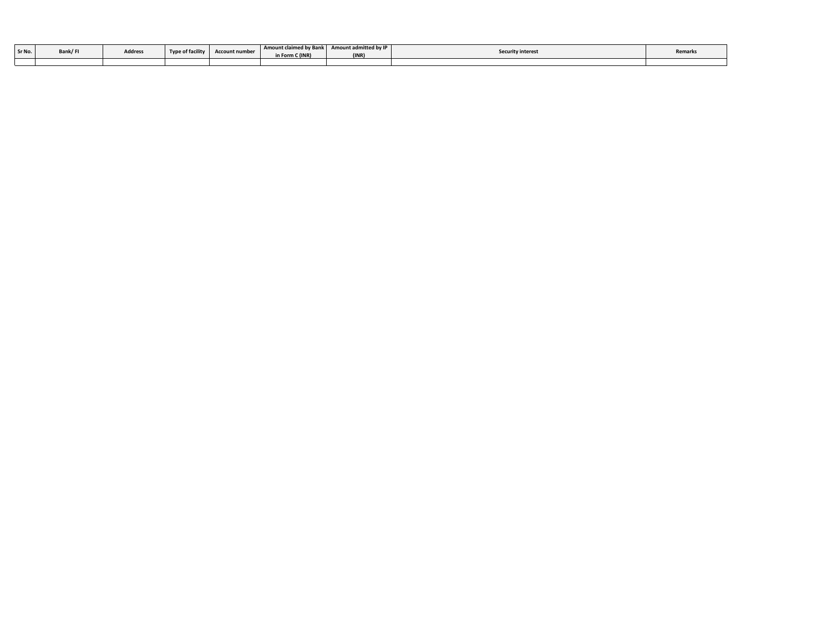| Sr No. | Bank/FI |         | <b>Type of facility</b> |                       | <b>Amount claimed by Bank</b> | Amount admitted by IP |                          |         |
|--------|---------|---------|-------------------------|-----------------------|-------------------------------|-----------------------|--------------------------|---------|
|        |         | Address |                         | <b>Account number</b> | in Form C (INR)               | (INR                  | <b>Security interest</b> | Remarks |
|        |         |         |                         |                       |                               |                       |                          |         |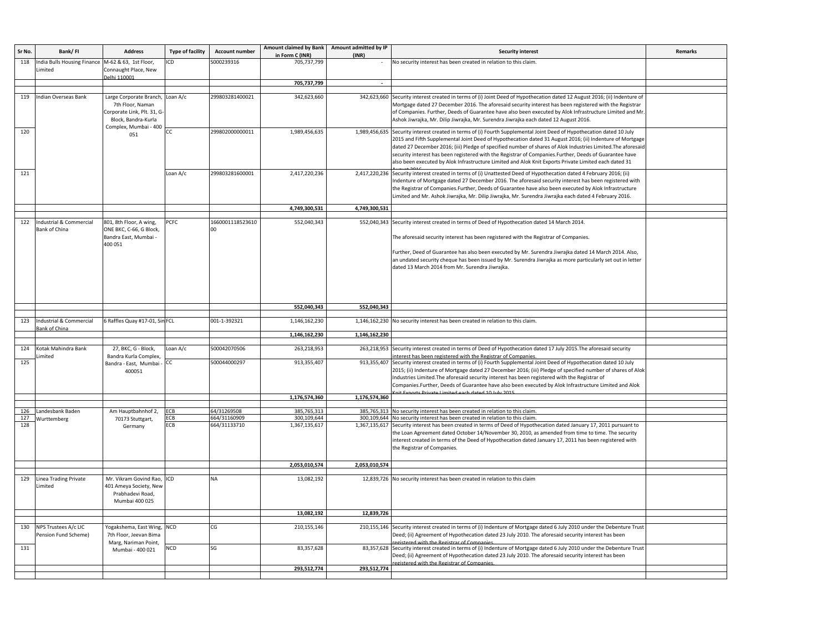| Sr No. | Bank/FI                     | <b>Address</b>                 | <b>Type of facility</b> | Account number   | <b>Amount claimed by Bank</b> | Amount admitted by IP | <b>Security interest</b>                                                                                                                                          | <b>Remarks</b> |
|--------|-----------------------------|--------------------------------|-------------------------|------------------|-------------------------------|-----------------------|-------------------------------------------------------------------------------------------------------------------------------------------------------------------|----------------|
|        |                             |                                |                         |                  | in Form C (INR)               | (INR)                 |                                                                                                                                                                   |                |
| 118    | India Bulls Housing Finance | M-62 & 63, 1st Floor,          | ICD                     | S000239316       | 705,737,799                   |                       | No security interest has been created in relation to this claim.                                                                                                  |                |
|        | Limited                     | Connaught Place, New           |                         |                  |                               |                       |                                                                                                                                                                   |                |
|        |                             | elhi 110001                    |                         |                  | 705,737,799                   |                       |                                                                                                                                                                   |                |
|        |                             |                                |                         |                  |                               |                       |                                                                                                                                                                   |                |
| 119    | Indian Overseas Bank        | Large Corporate Branch,        | Loan A/c                | 299803281400021  | 342,623,660                   |                       | 342,623,660 Security interest created in terms of (i) Joint Deed of Hypothecation dated 12 August 2016; (ii) Indenture of                                         |                |
|        |                             | 7th Floor, Naman               |                         |                  |                               |                       | Mortgage dated 27 December 2016. The aforesaid security interest has been registered with the Registrar                                                           |                |
|        |                             | Corporate Link, Plt. 31, G-    |                         |                  |                               |                       | of Companies. Further, Deeds of Guarantee have also been executed by Alok Infrastructure Limited and Mr                                                           |                |
|        |                             | Block, Bandra-Kurla            |                         |                  |                               |                       | Ashok Jiwrajka, Mr. Dilip Jiwrajka, Mr. Surendra Jiwrajka each dated 12 August 2016.                                                                              |                |
|        |                             | Complex, Mumbai - 400          |                         |                  |                               |                       |                                                                                                                                                                   |                |
| 120    |                             | 051                            | CC                      | 299802000000011  | 1,989,456,635                 |                       | 1,989,456,635 Security interest created in terms of (i) Fourth Supplemental Joint Deed of Hypothecation dated 10 July                                             |                |
|        |                             |                                |                         |                  |                               |                       | 2015 and Fifth Supplemental Joint Deed of Hypothecation dated 31 August 2016; (ii) Indenture of Mortgage                                                          |                |
|        |                             |                                |                         |                  |                               |                       | dated 27 December 2016; (iii) Pledge of specified number of shares of Alok Industries Limited. The aforesaio                                                      |                |
|        |                             |                                |                         |                  |                               |                       | security interest has been registered with the Registrar of Companies. Further, Deeds of Guarantee have                                                           |                |
|        |                             |                                |                         |                  |                               |                       | also been executed by Alok Infrastructure Limited and Alok Knit Exports Private Limited each dated 31                                                             |                |
| 121    |                             |                                | Loan A/c                | 299803281600001  | 2,417,220,236                 |                       | 2,417,220,236 Security interest created in terms of (i) Unattested Deed of Hypothecation dated 4 February 2016; (ii)                                              |                |
|        |                             |                                |                         |                  |                               |                       | Indenture of Mortgage dated 27 December 2016. The aforesaid security interest has been registered with                                                            |                |
|        |                             |                                |                         |                  |                               |                       | the Registrar of Companies.Further, Deeds of Guarantee have also been executed by Alok Infrastructure                                                             |                |
|        |                             |                                |                         |                  |                               |                       | Limited and Mr. Ashok Jiwrajka, Mr. Dilip Jiwrajka, Mr. Surendra Jiwrajka each dated 4 February 2016.                                                             |                |
|        |                             |                                |                         |                  |                               |                       |                                                                                                                                                                   |                |
|        |                             |                                |                         |                  | 4,749,300,531                 | 4,749,300,531         |                                                                                                                                                                   |                |
|        |                             |                                |                         |                  |                               |                       |                                                                                                                                                                   |                |
| 122    | Industrial & Commercial     | 801, 8th Floor, A wing,        | <b>PCFC</b>             | 1660001118523610 | 552,040,343                   |                       | 552,040,343 Security interest created in terms of Deed of Hypothecation dated 14 March 2014.                                                                      |                |
|        | Bank of China               | ONE BKC, C-66, G Block,        |                         | 00               |                               |                       |                                                                                                                                                                   |                |
|        |                             | Bandra East, Mumbai -          |                         |                  |                               |                       | The aforesaid security interest has been registered with the Registrar of Companies.                                                                              |                |
|        |                             | 400 051                        |                         |                  |                               |                       |                                                                                                                                                                   |                |
|        |                             |                                |                         |                  |                               |                       | Further, Deed of Guarantee has also been executed by Mr. Surendra Jiwrajka dated 14 March 2014. Also,                                                             |                |
|        |                             |                                |                         |                  |                               |                       | an undated security cheque has been issued by Mr. Surendra Jiwrajka as more particularly set out in letter                                                        |                |
|        |                             |                                |                         |                  |                               |                       | dated 13 March 2014 from Mr. Surendra Jiwrajka.                                                                                                                   |                |
|        |                             |                                |                         |                  |                               |                       |                                                                                                                                                                   |                |
|        |                             |                                |                         |                  |                               |                       |                                                                                                                                                                   |                |
|        |                             |                                |                         |                  |                               |                       |                                                                                                                                                                   |                |
|        |                             |                                |                         |                  |                               |                       |                                                                                                                                                                   |                |
|        |                             |                                |                         |                  | 552,040,343                   | 552,040,343           |                                                                                                                                                                   |                |
|        |                             |                                |                         |                  |                               |                       |                                                                                                                                                                   |                |
| 123    | Industrial & Commercial     | 6 Raffles Quay #17-01, Sin FCL |                         | 001-1-392321     | 1,146,162,230                 |                       | 1,146,162,230 No security interest has been created in relation to this claim.                                                                                    |                |
|        | <b>Bank of China</b>        |                                |                         |                  | 1,146,162,230                 | 1,146,162,230         |                                                                                                                                                                   |                |
|        |                             |                                |                         |                  |                               |                       |                                                                                                                                                                   |                |
| 124    | Kotak Mahindra Bank         | 27, BKC, G - Block,            | Loan A/c                | 500042070506     | 263,218,953                   | 263,218,953           | Security interest created in terms of Deed of Hypothecation dated 17 July 2015. The aforesaid security                                                            |                |
|        | imited                      | Bandra Kurla Complex,          |                         |                  |                               |                       | nterest has been registered with the Registrar of Companies                                                                                                       |                |
| 125    |                             | Bandra - East, Mumbai          | <sub>CC</sub>           | 500044000297     | 913,355,407                   | 913,355,407           | Security interest created in terms of (i) Fourth Supplemental Joint Deed of Hypothecation dated 10 July                                                           |                |
|        |                             | 400051                         |                         |                  |                               |                       | 2015; (ii) Indenture of Mortgage dated 27 December 2016; (iii) Pledge of specified number of shares of Alok                                                       |                |
|        |                             |                                |                         |                  |                               |                       | Industries Limited. The aforesaid security interest has been registered with the Registrar of                                                                     |                |
|        |                             |                                |                         |                  |                               |                       | Companies.Further, Deeds of Guarantee have also been executed by Alok Infrastructure Limited and Alok                                                             |                |
|        |                             |                                |                         |                  |                               |                       | d 10 July 201                                                                                                                                                     |                |
|        |                             |                                |                         |                  | 1,176,574,360                 | 1,176,574,360         |                                                                                                                                                                   |                |
| 126    | Landesbank Baden            | Am Hauptbahnhof 2,             | ECB                     | 64/31269508      | 385,765,313                   |                       | 385,765,313 No security interest has been created in relation to this claim.                                                                                      |                |
| 127    | Wurttemberg                 | 70173 Stuttgart,               | ECB                     | 664/31160909     | 300,109,644                   |                       | 300,109,644 No security interest has been created in relation to this claim                                                                                       |                |
| 128    |                             | Germany                        | ECB                     | 664/31133710     | 1,367,135,617                 | 1,367,135,617         | Security interest has been created in terms of Deed of Hypothecation dated January 17, 2011 pursuant to                                                           |                |
|        |                             |                                |                         |                  |                               |                       | the Loan Agreement dated October 14/November 30, 2010, as amended from time to time. The security                                                                 |                |
|        |                             |                                |                         |                  |                               |                       | interest created in terms of the Deed of Hypothecation dated January 17, 2011 has been registered with                                                            |                |
|        |                             |                                |                         |                  |                               |                       | the Registrar of Companies.                                                                                                                                       |                |
|        |                             |                                |                         |                  |                               |                       |                                                                                                                                                                   |                |
|        |                             |                                |                         |                  | 2,053,010,574                 | 2,053,010,574         |                                                                                                                                                                   |                |
|        |                             |                                |                         |                  |                               |                       |                                                                                                                                                                   |                |
| 129    | Linea Trading Private       | Mr. Vikram Govind Rao, ICD     |                         | <b>NA</b>        | 13,082,192                    |                       | 12,839,726 No security interest has been created in relation to this claim                                                                                        |                |
|        | Limited                     | 401 Ameya Society, New         |                         |                  |                               |                       |                                                                                                                                                                   |                |
|        |                             | Prabhadevi Road,               |                         |                  |                               |                       |                                                                                                                                                                   |                |
|        |                             | Mumbai 400 025                 |                         |                  |                               |                       |                                                                                                                                                                   |                |
|        |                             |                                |                         |                  |                               |                       |                                                                                                                                                                   |                |
|        |                             |                                |                         |                  | 13,082,192                    | 12,839,726            |                                                                                                                                                                   |                |
|        |                             |                                |                         |                  |                               |                       |                                                                                                                                                                   |                |
| 130    | NPS Trustees A/c LIC        | Yogakshema, East Wing, NCD     |                         | CG               | 210,155,146                   |                       | 210,155,146 Security interest created in terms of (i) Indenture of Mortgage dated 6 July 2010 under the Debenture Trust                                           |                |
|        | Pension Fund Scheme)        | 7th Floor, Jeevan Bima         |                         |                  |                               |                       | Deed; (ii) Agreement of Hypothecation dated 23 July 2010. The aforesaid security interest has been                                                                |                |
| 131    |                             | Marg, Nariman Point,           | <b>NCD</b>              | SG               | 83,357,628                    |                       | istered with the Registrar of Companies<br>83,357,628 Security interest created in terms of (i) Indenture of Mortgage dated 6 July 2010 under the Debenture Trust |                |
|        |                             | Mumbai - 400 021               |                         |                  |                               |                       | Deed; (ii) Agreement of Hypothecation dated 23 July 2010. The aforesaid security interest has been                                                                |                |
|        |                             |                                |                         |                  |                               |                       | istered with the Registrar of Companies                                                                                                                           |                |
|        |                             |                                |                         |                  | 293,512,774                   | 293,512,774           |                                                                                                                                                                   |                |
|        |                             |                                |                         |                  |                               |                       |                                                                                                                                                                   |                |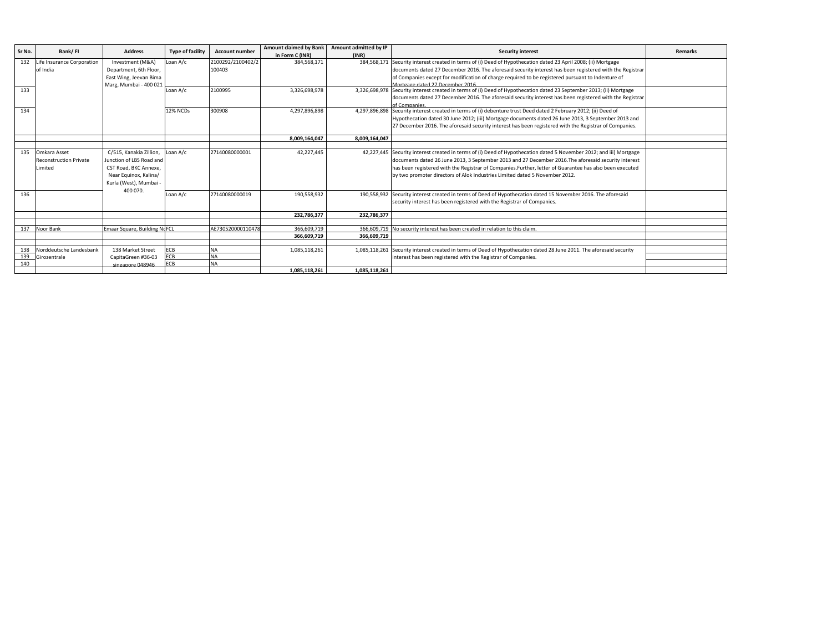| Sr No. | Bank/FI                       | <b>Address</b>                      | <b>Type of facility</b> | <b>Account number</b> | <b>Amount claimed by Bank</b> | Amount admitted by IP | <b>Security interest</b>                                                                                             | <b>Remarks</b> |
|--------|-------------------------------|-------------------------------------|-------------------------|-----------------------|-------------------------------|-----------------------|----------------------------------------------------------------------------------------------------------------------|----------------|
|        |                               |                                     |                         |                       | in Form C (INR)               | (INR)                 |                                                                                                                      |                |
| 132    | ife Insurance Corporation     | Investment (M&A)                    | Loan A/c                | 2100292/2100402/2     | 384,568,171                   |                       | 384,568,171 Security interest created in terms of (i) Deed of Hypothecation dated 23 April 2008; (ii) Mortgage       |                |
|        | of India                      | Department, 6th Floor,              |                         | 100403                |                               |                       | documents dated 27 December 2016. The aforesaid security interest has been registered with the Registrar             |                |
|        |                               | East Wing, Jeevan Bima              |                         |                       |                               |                       | of Companies except for modification of charge required to be registered pursuant to Indenture of                    |                |
|        |                               | Marg, Mumbai - 400 021              |                         |                       |                               |                       | Mortgage dated 27 December 2016                                                                                      |                |
| 133    |                               |                                     | Loan A/c                | 2100995               | 3,326,698,978                 |                       | 3,326,698,978 Security interest created in terms of (i) Deed of Hypothecation dated 23 September 2013; (ii) Mortgage |                |
|        |                               |                                     |                         |                       |                               |                       | documents dated 27 December 2016. The aforesaid security interest has been registered with the Registrar             |                |
|        |                               |                                     |                         |                       |                               |                       | of Companies                                                                                                         |                |
| 134    |                               |                                     | 12% NCDs                | 300908                | 4,297,896,898                 |                       | 4,297,896,898 Security interest created in terms of (i) debenture trust Deed dated 2 February 2012; (ii) Deed of     |                |
|        |                               |                                     |                         |                       |                               |                       | Hypothecation dated 30 June 2012; (iii) Mortgage documents dated 26 June 2013, 3 September 2013 and                  |                |
|        |                               |                                     |                         |                       |                               |                       | 27 December 2016. The aforesaid security interest has been registered with the Registrar of Companies.               |                |
|        |                               |                                     |                         |                       |                               |                       |                                                                                                                      |                |
|        |                               |                                     |                         |                       | 8.009.164.047                 | 8.009.164.047         |                                                                                                                      |                |
|        |                               |                                     |                         |                       |                               |                       |                                                                                                                      |                |
| 135    | Omkara Asset                  | C/515, Kanakia Zillion, Loan A/c    |                         | 27140080000001        | 42,227,445                    |                       | 42,227,445 Security interest created in terms of (i) Deed of Hypothecation dated 5 November 2012; and iii) Mortgage  |                |
|        | <b>Reconstruction Private</b> | Junction of LBS Road and            |                         |                       |                               |                       | documents dated 26 June 2013, 3 September 2013 and 27 December 2016. The aforesaid security interest                 |                |
|        | Limited                       | CST Road, BKC Annexe,               |                         |                       |                               |                       | has been registered with the Registrar of Companies. Further, letter of Guarantee has also been executed             |                |
|        |                               | Near Equinox, Kalina/               |                         |                       |                               |                       | by two promoter directors of Alok Industries Limited dated 5 November 2012.                                          |                |
|        |                               | Kurla (West), Mumbai -              |                         |                       |                               |                       |                                                                                                                      |                |
|        |                               | 400 070.                            |                         |                       |                               |                       |                                                                                                                      |                |
| 136    |                               |                                     | Loan A/c                | 27140080000019        | 190,558,932                   |                       | 190,558,932 Security interest created in terms of Deed of Hypothecation dated 15 November 2016. The aforesaid        |                |
|        |                               |                                     |                         |                       |                               |                       | security interest has been registered with the Registrar of Companies.                                               |                |
|        |                               |                                     |                         |                       |                               |                       |                                                                                                                      |                |
|        |                               |                                     |                         |                       | 232,786,377                   | 232,786,377           |                                                                                                                      |                |
|        |                               |                                     |                         |                       |                               |                       |                                                                                                                      |                |
| 137    | Noor Bank                     | <b>Emaar Square, Building NoFCL</b> |                         | AE730520000110478     | 366.609.719                   |                       | 366,609,719 No security interest has been created in relation to this claim.                                         |                |
|        |                               |                                     |                         |                       | 366,609,719                   | 366,609,719           |                                                                                                                      |                |
|        |                               |                                     |                         |                       |                               |                       |                                                                                                                      |                |
| 138    | Norddeutsche Landesbank       | 138 Market Street                   | ECB                     | <b>NA</b>             | 1,085,118,261                 |                       | 1,085,118,261 Security interest created in terms of Deed of Hypothecation dated 28 June 2011. The aforesaid security |                |
| 139    | Girozentrale                  | CapitaGreen #36-03                  | ECB                     | <b>NA</b>             |                               |                       | interest has been registered with the Registrar of Companies.                                                        |                |
| 140    |                               | singanore 048946                    | ECB                     | <b>NA</b>             |                               |                       |                                                                                                                      |                |
|        |                               |                                     |                         |                       | 1,085,118,261                 | 1,085,118,261         |                                                                                                                      |                |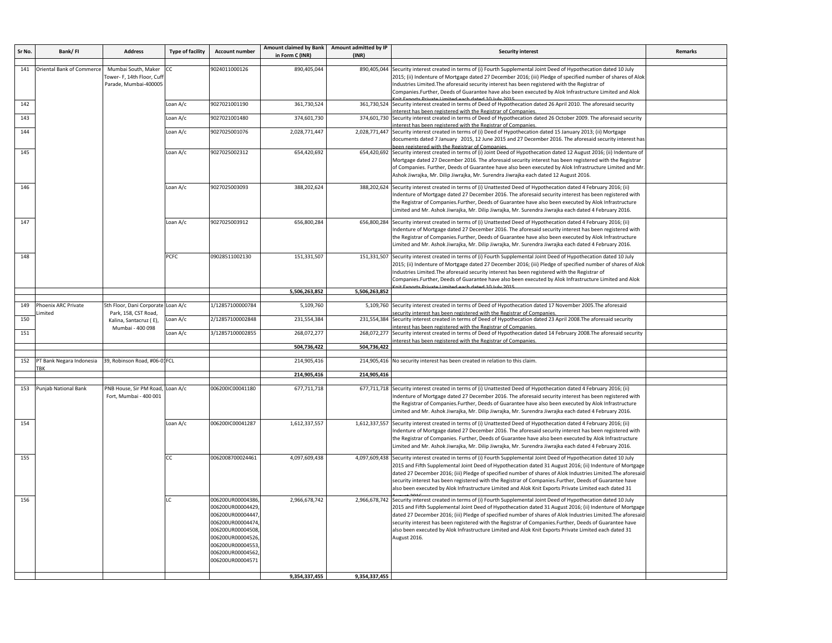| Sr No. | Bank/FI                       | <b>Address</b>                                                             | <b>Type of facility</b> | <b>Account number</b>                                                                                                                                                            | Amount claimed by Bank Amount admitted by IP<br>in Form C (INR) | (INR)         | <b>Security interest</b>                                                                                                                                                                                                                                                                                                                                                                                                                                                                                                                                                             | Remarks |
|--------|-------------------------------|----------------------------------------------------------------------------|-------------------------|----------------------------------------------------------------------------------------------------------------------------------------------------------------------------------|-----------------------------------------------------------------|---------------|--------------------------------------------------------------------------------------------------------------------------------------------------------------------------------------------------------------------------------------------------------------------------------------------------------------------------------------------------------------------------------------------------------------------------------------------------------------------------------------------------------------------------------------------------------------------------------------|---------|
| 141    | Oriental Bank of Commerce     | Mumbai South, Maker<br>Tower- F, 14th Floor, Cuff<br>Parade, Mumbai-400005 | СC                      | 9024011000126                                                                                                                                                                    | 890,405,044                                                     | 890,405,044   | Security interest created in terms of (i) Fourth Supplemental Joint Deed of Hypothecation dated 10 July<br>2015; (ii) Indenture of Mortgage dated 27 December 2016; (iii) Pledge of specified number of shares of Alok<br>Industries Limited. The aforesaid security interest has been registered with the Registrar of<br>Companies.Further, Deeds of Guarantee have also been executed by Alok Infrastructure Limited and Alok                                                                                                                                                     |         |
| 142    |                               |                                                                            | Loan A/c                | 9027021001190                                                                                                                                                                    | 361,730,524                                                     |               | 361,730,524 Security interest created in terms of Deed of Hypothecation dated 26 April 2010. The aforesaid security<br>iterest has been registered with the Registrar of Companies.                                                                                                                                                                                                                                                                                                                                                                                                  |         |
| 143    |                               |                                                                            | Loan A/c                | 9027021001480                                                                                                                                                                    | 374,601,730                                                     |               | 374,601,730 Security interest created in terms of Deed of Hypothecation dated 26 October 2009. The aforesaid security<br>nterest has been registered with the Registrar of Companies                                                                                                                                                                                                                                                                                                                                                                                                 |         |
| 144    |                               |                                                                            | Loan A/c                | 9027025001076                                                                                                                                                                    | 2,028,771,447                                                   |               | 2,028,771,447 Security interest created in terms of (i) Deed of Hypothecation dated 15 January 2013; (ii) Mortgage<br>documents dated 7 January 2015, 12 June 2015 and 27 December 2016. The aforesaid security interest has<br>een registered with the Registrar of Companies                                                                                                                                                                                                                                                                                                       |         |
| 145    |                               |                                                                            | Loan A/c                | 9027025002312                                                                                                                                                                    | 654,420,692                                                     |               | 654,420,692 Security interest created in terms of (i) Joint Deed of Hypothecation dated 12 August 2016; (ii) Indenture of<br>Mortgage dated 27 December 2016. The aforesaid security interest has been registered with the Registrar<br>of Companies. Further, Deeds of Guarantee have also been executed by Alok Infrastructure Limited and Mr<br>Ashok Jiwrajka, Mr. Dilip Jiwrajka, Mr. Surendra Jiwrajka each dated 12 August 2016.                                                                                                                                              |         |
| 146    |                               |                                                                            | Loan A/c                | 9027025003093                                                                                                                                                                    | 388,202,624                                                     |               | 388,202,624 Security interest created in terms of (i) Unattested Deed of Hypothecation dated 4 February 2016; (ii)<br>Indenture of Mortgage dated 27 December 2016. The aforesaid security interest has been registered with<br>the Registrar of Companies.Further, Deeds of Guarantee have also been executed by Alok Infrastructure<br>Limited and Mr. Ashok Jiwrajka, Mr. Dilip Jiwrajka, Mr. Surendra Jiwrajka each dated 4 February 2016.                                                                                                                                       |         |
| 147    |                               |                                                                            | Loan A/c                | 9027025003912                                                                                                                                                                    | 656,800,284                                                     |               | 656,800,284 Security interest created in terms of (i) Unattested Deed of Hypothecation dated 4 February 2016; (ii)<br>Indenture of Mortgage dated 27 December 2016. The aforesaid security interest has been registered with<br>the Registrar of Companies.Further, Deeds of Guarantee have also been executed by Alok Infrastructure<br>imited and Mr. Ashok Jiwrajka, Mr. Dilip Jiwrajka, Mr. Surendra Jiwrajka each dated 4 February 2016.                                                                                                                                        |         |
| 148    |                               |                                                                            | <b>PCFC</b>             | 09028511002130                                                                                                                                                                   | 151,331,507                                                     |               | 151,331,507 Security interest created in terms of (i) Fourth Supplemental Joint Deed of Hypothecation dated 10 July<br>2015; (ii) Indenture of Mortgage dated 27 December 2016; (iii) Pledge of specified number of shares of Alok<br>Industries Limited. The aforesaid security interest has been registered with the Registrar of<br>Companies.Further, Deeds of Guarantee have also been executed by Alok Infrastructure Limited and Alok                                                                                                                                         |         |
|        |                               |                                                                            |                         |                                                                                                                                                                                  | 5,506,263,852                                                   | 5,506,263,852 |                                                                                                                                                                                                                                                                                                                                                                                                                                                                                                                                                                                      |         |
| 149    | Phoenix ARC Private<br>imited | 5th Floor, Dani Corporate Loan A/c<br>Park, 158, CST Road,                 |                         | 1/12857100000784                                                                                                                                                                 | 5,109,760                                                       |               | 5,109,760 Security interest created in terms of Deed of Hypothecation dated 17 November 2005. The aforesaid<br>curity interest has been registered with the Registrar of Companies                                                                                                                                                                                                                                                                                                                                                                                                   |         |
| 150    |                               | Kalina, Santacruz (E),<br>Mumbai - 400 098                                 | Loan A/c                | 2/12857100002848                                                                                                                                                                 | 231,554,384                                                     |               | 231,554,384 Security interest created in terms of Deed of Hypothecation dated 23 April 2008. The aforesaid security<br>nterest has been registered with the Registrar of Companies                                                                                                                                                                                                                                                                                                                                                                                                   |         |
| 151    |                               |                                                                            | Loan A/c                | 3/12857100002855                                                                                                                                                                 | 268,072,277                                                     |               | 268,072,277 Security interest created in terms of Deed of Hypothecation dated 14 February 2008. The aforesaid security<br>nterest has been registered with the Registrar of Companies                                                                                                                                                                                                                                                                                                                                                                                                |         |
|        |                               |                                                                            |                         |                                                                                                                                                                                  | 504,736,422                                                     | 504,736,422   |                                                                                                                                                                                                                                                                                                                                                                                                                                                                                                                                                                                      |         |
| 152    | PT Bank Negara Indonesia      | 39, Robinson Road, #06-01FCL                                               |                         |                                                                                                                                                                                  | 214,905,416                                                     |               | 214,905,416 No security interest has been created in relation to this claim.                                                                                                                                                                                                                                                                                                                                                                                                                                                                                                         |         |
|        |                               |                                                                            |                         |                                                                                                                                                                                  | 214,905,416                                                     | 214,905,416   |                                                                                                                                                                                                                                                                                                                                                                                                                                                                                                                                                                                      |         |
| 153    | Punjab National Bank          | PNB House, Sir PM Road,<br>Fort, Mumbai - 400 001                          | Loan A/c                | 006200IC00041180                                                                                                                                                                 | 677,711,718                                                     |               | 677,711,718 Security interest created in terms of (i) Unattested Deed of Hypothecation dated 4 February 2016; (ii)<br>Indenture of Mortgage dated 27 December 2016. The aforesaid security interest has been registered with<br>the Registrar of Companies.Further, Deeds of Guarantee have also been executed by Alok Infrastructure<br>Limited and Mr. Ashok Jiwrajka, Mr. Dilip Jiwrajka, Mr. Surendra Jiwrajka each dated 4 February 2016.                                                                                                                                       |         |
| 154    |                               |                                                                            | Loan A/c                | 006200IC00041287                                                                                                                                                                 | 1,612,337,557                                                   |               | 1,612,337,557 Security interest created in terms of (i) Unattested Deed of Hypothecation dated 4 February 2016; (ii)<br>Indenture of Mortgage dated 27 December 2016. The aforesaid security interest has been registered with<br>the Registrar of Companies. Further, Deeds of Guarantee have also been executed by Alok Infrastructure<br>Limited and Mr. Ashok Jiwrajka, Mr. Dilip Jiwrajka, Mr. Surendra Jiwrajka each dated 4 February 2016.                                                                                                                                    |         |
| 155    |                               |                                                                            | CC                      | 0062008700024461                                                                                                                                                                 | 4,097,609,438                                                   |               | 4,097,609,438 Security interest created in terms of (i) Fourth Supplemental Joint Deed of Hypothecation dated 10 July<br>2015 and Fifth Supplemental Joint Deed of Hypothecation dated 31 August 2016; (ii) Indenture of Mortgage<br>dated 27 December 2016; (iii) Pledge of specified number of shares of Alok Industries Limited. The aforesaid<br>security interest has been registered with the Registrar of Companies. Further, Deeds of Guarantee have<br>also been executed by Alok Infrastructure Limited and Alok Knit Exports Private Limited each dated 31                |         |
| 156    |                               |                                                                            | LC                      | 006200UR00004386<br>006200UR00004429<br>006200UR00004447<br>006200UR00004474<br>006200UR00004508<br>006200UR00004526<br>006200UR00004553<br>006200UR00004562<br>006200UR00004571 | 2,966,678,742<br>9,354,337,455                                  | 9,354,337,455 | 2,966,678,742 Security interest created in terms of (i) Fourth Supplemental Joint Deed of Hypothecation dated 10 July<br>2015 and Fifth Supplemental Joint Deed of Hypothecation dated 31 August 2016; (ii) Indenture of Mortgage<br>dated 27 December 2016; (iii) Pledge of specified number of shares of Alok Industries Limited. The aforesaid<br>security interest has been registered with the Registrar of Companies.Further, Deeds of Guarantee have<br>also been executed by Alok Infrastructure Limited and Alok Knit Exports Private Limited each dated 31<br>August 2016. |         |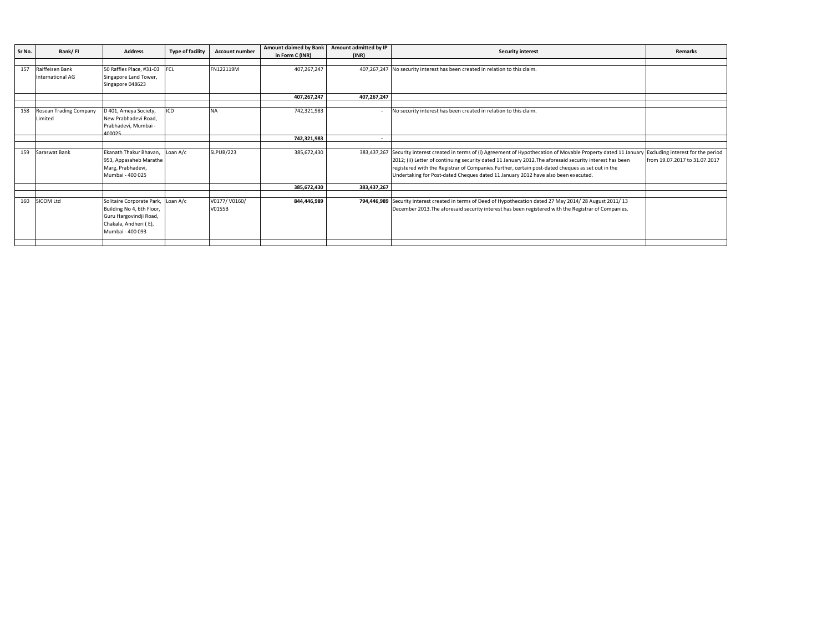| Sr No. | Bank/FI                                    | <b>Address</b>                                                                                                                         | <b>Type of facility</b> | <b>Account number</b>  | <b>Amount claimed by Bank</b> | Amount admitted by IP | <b>Security interest</b>                                                                                                                                                                                                                                                                                                                                                                                                   | <b>Remarks</b>                                                     |
|--------|--------------------------------------------|----------------------------------------------------------------------------------------------------------------------------------------|-------------------------|------------------------|-------------------------------|-----------------------|----------------------------------------------------------------------------------------------------------------------------------------------------------------------------------------------------------------------------------------------------------------------------------------------------------------------------------------------------------------------------------------------------------------------------|--------------------------------------------------------------------|
|        |                                            |                                                                                                                                        |                         |                        | in Form C (INR)               | (INR)                 |                                                                                                                                                                                                                                                                                                                                                                                                                            |                                                                    |
| 157    | Raiffeisen Bank<br><b>International AG</b> | 50 Raffles Place, #31-03 FCL<br>Singapore Land Tower,<br>Singapore 048623                                                              |                         | FN122119M              | 407,267,247                   |                       | 407,267,247 No security interest has been created in relation to this claim.                                                                                                                                                                                                                                                                                                                                               |                                                                    |
|        |                                            |                                                                                                                                        |                         |                        | 407,267,247                   | 407,267,247           |                                                                                                                                                                                                                                                                                                                                                                                                                            |                                                                    |
| 158    | Rosean Trading Company<br>Limited          | D 401, Ameya Society,<br>New Prabhadevi Road,<br>Prabhadevi, Mumbai -<br>200010                                                        | ICD                     | <b>NA</b>              | 742,321,983                   |                       | No security interest has been created in relation to this claim.                                                                                                                                                                                                                                                                                                                                                           |                                                                    |
|        |                                            |                                                                                                                                        |                         |                        | 742,321,983                   |                       |                                                                                                                                                                                                                                                                                                                                                                                                                            |                                                                    |
| 159    | Saraswat Bank                              | Ekanath Thakur Bhavan,<br>953, Appasaheb Marathe<br>Marg, Prabhadevi,<br>Mumbai - 400 025                                              | Loan A/c                | <b>SLPUB/223</b>       | 385,672,430                   |                       | 383,437,267 Security interest created in terms of (i) Agreement of Hypothecation of Movable Property dated 11 January<br>2012; (ii) Letter of continuing security dated 11 January 2012. The aforesaid security interest has been<br>registered with the Registrar of Companies.Further, certain post-dated cheques as set out in the<br>Undertaking for Post-dated Cheques dated 11 January 2012 have also been executed. | Excluding interest for the period<br>from 19.07.2017 to 31.07.2017 |
|        |                                            |                                                                                                                                        |                         |                        | 385,672,430                   | 383,437,267           |                                                                                                                                                                                                                                                                                                                                                                                                                            |                                                                    |
| 160    | SICOM Ltd                                  | Solitaire Corporate Park, Loan A/c<br>Building No 4, 6th Floor,<br>Guru Hargovindji Road,<br>Chakala, Andheri (E),<br>Mumbai - 400 093 |                         | V0177/V0160/<br>V0155B | 844,446,989                   |                       | 794,446,989 Security interest created in terms of Deed of Hypothecation dated 27 May 2014/28 August 2011/13<br>December 2013. The aforesaid security interest has been registered with the Registrar of Companies.                                                                                                                                                                                                         |                                                                    |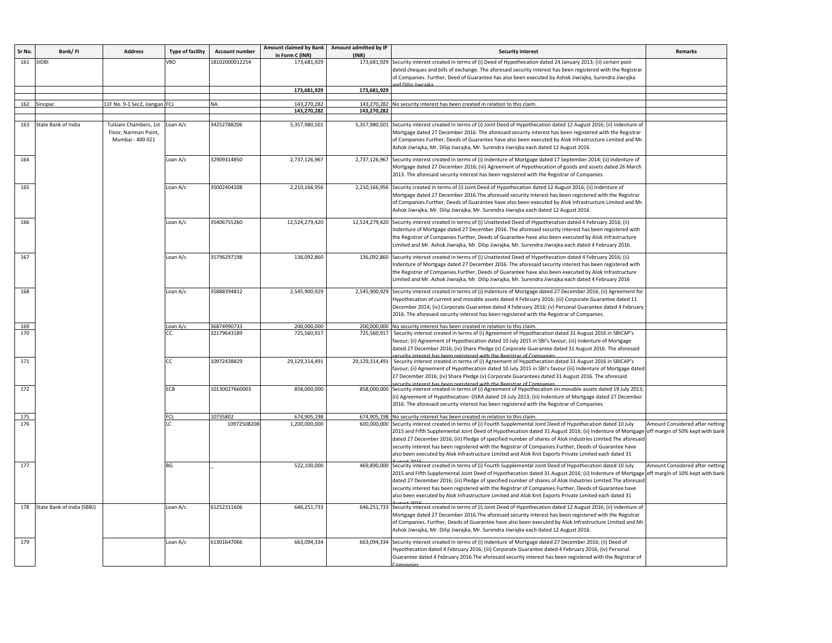| Sr No. | Bank/FI                    | <b>Address</b>                                                               | <b>Type of facility</b> | <b>Account number</b> | in Form C (INR) | Amount claimed by Bank Amount admitted by IP<br>(INR) | <b>Security interest</b>                                                                                                                                                                                                                                                                                                                                                                                                                                                                                                                                            | Remarks                                                             |
|--------|----------------------------|------------------------------------------------------------------------------|-------------------------|-----------------------|-----------------|-------------------------------------------------------|---------------------------------------------------------------------------------------------------------------------------------------------------------------------------------------------------------------------------------------------------------------------------------------------------------------------------------------------------------------------------------------------------------------------------------------------------------------------------------------------------------------------------------------------------------------------|---------------------------------------------------------------------|
|        | 161 SIDBI                  |                                                                              | VBD                     | 18102000012254        | 173,681,929     | 173,681,929                                           | Security interest created in terms of (i) Deed of Hypothecation dated 24 January 2013; (ii) certain post-<br>dated cheques and bills of exchange. The aforesaid security interest has been registered with the Registrar                                                                                                                                                                                                                                                                                                                                            |                                                                     |
|        |                            |                                                                              |                         |                       |                 |                                                       | of Companies. Further, Deed of Guarantee has also been executed by Ashok Jiwrajka, Surendra Jiwrajka                                                                                                                                                                                                                                                                                                                                                                                                                                                                |                                                                     |
|        |                            |                                                                              |                         |                       | 173,681,929     | 173,681,929                                           |                                                                                                                                                                                                                                                                                                                                                                                                                                                                                                                                                                     |                                                                     |
|        | 162 Sinopac                | 11F No. 9-1 Sec2, Jianguo FCL                                                |                         | NА                    | 143,270,282     | 143,270,282                                           | No security interest has been created in relation to this claim.                                                                                                                                                                                                                                                                                                                                                                                                                                                                                                    |                                                                     |
|        |                            |                                                                              |                         |                       | 143,270,282     | 143,270,282                                           |                                                                                                                                                                                                                                                                                                                                                                                                                                                                                                                                                                     |                                                                     |
|        |                            |                                                                              |                         |                       |                 |                                                       |                                                                                                                                                                                                                                                                                                                                                                                                                                                                                                                                                                     |                                                                     |
| 163    | State Bank of India        | Tulsiani Chambers, 1st Loan A/c<br>Floor, Nariman Point,<br>Mumbai - 400 021 |                         | 34252788206           | 5,357,980,501   |                                                       | 5,357,980,501 Security interest created in terms of (i) Joint Deed of Hypothecation dated 12 August 2016; (ii) Indenture of<br>Mortgage dated 27 December 2016. The aforesaid security interest has been registered with the Registrar<br>of Companies.Further, Deeds of Guarantee have also been executed by Alok Infrastructure Limited and Mr.<br>Ashok Jiwrajka, Mr. Dilip Jiwrajka, Mr. Surendra Jiwrajka each dated 12 August 2016.                                                                                                                           |                                                                     |
| 164    |                            |                                                                              | Loan A/c                | 32909314850           | 2,737,126,967   |                                                       | 2,737,126,967 Security interest created in terms of (i) Indenture of Mortgage dated 17 September 2014; (ii) Indenture of<br>Mortgage dated 27 December 2016; (iii) Agreement of Hypothecation of goods and assets dated 26 March<br>2013. The aforesaid security interest has been registered with the Registrar of Companies.                                                                                                                                                                                                                                      |                                                                     |
| 165    |                            |                                                                              | Loan A/c                | 35002404208           | 2,210,166,956   | 2,210,166,956                                         | Security created in terms of (i) Joint Deed of Hypothecation dated 12 August 2016; (ii) Indenture of<br>Mortgage dated 27 December 2016. The aforesaid security interest has been registered with the Registrar<br>of Companies.Further, Deeds of Guarantee have also been executed by Alok Infrastructure Limited and Mr.<br>Ashok Jiwrajka, Mr. Dilip Jiwrajka, Mr. Surendra Jiwrajka each dated 12 August 2016.                                                                                                                                                  |                                                                     |
| 166    |                            |                                                                              | Loan A/c                | 35406755260           | 12,524,279,420  |                                                       | 12,524,279,420 Security interest created in terms of (i) Unattested Deed of Hypothecation dated 4 February 2016; (ii)<br>Indenture of Mortgage dated 27 December 2016. The aforesaid security interest has been registered with<br>he Registrar of Companies.Further, Deeds of Guarantee have also been executed by Alok Infrastructure<br>Limited and Mr. Ashok Jiwrajka, Mr. Dilip Jiwrajka, Mr. Surendra Jiwrajka each dated 4 February 2016.                                                                                                                    |                                                                     |
| 167    |                            |                                                                              | Loan A/c                | 35796297198           | 136,092,860     |                                                       | 136,092,860 Security interest created in terms of (i) Unattested Deed of Hypothecation dated 4 February 2016; (ii)<br>Indenture of Mortgage dated 27 December 2016. The aforesaid security interest has been registered with<br>he Registrar of Companies.Further, Deeds of Guarantee have also been executed by Alok Infrastructure<br>Limited and Mr. Ashok Jiwrajka, Mr. Dilip Jiwrajka, Mr. Surendra Jiwrajka each dated 4 February 2016                                                                                                                        |                                                                     |
| 168    |                            |                                                                              | Loan A/c                | 35888394812           | 2,545,900,929   |                                                       | 2,545,900,929 Security interest created in terms of (i) Indenture of Mortgage dated 27 December 2016; (ii) Agreement for<br>Hypothecation of current and movable assets dated 4 February 2016; (iii) Corporate Guarantee dated 11<br>December 2014; (iv) Corporate Guarantee dated 4 February 2016; (v) Personal Guarantee dated 4 February<br>2016. The aforesaid security interest has been registered with the Registrar of Companies.                                                                                                                           |                                                                     |
| 169    |                            |                                                                              | Loan A/c                | 36874990733           | 200,000,000     |                                                       | 200,000,000 No security interest has been created in relation to this claim.                                                                                                                                                                                                                                                                                                                                                                                                                                                                                        |                                                                     |
| 170    |                            |                                                                              | CC.                     | 32179643189           | 725,560,917     | 725,560,917                                           | Security interest created in terms of (i) Agreement of Hypothecation dated 31 August 2016 in SBICAP's<br>favour; (ii) Agreement of Hypothecation dated 10 July 2015 in SBI's favour; (iii) Indenture of Mortgage<br>dated 27 December 2016; (iv) Share Pledge (v) Corporate Guarantee dated 31 August 2016. The aforesaid<br>prurity interest has been registered with the Registrar of Companies                                                                                                                                                                   |                                                                     |
| 171    |                            |                                                                              | CC                      | 10972438829           | 29,129,314,491  | 29,129,314,491                                        | Security interest created in terms of (i) Agreement of Hypothecation dated 31 August 2016 in SBICAP's<br>favour; (ii) Agreement of Hypothecation dated 10 July 2015 in SBI's favour (iii) Indenture of Mortgage dated<br>27 December 2016; (iv) Share Pledge (v) Corporate Guarantees dated 31 August 2016. The aforesaid<br>urity interest has been registered with the Registrar of Companie                                                                                                                                                                      |                                                                     |
| 172    |                            |                                                                              | ECB                     | 10130027660003        | 858,000,000     |                                                       | 858,000,000 Security interest created in terms of (i) Agreement of Hypothecation on movable assets dated 19 July 2013;<br>(ii) Agreement of Hypothecation- DSRA dated 19 July 2013; (iii) Indenture of Mortgage dated 27 December<br>2016. The aforesaid security interest has been registered with the Registrar of Companies.                                                                                                                                                                                                                                     |                                                                     |
| 175    |                            |                                                                              | FCI.                    | 10735802              | 674,905,198     |                                                       | 674,905,198 No security interest has been created in relation to this claim.                                                                                                                                                                                                                                                                                                                                                                                                                                                                                        |                                                                     |
| 176    |                            |                                                                              |                         | 10972508208           | 1,200,000,000   |                                                       | 600,000,000 Security interest created in terms of (i) Fourth Supplemental Joint Deed of Hypothecation dated 10 July<br>2015 and Fifth Supplemental Joint Deed of Hypothecation dated 31 August 2016; (ii) Indenture of Mortgage<br>dated 27 December 2016; (iii) Pledge of specified number of shares of Alok Industries Limited. The aforesair<br>security interest has been registered with the Registrar of Companies. Further, Deeds of Guarantee have<br>also been executed by Alok Infrastructure Limited and Alok Knit Exports Private Limited each dated 31 | Amount Considered after netting<br>off margin of 50% kept with bank |
| 177    |                            |                                                                              | BG                      |                       | 522,100,000     |                                                       | 469,890,000 Security interest created in terms of (i) Fourth Supplemental Joint Deed of Hypothecation dated 10 July<br>2015 and Fifth Supplemental Joint Deed of Hypothecation dated 31 August 2016; (ii) Indenture of Mortgage<br>dated 27 December 2016; (iii) Pledge of specified number of shares of Alok Industries Limited. The aforesaid<br>security interest has been registered with the Registrar of Companies. Further, Deeds of Guarantee have<br>also been executed by Alok Infrastructure Limited and Alok Knit Exports Private Limited each dated 31 | Amount Considered after netting<br>off margin of 10% kept with bank |
| 178    | State Bank of India (SBBJ) |                                                                              | Loan A/c                | 61252311606           | 646,251,733     |                                                       | 646,251,733 Security interest created in terms of (i) Joint Deed of Hypothecation dated 12 August 2016; (ii) Indenture of<br>Mortgage dated 27 December 2016. The aforesaid security interest has been registered with the Registrar<br>of Companies. Further, Deeds of Guarantee have also been executed by Alok Infrastructure Limited and Mr.<br>Ashok Jiwrajka, Mr. Dilip Jiwrajka, Mr. Surendra Jiwrajka each dated 12 August 2016.                                                                                                                            |                                                                     |
| 179    |                            |                                                                              | Loan A/c                | 61301647066           | 663,094,334     |                                                       | 663,094,334 Security interest created in terms of (i) Indenture of Mortgage dated 27 December 2016; (ii) Deed of<br>Hypothecation dated 4 February 2016; (iii) Corporate Guarantee dated 4 February 2016; (iv) Personal<br>Guarantee dated 4 February 2016. The aforesaid security interest has been registered with the Registrar of                                                                                                                                                                                                                               |                                                                     |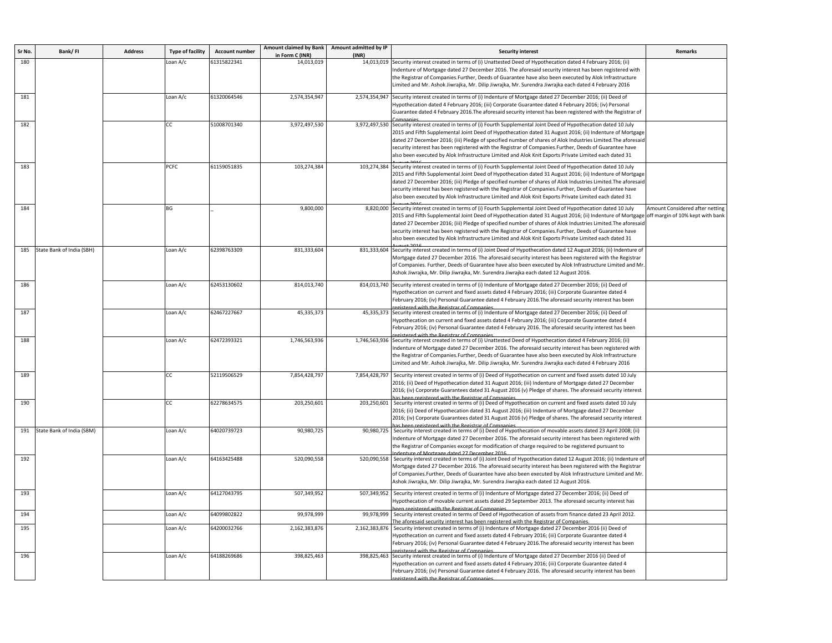| Sr No. | Bank/FI                       | <b>Address</b> | <b>Type of facility</b> | <b>Account number</b> | Amount claimed by Bank Amount admitted by IP<br>in Form C (INR) | (INR)         | <b>Security interest</b>                                                                                                                                                                                                                                                                                                                                                                                                                                                                                                                                              | Remarks                                                             |
|--------|-------------------------------|----------------|-------------------------|-----------------------|-----------------------------------------------------------------|---------------|-----------------------------------------------------------------------------------------------------------------------------------------------------------------------------------------------------------------------------------------------------------------------------------------------------------------------------------------------------------------------------------------------------------------------------------------------------------------------------------------------------------------------------------------------------------------------|---------------------------------------------------------------------|
| 180    |                               |                | Loan A/c                | 61315822341           | 14,013,019                                                      | 14,013,019    | Security interest created in terms of (i) Unattested Deed of Hypothecation dated 4 February 2016; (ii)<br>ndenture of Mortgage dated 27 December 2016. The aforesaid security interest has been registered with<br>the Registrar of Companies.Further, Deeds of Guarantee have also been executed by Alok Infrastructure                                                                                                                                                                                                                                              |                                                                     |
|        |                               |                |                         |                       |                                                                 |               | imited and Mr. Ashok Jiwrajka, Mr. Dilip Jiwrajka, Mr. Surendra Jiwrajka each dated 4 February 2016.                                                                                                                                                                                                                                                                                                                                                                                                                                                                  |                                                                     |
| 181    |                               |                | Loan A/c                | 61320064546           | 2,574,354,947                                                   |               | 2,574,354,947 Security interest created in terms of (i) Indenture of Mortgage dated 27 December 2016; (ii) Deed of<br>Hypothecation dated 4 February 2016; (iii) Corporate Guarantee dated 4 February 2016; (iv) Personal<br>Guarantee dated 4 February 2016. The aforesaid security interest has been registered with the Registrar of                                                                                                                                                                                                                               |                                                                     |
| 182    |                               |                | CC                      | 51008701340           | 3,972,497,530                                                   |               | 3,972,497,530 Security interest created in terms of (i) Fourth Supplemental Joint Deed of Hypothecation dated 10 July<br>2015 and Fifth Supplemental Joint Deed of Hypothecation dated 31 August 2016; (ii) Indenture of Mortgage<br>dated 27 December 2016; (iii) Pledge of specified number of shares of Alok Industries Limited. The aforesaic<br>security interest has been registered with the Registrar of Companies. Further, Deeds of Guarantee have<br>also been executed by Alok Infrastructure Limited and Alok Knit Exports Private Limited each dated 31 |                                                                     |
| 183    |                               |                | <b>PCFC</b>             | 61159051835           | 103,274,384                                                     |               | 103,274,384 Security interest created in terms of (i) Fourth Supplemental Joint Deed of Hypothecation dated 10 July<br>2015 and Fifth Supplemental Joint Deed of Hypothecation dated 31 August 2016; (ii) Indenture of Mortgage<br>dated 27 December 2016; (iii) Pledge of specified number of shares of Alok Industries Limited. The aforesair<br>security interest has been registered with the Registrar of Companies.Further, Deeds of Guarantee have<br>also been executed by Alok Infrastructure Limited and Alok Knit Exports Private Limited each dated 31    |                                                                     |
| 184    |                               |                | BG                      |                       | 9,800,000                                                       |               | 8,820,000 Security interest created in terms of (i) Fourth Supplemental Joint Deed of Hypothecation dated 10 July<br>2015 and Fifth Supplemental Joint Deed of Hypothecation dated 31 August 2016; (ii) Indenture of Mortgage<br>dated 27 December 2016; (iii) Pledge of specified number of shares of Alok Industries Limited. The aforesaic<br>security interest has been registered with the Registrar of Companies. Further, Deeds of Guarantee have<br>also been executed by Alok Infrastructure Limited and Alok Knit Exports Private Limited each dated 31     | Amount Considered after netting<br>off margin of 10% kept with bank |
| 185    | State Bank of India (SBH)     |                | Loan A/c                | 62398763309           | 831,333,604                                                     |               | 831,333,604 Security interest created in terms of (i) Joint Deed of Hypothecation dated 12 August 2016; (ii) Indenture of<br>Mortgage dated 27 December 2016. The aforesaid security interest has been registered with the Registrar<br>of Companies. Further, Deeds of Guarantee have also been executed by Alok Infrastructure Limited and Mr<br>Ashok Jiwrajka, Mr. Dilip Jiwrajka, Mr. Surendra Jiwrajka each dated 12 August 2016.                                                                                                                               |                                                                     |
| 186    |                               |                | Loan A/c                | 62453130602           | 814,013,740                                                     |               | 814,013,740 Security interest created in terms of (i) Indenture of Mortgage dated 27 December 2016; (ii) Deed of<br>Hypothecation on current and fixed assets dated 4 February 2016; (iii) Corporate Guarantee dated 4<br>February 2016; (iv) Personal Guarantee dated 4 February 2016.The aforesaid security interest has been<br>red with the Registrar of Companie                                                                                                                                                                                                 |                                                                     |
| 187    |                               |                | Loan A/c                | 62467227667           | 45,335,373                                                      |               | 45,335,373 Security interest created in terms of (i) Indenture of Mortgage dated 27 December 2016; (ii) Deed of<br>4 Hypothecation on current and fixed assets dated 4 February 2016; (iii) Corporate Guarantee dated<br>February 2016; (iv) Personal Guarantee dated 4 February 2016. The aforesaid security interest has been<br>ictored with the Registrar of Companie                                                                                                                                                                                             |                                                                     |
| 188    |                               |                | Loan A/c                | 62472393321           | 1,746,563,936                                                   |               | 1,746,563,936 Security interest created in terms of (i) Unattested Deed of Hypothecation dated 4 February 2016; (ii)<br>Indenture of Mortgage dated 27 December 2016. The aforesaid security interest has been registered with<br>the Registrar of Companies.Further, Deeds of Guarantee have also been executed by Alok Infrastructure<br>Limited and Mr. Ashok Jiwrajka, Mr. Dilip Jiwrajka, Mr. Surendra Jiwrajka each dated 4 February 2016                                                                                                                       |                                                                     |
| 189    |                               |                | СC                      | 52119506529           | 7,854,428,797                                                   | 7,854,428,797 | Security interest created in terms of (i) Deed of Hypothecation on current and fixed assets dated 10 July<br>2016; (ii) Deed of Hypothecation dated 31 August 2016; (iii) Indenture of Mortgage dated 27 December<br>2016; (iv) Corporate Guarantees dated 31 August 2016 (v) Pledge of shares. The aforesaid security interest<br>stared with the Registrar of Companie                                                                                                                                                                                              |                                                                     |
| 190    |                               |                | CC                      | 62278634575           | 203,250,601                                                     | 203,250,601   | Security interest created in terms of (i) Deed of Hypothecation on current and fixed assets dated 10 July<br>2016; (ii) Deed of Hypothecation dated 31 August 2016; (iii) Indenture of Mortgage dated 27 December<br>2016; (iv) Corporate Guarantees dated 31 August 2016 (v) Pledge of shares. The aforesaid security interest<br>egistered with the Registrar of Companies                                                                                                                                                                                          |                                                                     |
|        | 191 State Bank of India (SBM) |                | Loan A/c                | 64020739723           | 90,980,725                                                      | 90,980,725    | Security interest created in terms of (i) Deed of Hypothecation of movable assets dated 23 April 2008; (ii)<br>Indenture of Mortgage dated 27 December 2016. The aforesaid security interest has been registered with<br>the Registrar of Companies except for modification of charge required to be registered pursuant to<br>denture of Mortgage dated 27 December 2016                                                                                                                                                                                             |                                                                     |
| 192    |                               |                | Loan A/c                | 64163425488           | 520,090,558                                                     |               | 520,090,558 Security interest created in terms of (i) Joint Deed of Hypothecation dated 12 August 2016; (ii) Indenture of<br>Mortgage dated 27 December 2016. The aforesaid security interest has been registered with the Registrar<br>of Companies.Further, Deeds of Guarantee have also been executed by Alok Infrastructure Limited and Mr<br>Ashok Jiwrajka, Mr. Dilip Jiwrajka, Mr. Surendra Jiwrajka each dated 12 August 2016.                                                                                                                                |                                                                     |
| 193    |                               |                | Loan A/c                | 64127043795           | 507,349,952                                                     |               | 507,349,952 Security interest created in terms of (i) Indenture of Mortgage dated 27 December 2016; (ii) Deed of<br>Hypothecation of movable current assets dated 29 September 2013. The aforesaid security interest has<br>een registered with the Registrar of Companies                                                                                                                                                                                                                                                                                            |                                                                     |
| 194    |                               |                | Loan A/c                | 64099802822           | 99,978,999                                                      | 99,978,999    | Security interest created in terms of Deed of Hypothecation of assets from finance dated 23 April 2012.<br>The aforesaid security interest has been registered with the Registrar of Companies.                                                                                                                                                                                                                                                                                                                                                                       |                                                                     |
| 195    |                               |                | Loan A/c                | 64200032766           | 2,162,383,876                                                   | 2,162,383,876 | Security interest created in terms of (i) Indenture of Mortgage dated 27 December 2016 (ii) Deed of<br>4 Hypothecation on current and fixed assets dated 4 February 2016; (iii) Corporate Guarantee dated<br>February 2016; (iv) Personal Guarantee dated 4 February 2016.The aforesaid security interest has been<br>gistered with the Registrar of Companies                                                                                                                                                                                                        |                                                                     |
| 196    |                               |                | Loan A/c                | 64188269686           | 398,825,463                                                     |               | 398,825,463 Security interest created in terms of (i) Indenture of Mortgage dated 27 December 2016 (ii) Deed of<br>4ypothecation on current and fixed assets dated 4 February 2016; (iii) Corporate Guarantee dated 4<br>February 2016; (iv) Personal Guarantee dated 4 February 2016. The aforesaid security interest has been<br>ictorod with the Registrar of Companies                                                                                                                                                                                            |                                                                     |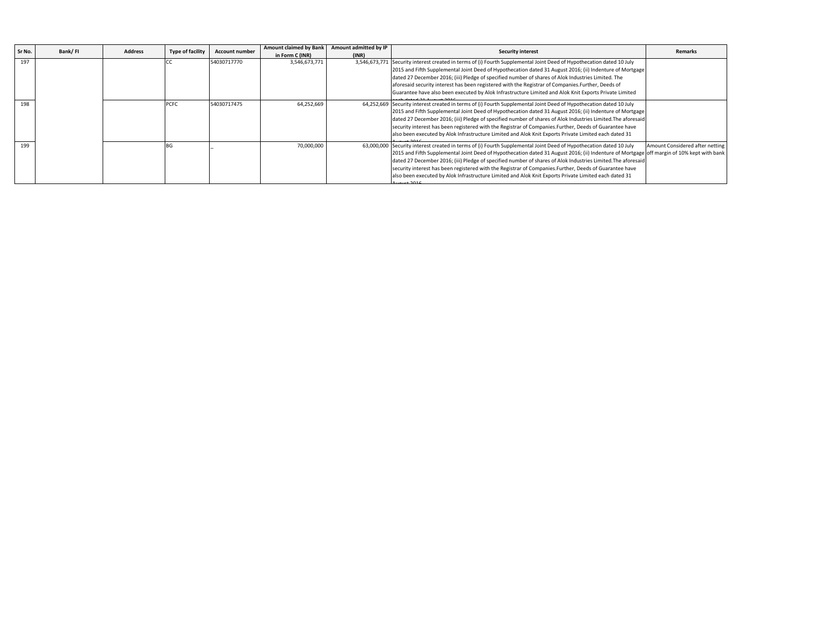| Sr No. | Bank/FI | Address | <b>Type of facility</b> | <b>Account number</b> | <b>Amount claimed by Bank</b> | Amount admitted by IP | <b>Security interest</b>                                                                                              | <b>Remarks</b>                   |
|--------|---------|---------|-------------------------|-----------------------|-------------------------------|-----------------------|-----------------------------------------------------------------------------------------------------------------------|----------------------------------|
|        |         |         |                         |                       | in Form C (INR)               | (INR)                 |                                                                                                                       |                                  |
| 197    |         |         |                         | 54030717770           | 3,546,673,771                 |                       | 3,546,673,771 Security interest created in terms of (i) Fourth Supplemental Joint Deed of Hypothecation dated 10 July |                                  |
|        |         |         |                         |                       |                               |                       | 2015 and Fifth Supplemental Joint Deed of Hypothecation dated 31 August 2016; (ii) Indenture of Mortgage              |                                  |
|        |         |         |                         |                       |                               |                       | dated 27 December 2016; (iii) Pledge of specified number of shares of Alok Industries Limited. The                    |                                  |
|        |         |         |                         |                       |                               |                       | aforesaid security interest has been registered with the Registrar of Companies. Further, Deeds of                    |                                  |
|        |         |         |                         |                       |                               |                       | Guarantee have also been executed by Alok Infrastructure Limited and Alok Knit Exports Private Limited                |                                  |
| 198    |         |         | PCFC                    | 54030717475           | 64,252,669                    |                       | 64,252,669 Security interest created in terms of (i) Fourth Supplemental Joint Deed of Hypothecation dated 10 July    |                                  |
|        |         |         |                         |                       |                               |                       | 2015 and Fifth Supplemental Joint Deed of Hypothecation dated 31 August 2016; (ii) Indenture of Mortgage              |                                  |
|        |         |         |                         |                       |                               |                       | dated 27 December 2016; (iii) Pledge of specified number of shares of Alok Industries Limited. The aforesaid          |                                  |
|        |         |         |                         |                       |                               |                       | security interest has been registered with the Registrar of Companies. Further, Deeds of Guarantee have               |                                  |
|        |         |         |                         |                       |                               |                       | also been executed by Alok Infrastructure Limited and Alok Knit Exports Private Limited each dated 31                 |                                  |
| 199    |         |         | IBG.                    |                       | 70,000,000                    |                       | 63,000,000 Security interest created in terms of (i) Fourth Supplemental Joint Deed of Hypothecation dated 10 July    | Amount Considered after netting  |
|        |         |         |                         |                       |                               |                       | 2015 and Fifth Supplemental Joint Deed of Hypothecation dated 31 August 2016; (ii) Indenture of Mortgage              | off margin of 10% kept with bank |
|        |         |         |                         |                       |                               |                       | dated 27 December 2016; (iii) Pledge of specified number of shares of Alok Industries Limited. The aforesaid          |                                  |
|        |         |         |                         |                       |                               |                       | security interest has been registered with the Registrar of Companies. Further, Deeds of Guarantee have               |                                  |
|        |         |         |                         |                       |                               |                       | also been executed by Alok Infrastructure Limited and Alok Knit Exports Private Limited each dated 31                 |                                  |
|        |         |         |                         |                       |                               |                       |                                                                                                                       |                                  |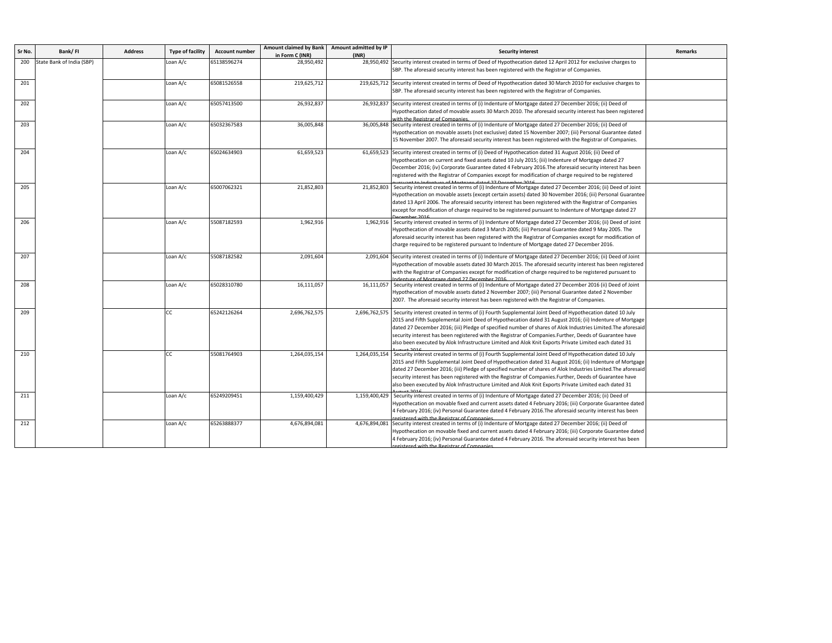| Sr No. | Bank/FI                   | <b>Address</b> | <b>Type of facility</b> | <b>Account number</b> | Amount claimed by Bank | Amount admitted by IP | <b>Security interest</b>                                                                                                                                                                                                                                                                                                                                                                                                                                                                                                                                | <b>Remarks</b> |
|--------|---------------------------|----------------|-------------------------|-----------------------|------------------------|-----------------------|---------------------------------------------------------------------------------------------------------------------------------------------------------------------------------------------------------------------------------------------------------------------------------------------------------------------------------------------------------------------------------------------------------------------------------------------------------------------------------------------------------------------------------------------------------|----------------|
|        |                           |                |                         |                       | in Form C (INR)        | (INR)                 |                                                                                                                                                                                                                                                                                                                                                                                                                                                                                                                                                         |                |
| 200    | State Bank of India (SBP) |                | Loan A/c                | 55138596274           | 28,950,492             |                       | 28,950,492 Security interest created in terms of Deed of Hypothecation dated 12 April 2012 for exclusive charges to<br>SBP. The aforesaid security interest has been registered with the Registrar of Companies.                                                                                                                                                                                                                                                                                                                                        |                |
| 201    |                           |                | Loan A/c                | 65081526558           | 219,625,712            |                       | 219,625,712 Security interest created in terms of Deed of Hypothecation dated 30 March 2010 for exclusive charges to<br>SBP. The aforesaid security interest has been registered with the Registrar of Companies.                                                                                                                                                                                                                                                                                                                                       |                |
| 202    |                           |                | Loan A/c                | 55057413500           | 26,932,837             |                       | 26,932,837 Security interest created in terms of (i) Indenture of Mortgage dated 27 December 2016; (ii) Deed of<br>Hypothecation dated of movable assets 30 March 2010. The aforesaid security interest has been registered<br>vith the Registrar of Companies.                                                                                                                                                                                                                                                                                         |                |
| 203    |                           |                | Loan A/c                | 65032367583           | 36,005,848             |                       | 36,005,848 Security interest created in terms of (i) Indenture of Mortgage dated 27 December 2016; (ii) Deed of<br>Hypothecation on movable assets (not exclusive) dated 15 November 2007; (iii) Personal Guarantee dated<br>15 November 2007. The aforesaid security interest has been registered with the Registrar of Companies.                                                                                                                                                                                                                     |                |
| 204    |                           |                | Loan A/c                | 55024634903           | 61,659,523             |                       | 61,659,523 Security interest created in terms of (i) Deed of Hypothecation dated 31 August 2016; (ii) Deed of<br>Hypothecation on current and fixed assets dated 10 July 2015; (iii) Indenture of Mortgage dated 27<br>December 2016; (iv) Corporate Guarantee dated 4 February 2016. The aforesaid security interest has been<br>registered with the Registrar of Companies except for modification of charge required to be registered                                                                                                                |                |
| 205    |                           |                | Loan A/c                | 65007062321           | 21,852,803             | 21,852,803            | Security interest created in terms of (i) Indenture of Mortgage dated 27 December 2016; (ii) Deed of Joint<br>Hypothecation on movable assets (except certain assets) dated 30 November 2016; (iii) Personal Guarantee<br>dated 13 April 2006. The aforesaid security interest has been registered with the Registrar of Companies<br>except for modification of charge required to be registered pursuant to Indenture of Mortgage dated 27                                                                                                            |                |
| 206    |                           |                | Loan A/c                | 55087182593           | 1,962,916              |                       | 1,962,916 Security interest created in terms of (i) Indenture of Mortgage dated 27 December 2016; (ii) Deed of Joint<br>Hypothecation of movable assets dated 3 March 2005; (iii) Personal Guarantee dated 9 May 2005. The<br>aforesaid security interest has been registered with the Registrar of Companies except for modification of<br>charge required to be registered pursuant to Indenture of Mortgage dated 27 December 2016.                                                                                                                  |                |
| 207    |                           |                | Loan A/c                | 55087182582           | 2,091,604              |                       | 2,091,604 Security interest created in terms of (i) Indenture of Mortgage dated 27 December 2016; (ii) Deed of Joint<br>Hypothecation of movable assets dated 30 March 2015. The aforesaid security interest has been registered<br>with the Registrar of Companies except for modification of charge required to be registered pursuant to<br>denture of Mortgage dated 27 December 2016                                                                                                                                                               |                |
| 208    |                           |                | Loan A/c                | 65028310780           | 16,111,057             | 16,111,057            | Security interest created in terms of (i) Indenture of Mortgage dated 27 December 2016 (ii) Deed of Joint<br>Hypothecation of movable assets dated 2 November 2007; (iii) Personal Guarantee dated 2 November<br>2007. The aforesaid security interest has been registered with the Registrar of Companies.                                                                                                                                                                                                                                             |                |
| 209    |                           |                | СC                      | 65242126264           | 2,696,762,575          | 2,696,762,575         | Security interest created in terms of (i) Fourth Supplemental Joint Deed of Hypothecation dated 10 July<br>2015 and Fifth Supplemental Joint Deed of Hypothecation dated 31 August 2016; (ii) Indenture of Mortgage<br>dated 27 December 2016; (iii) Pledge of specified number of shares of Alok Industries Limited. The aforesaid<br>security interest has been registered with the Registrar of Companies. Further, Deeds of Guarantee have<br>also been executed by Alok Infrastructure Limited and Alok Knit Exports Private Limited each dated 31 |                |
| 210    |                           |                | <b>CC</b>               | 55081764903           | 1,264,035,154          | 1,264,035,154         | Security interest created in terms of (i) Fourth Supplemental Joint Deed of Hypothecation dated 10 July<br>2015 and Fifth Supplemental Joint Deed of Hypothecation dated 31 August 2016; (ii) Indenture of Mortgage<br>dated 27 December 2016; (iii) Pledge of specified number of shares of Alok Industries Limited. The aforesaic<br>security interest has been registered with the Registrar of Companies.Further, Deeds of Guarantee have<br>also been executed by Alok Infrastructure Limited and Alok Knit Exports Private Limited each dated 31  |                |
| 211    |                           |                | Loan A/c                | 65249209451           | 1,159,400,429          | 1,159,400,429         | Security interest created in terms of (i) Indenture of Mortgage dated 27 December 2016; (ii) Deed of<br>Hypothecation on movable fixed and current assets dated 4 February 2016; (iii) Corporate Guarantee dated<br>4 February 2016; (iv) Personal Guarantee dated 4 February 2016. The aforesaid security interest has been<br>gistered with the Registrar of Companier                                                                                                                                                                                |                |
| 212    |                           |                | Loan A/c                | 65263888377           | 4,676,894,081          | 4,676,894,081         | Security interest created in terms of (i) Indenture of Mortgage dated 27 December 2016; (ii) Deed of<br>Hypothecation on movable fixed and current assets dated 4 February 2016; (iii) Corporate Guarantee dated<br>4 February 2016; (iv) Personal Guarantee dated 4 February 2016. The aforesaid security interest has been<br>ictored with the Registrar of Companies                                                                                                                                                                                 |                |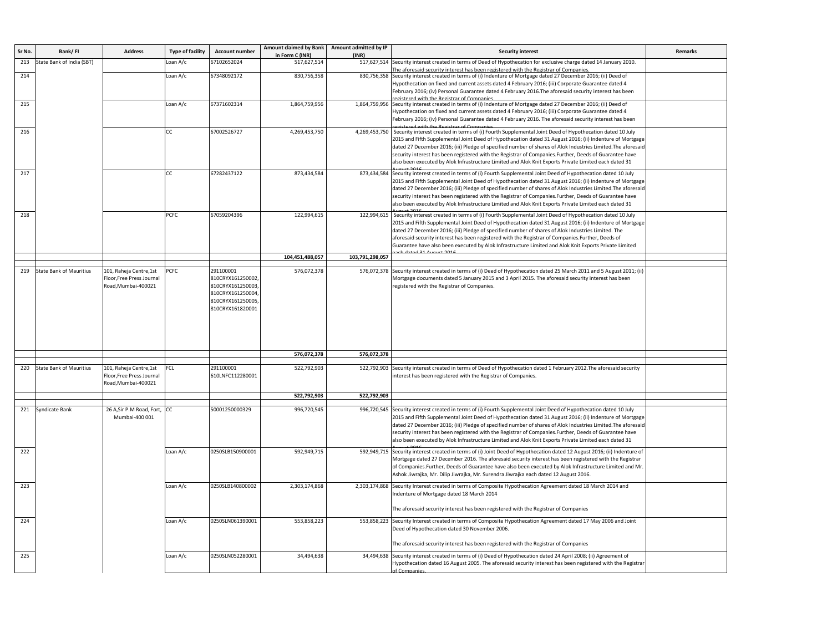| Sr No. | Bank/FI                        | <b>Address</b>                                                              | <b>Type of facility</b> | <b>Account number</b>                                                                                             | <b>Amount claimed by Bank</b><br>in Form C (INR) | Amount admitted by IP<br>(INR) | <b>Security interest</b>                                                                                                                                                                                                                                                                                                                                                                                                                                                                                                                                              | <b>Remarks</b> |
|--------|--------------------------------|-----------------------------------------------------------------------------|-------------------------|-------------------------------------------------------------------------------------------------------------------|--------------------------------------------------|--------------------------------|-----------------------------------------------------------------------------------------------------------------------------------------------------------------------------------------------------------------------------------------------------------------------------------------------------------------------------------------------------------------------------------------------------------------------------------------------------------------------------------------------------------------------------------------------------------------------|----------------|
| 213    | State Bank of India (SBT)      |                                                                             | Loan A/c                | 67102652024                                                                                                       | 517,627,514                                      | 517,627,514                    | Security interest created in terms of Deed of Hypothecation for exclusive charge dated 14 January 2010.<br>he aforesaid security interest has been registered with the Registrar of Companies                                                                                                                                                                                                                                                                                                                                                                         |                |
| 214    |                                |                                                                             | Loan A/c                | 67348092172                                                                                                       | 830,756,358                                      |                                | 830,756,358 Security interest created in terms of (i) Indenture of Mortgage dated 27 December 2016; (ii) Deed of<br>4ypothecation on fixed and current assets dated 4 February 2016; (iii) Corporate Guarantee dated 4<br>February 2016; (iv) Personal Guarantee dated 4 February 2016. The aforesaid security interest has been<br>gictored with the Registrar of Companies                                                                                                                                                                                          |                |
| 215    |                                |                                                                             | Loan A/c                | 67371602314                                                                                                       | 1,864,759,956                                    |                                | 1,864,759,956 Security interest created in terms of (i) Indenture of Mortgage dated 27 December 2016; (ii) Deed of<br>4 Hypothecation on fixed and current assets dated 4 February 2016; (iii) Corporate Guarantee dated<br>February 2016; (iv) Personal Guarantee dated 4 February 2016. The aforesaid security interest has been<br>red with the Registrar of Companies                                                                                                                                                                                             |                |
| 216    |                                |                                                                             | CC                      | 67002526727                                                                                                       | 4,269,453,750                                    |                                | 4,269,453,750 Security interest created in terms of (i) Fourth Supplemental Joint Deed of Hypothecation dated 10 July<br>2015 and Fifth Supplemental Joint Deed of Hypothecation dated 31 August 2016; (ii) Indenture of Mortgage<br>dated 27 December 2016; (iii) Pledge of specified number of shares of Alok Industries Limited. The aforesaid<br>security interest has been registered with the Registrar of Companies. Further, Deeds of Guarantee have<br>also been executed by Alok Infrastructure Limited and Alok Knit Exports Private Limited each dated 31 |                |
| 217    |                                |                                                                             | CC                      | 67282437122                                                                                                       | 873,434,584                                      |                                | 873,434,584 Security interest created in terms of (i) Fourth Supplemental Joint Deed of Hypothecation dated 10 July<br>2015 and Fifth Supplemental Joint Deed of Hypothecation dated 31 August 2016; (ii) Indenture of Mortgage<br>dated 27 December 2016; (iii) Pledge of specified number of shares of Alok Industries Limited. The aforesaid<br>security interest has been registered with the Registrar of Companies. Further, Deeds of Guarantee have<br>also been executed by Alok Infrastructure Limited and Alok Knit Exports Private Limited each dated 31   |                |
| 218    |                                |                                                                             | PCFC                    | 67059204396                                                                                                       | 122,994,615                                      |                                | 122,994,615 Security interest created in terms of (i) Fourth Supplemental Joint Deed of Hypothecation dated 10 July<br>2015 and Fifth Supplemental Joint Deed of Hypothecation dated 31 August 2016; (ii) Indenture of Mortgage<br>dated 27 December 2016; (iii) Pledge of specified number of shares of Alok Industries Limited. The<br>aforesaid security interest has been registered with the Registrar of Companies.Further, Deeds of<br>Guarantee have also been executed by Alok Infrastructure Limited and Alok Knit Exports Private Limited                  |                |
|        |                                |                                                                             |                         |                                                                                                                   | 104,451,488,057                                  | 103,791,298,057                |                                                                                                                                                                                                                                                                                                                                                                                                                                                                                                                                                                       |                |
| 219    | <b>State Bank of Mauritius</b> | 101, Raheja Centre, 1st<br>Floor, Free Press Journal<br>Road, Mumbai-400021 | PCFC                    | 291100001<br>810CRYX161250002,<br>810CRYX161250003,<br>810CRYX161250004,<br>810CRYX161250005,<br>810CRYX161820001 | 576,072,378                                      | 576,072,378                    | Security interest created in terms of (i) Deed of Hypothecation dated 25 March 2011 and 5 August 2011; (ii)<br>Mortgage documents dated 5 January 2015 and 3 April 2015. The aforesaid security interest has been<br>registered with the Registrar of Companies.                                                                                                                                                                                                                                                                                                      |                |
|        |                                |                                                                             |                         |                                                                                                                   | 576,072,378                                      | 576,072,378                    |                                                                                                                                                                                                                                                                                                                                                                                                                                                                                                                                                                       |                |
| 220    | <b>State Bank of Mauritius</b> | 101, Raheja Centre, 1st<br>Floor, Free Press Journal<br>Road, Mumbai-400021 | FCL                     | 291100001<br>610LNFC112280001                                                                                     | 522,792,903                                      | 522,792,903                    | Security interest created in terms of Deed of Hypothecation dated 1 February 2012. The aforesaid security<br>interest has been registered with the Registrar of Companies.                                                                                                                                                                                                                                                                                                                                                                                            |                |
|        |                                |                                                                             |                         |                                                                                                                   | 522,792,903                                      | 522,792,903                    |                                                                                                                                                                                                                                                                                                                                                                                                                                                                                                                                                                       |                |
| 221    | Syndicate Bank                 | 26 A, Sir P.M Road, Fort, CC<br>Mumbai-400 001                              |                         | 50001250000329                                                                                                    | 996,720,545                                      | 996,720,545                    | Security interest created in terms of (i) Fourth Supplemental Joint Deed of Hypothecation dated 10 July<br>2015 and Fifth Supplemental Joint Deed of Hypothecation dated 31 August 2016; (ii) Indenture of Mortgage<br>dated 27 December 2016; (iii) Pledge of specified number of shares of Alok Industries Limited. The aforesaid<br>security interest has been registered with the Registrar of Companies. Further, Deeds of Guarantee have<br>also been executed by Alok Infrastructure Limited and Alok Knit Exports Private Limited each dated 31               |                |
| 222    |                                |                                                                             | Loan A/c                | 0250SLB150900001                                                                                                  | 592,949,715                                      |                                | 592,949,715 Security interest created in terms of (i) Joint Deed of Hypothecation dated 12 August 2016; (ii) Indenture of<br>Mortgage dated 27 December 2016. The aforesaid security interest has been registered with the Registrar<br>of Companies.Further, Deeds of Guarantee have also been executed by Alok Infrastructure Limited and Mr<br>Ashok Jiwrajka, Mr. Dilip Jiwrajka, Mr. Surendra Jiwrajka each dated 12 August 2016.                                                                                                                                |                |
| 223    |                                |                                                                             | Loan A/c                | 0250SLB140800002                                                                                                  | 2,303,174,868                                    |                                | 2,303,174,868 Security Interest created in terms of Composite Hypothecation Agreement dated 18 March 2014 and<br>ndenture of Mortgage dated 18 March 2014<br>The aforesaid security interest has been registered with the Registrar of Companies                                                                                                                                                                                                                                                                                                                      |                |
| 224    |                                |                                                                             | Loan A/c                | 0250SLN061390001                                                                                                  | 553,858,223                                      |                                | 553,858,223 Security Interest created in terms of Composite Hypothecation Agreement dated 17 May 2006 and Joint<br>Deed of Hypothecation dated 30 November 2006.<br>The aforesaid security interest has been registered with the Registrar of Companies                                                                                                                                                                                                                                                                                                               |                |
| 225    |                                |                                                                             | Loan A/c                | 0250SLN052280001                                                                                                  | 34,494,638                                       | 34,494,638                     | Security interest created in terms of (i) Deed of Hypothecation dated 24 April 2008; (ii) Agreement of<br>Hypothecation dated 16 August 2005. The aforesaid security interest has been registered with the Registrar<br>f Companies                                                                                                                                                                                                                                                                                                                                   |                |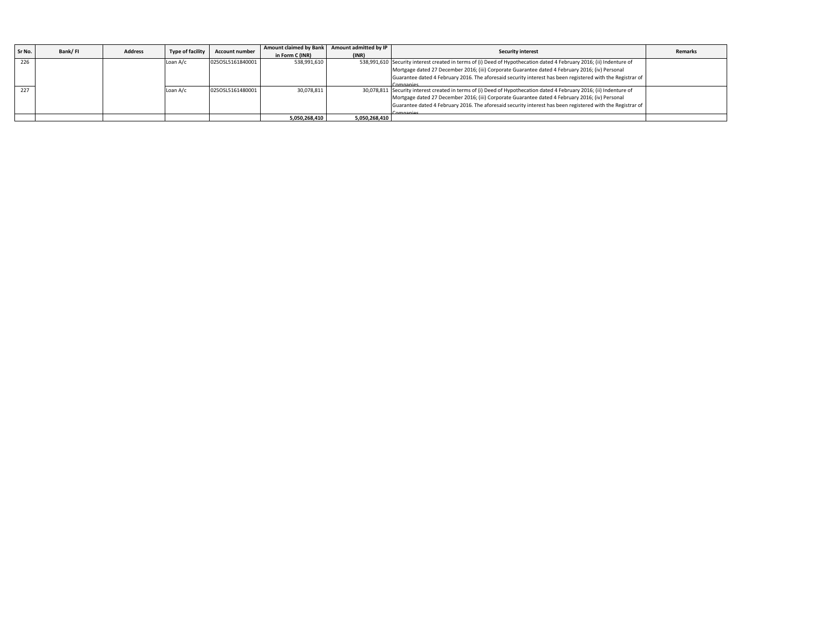| Sr No. | Bank/FI | <b>Address</b> | Type of facility | <b>Account number</b> | <b>Amount claimed by Bank</b> | Amount admitted by IP | <b>Security interest</b>                                                                                             | <b>Remarks</b> |
|--------|---------|----------------|------------------|-----------------------|-------------------------------|-----------------------|----------------------------------------------------------------------------------------------------------------------|----------------|
|        |         |                |                  |                       | in Form C (INR)               | (INR)                 |                                                                                                                      |                |
| 226    |         |                | Loan A/c         | 0250SL5161840001      | 538,991,610                   |                       | 538,991,610 Security interest created in terms of (i) Deed of Hypothecation dated 4 February 2016; (ii) Indenture of |                |
|        |         |                |                  |                       |                               |                       | Mortgage dated 27 December 2016; (iii) Corporate Guarantee dated 4 February 2016; (iv) Personal                      |                |
|        |         |                |                  |                       |                               |                       | Guarantee dated 4 February 2016. The aforesaid security interest has been registered with the Registrar of           |                |
|        |         |                |                  |                       |                               |                       | Companies                                                                                                            |                |
| 227    |         |                | Loan A/c         | 0250SL5161480001      | 30,078,811                    |                       | 30,078,811 Security interest created in terms of (i) Deed of Hypothecation dated 4 February 2016; (ii) Indenture of  |                |
|        |         |                |                  |                       |                               |                       | Mortgage dated 27 December 2016; (iii) Corporate Guarantee dated 4 February 2016; (iv) Personal                      |                |
|        |         |                |                  |                       |                               |                       | Guarantee dated 4 February 2016. The aforesaid security interest has been registered with the Registrar of           |                |
|        |         |                |                  |                       |                               |                       | Companies                                                                                                            |                |
|        |         |                |                  |                       | 5.050.268.410                 | 5,050,268,410         |                                                                                                                      |                |
|        |         |                |                  |                       |                               |                       |                                                                                                                      |                |
|        |         |                |                  |                       |                               |                       |                                                                                                                      |                |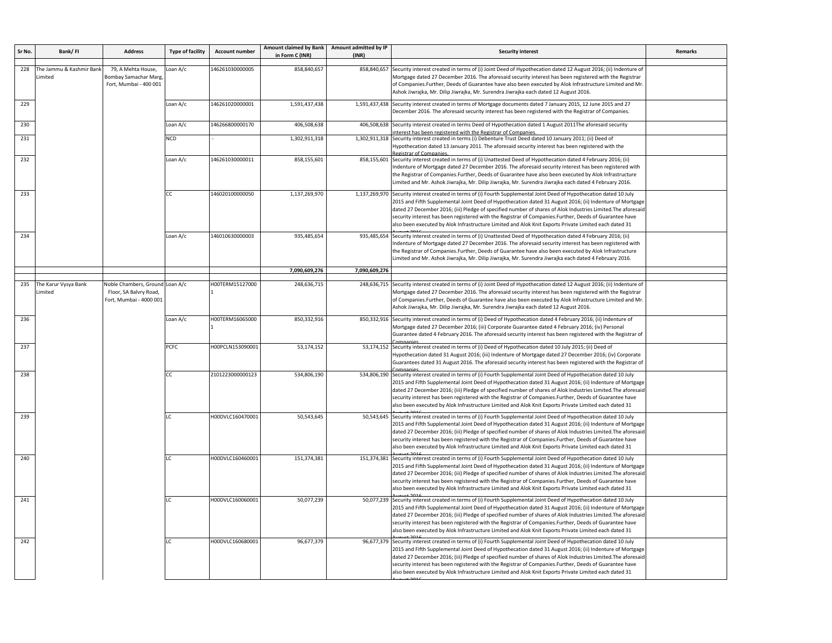| Sr No. | Bank/FI                             | <b>Address</b>                                                                       | <b>Type of facility</b> | <b>Account number</b> | <b>Amount claimed by Bank</b><br>in Form C (INR) | Amount admitted by IP<br>(INR)                                                                                                                                                                                                                                                                                                                                                                                                                 | <b>Security interest</b>                                                                                                                                                                                                                                                                                                                                                                                                                                                                                                                                              | <b>Remarks</b> |
|--------|-------------------------------------|--------------------------------------------------------------------------------------|-------------------------|-----------------------|--------------------------------------------------|------------------------------------------------------------------------------------------------------------------------------------------------------------------------------------------------------------------------------------------------------------------------------------------------------------------------------------------------------------------------------------------------------------------------------------------------|-----------------------------------------------------------------------------------------------------------------------------------------------------------------------------------------------------------------------------------------------------------------------------------------------------------------------------------------------------------------------------------------------------------------------------------------------------------------------------------------------------------------------------------------------------------------------|----------------|
| 228    | The Jammu & Kashmir Banl<br>Limited | 79, A Mehta House,<br><b>Bombay Samachar Marg</b><br>Fort, Mumbai - 400 001          | Loan A/c                | 146261030000005       | 858,840,657                                      | 858,840,657                                                                                                                                                                                                                                                                                                                                                                                                                                    | Security interest created in terms of (i) Joint Deed of Hypothecation dated 12 August 2016; (ii) Indenture of<br>Mortgage dated 27 December 2016. The aforesaid security interest has been registered with the Registrar<br>of Companies.Further, Deeds of Guarantee have also been executed by Alok Infrastructure Limited and Mr<br>Ashok Jiwrajka, Mr. Dilip Jiwrajka, Mr. Surendra Jiwrajka each dated 12 August 2016.                                                                                                                                            |                |
| 229    |                                     |                                                                                      | Loan A/c                | 146261020000001       | 1,591,437,438                                    |                                                                                                                                                                                                                                                                                                                                                                                                                                                | 1,591,437,438 Security interest created in terms of Mortgage documents dated 7 January 2015, 12 June 2015 and 27<br>December 2016. The aforesaid security interest has been registered with the Registrar of Companies.                                                                                                                                                                                                                                                                                                                                               |                |
| 230    |                                     |                                                                                      | Loan A/c                | 146266800000170       | 406,508,638                                      |                                                                                                                                                                                                                                                                                                                                                                                                                                                | 406,508,638 Security interest created in terms Deed of Hypothecation dated 1 August 2011The aforesaid security<br>nterest has been registered with the Registrar of Companies                                                                                                                                                                                                                                                                                                                                                                                         |                |
| 231    |                                     |                                                                                      | <b>NCD</b>              |                       | 1,302,911,318                                    |                                                                                                                                                                                                                                                                                                                                                                                                                                                | 1,302,911,318 Security interest created in terms (i) Debenture Trust Deed dated 10 January 2011; (ii) Deed of<br>Hypothecation dated 13 January 2011. The aforesaid security interest has been registered with the                                                                                                                                                                                                                                                                                                                                                    |                |
| 232    |                                     | Loan A/c                                                                             | 146261030000011         | 858,155,601           |                                                  | 858,155,601 Security interest created in terms of (i) Unattested Deed of Hypothecation dated 4 February 2016; (ii)<br>Indenture of Mortgage dated 27 December 2016. The aforesaid security interest has been registered with<br>the Registrar of Companies.Further, Deeds of Guarantee have also been executed by Alok Infrastructure<br>Limited and Mr. Ashok Jiwrajka, Mr. Dilip Jiwrajka, Mr. Surendra Jiwrajka each dated 4 February 2016. |                                                                                                                                                                                                                                                                                                                                                                                                                                                                                                                                                                       |                |
| 233    |                                     |                                                                                      | CC.                     | 146020100000050       | 1,137,269,970                                    |                                                                                                                                                                                                                                                                                                                                                                                                                                                | 1,137,269,970 Security interest created in terms of (i) Fourth Supplemental Joint Deed of Hypothecation dated 10 July<br>2015 and Fifth Supplemental Joint Deed of Hypothecation dated 31 August 2016; (ii) Indenture of Mortgage<br>dated 27 December 2016; (iii) Pledge of specified number of shares of Alok Industries Limited. The aforesaic<br>security interest has been registered with the Registrar of Companies. Further, Deeds of Guarantee have<br>also been executed by Alok Infrastructure Limited and Alok Knit Exports Private Limited each dated 31 |                |
| 234    |                                     |                                                                                      | Loan A/c                | 146010630000003       | 935,485,654                                      | 935,485,654                                                                                                                                                                                                                                                                                                                                                                                                                                    | Security interest created in terms of (i) Unattested Deed of Hypothecation dated 4 February 2016; (ii)<br>Indenture of Mortgage dated 27 December 2016. The aforesaid security interest has been registered with<br>the Registrar of Companies.Further, Deeds of Guarantee have also been executed by Alok Infrastructure<br>Limited and Mr. Ashok Jiwrajka, Mr. Dilip Jiwrajka, Mr. Surendra Jiwrajka each dated 4 February 2016.                                                                                                                                    |                |
|        |                                     |                                                                                      |                         |                       | 7,090,609,276                                    | 7,090,609,276                                                                                                                                                                                                                                                                                                                                                                                                                                  |                                                                                                                                                                                                                                                                                                                                                                                                                                                                                                                                                                       |                |
| 235    | The Karur Vysya Bank<br>Limited     | Noble Chambers, Ground Loan A/c<br>Floor, SA Balvry Road,<br>Fort, Mumbai - 4000 001 |                         | H00TERM15127000       | 248,636,715                                      | 248,636,715                                                                                                                                                                                                                                                                                                                                                                                                                                    | Security interest created in terms of (i) Joint Deed of Hypothecation dated 12 August 2016; (ii) Indenture of<br>Mortgage dated 27 December 2016. The aforesaid security interest has been registered with the Registrar<br>of Companies.Further, Deeds of Guarantee have also been executed by Alok Infrastructure Limited and Mr<br>Ashok Jiwrajka, Mr. Dilip Jiwrajka, Mr. Surendra Jiwrajka each dated 12 August 2016.                                                                                                                                            |                |
| 236    |                                     |                                                                                      | Loan A/c                | H00TERM16065000       | 850,332,916                                      |                                                                                                                                                                                                                                                                                                                                                                                                                                                | 850,332,916 Security interest created in terms of (i) Deed of Hypothecation dated 4 February 2016; (ii) Indenture of<br>Mortgage dated 27 December 2016; (iii) Corporate Guarantee dated 4 February 2016; (iv) Personal<br>Guarantee dated 4 February 2016. The aforesaid security interest has been registered with the Registrar of                                                                                                                                                                                                                                 |                |
| 237    |                                     |                                                                                      | PCFC                    | H00PCLN153090001      | 53,174,152                                       |                                                                                                                                                                                                                                                                                                                                                                                                                                                | 53,174,152 Security interest created in terms of (i) Deed of Hypothecation dated 10 July 2015; (ii) Deed of<br>Hypothecation dated 31 August 2016; (iii) Indenture of Mortgage dated 27 December 2016; (iv) Corporate<br>Guarantees dated 31 August 2016. The aforesaid security interest has been registered with the Registrar of                                                                                                                                                                                                                                   |                |
| 238    |                                     |                                                                                      | CC.                     | 2101223000000123      | 534,806,190                                      |                                                                                                                                                                                                                                                                                                                                                                                                                                                | 534,806,190 Security interest created in terms of (i) Fourth Supplemental Joint Deed of Hypothecation dated 10 July<br>2015 and Fifth Supplemental Joint Deed of Hypothecation dated 31 August 2016; (ii) Indenture of Mortgage<br>dated 27 December 2016; (iii) Pledge of specified number of shares of Alok Industries Limited. The aforesaid<br>security interest has been registered with the Registrar of Companies. Further, Deeds of Guarantee have<br>also been executed by Alok Infrastructure Limited and Alok Knit Exports Private Limited each dated 31   |                |
| 239    |                                     |                                                                                      | ١C                      | H00DVLC160470001      | 50,543,645                                       |                                                                                                                                                                                                                                                                                                                                                                                                                                                | 50,543,645 Security interest created in terms of (i) Fourth Supplemental Joint Deed of Hypothecation dated 10 July<br>2015 and Fifth Supplemental Joint Deed of Hypothecation dated 31 August 2016; (ii) Indenture of Mortgage<br>dated 27 December 2016; (iii) Pledge of specified number of shares of Alok Industries Limited. The aforesaid<br>security interest has been registered with the Registrar of Companies. Further, Deeds of Guarantee have<br>also been executed by Alok Infrastructure Limited and Alok Knit Exports Private Limited each dated 31    |                |
| 240    |                                     |                                                                                      | LC                      | H00DVLC160460001      | 151,374,381                                      |                                                                                                                                                                                                                                                                                                                                                                                                                                                | 151,374,381 Security interest created in terms of (i) Fourth Supplemental Joint Deed of Hypothecation dated 10 July<br>2015 and Fifth Supplemental Joint Deed of Hypothecation dated 31 August 2016; (ii) Indenture of Mortgage<br>dated 27 December 2016; (iii) Pledge of specified number of shares of Alok Industries Limited. The aforesaic<br>security interest has been registered with the Registrar of Companies. Further, Deeds of Guarantee have<br>also been executed by Alok Infrastructure Limited and Alok Knit Exports Private Limited each dated 31   |                |
| 241    |                                     |                                                                                      | LC.                     | H00DVLC160060001      | 50,077,239                                       |                                                                                                                                                                                                                                                                                                                                                                                                                                                | 50,077,239 Security interest created in terms of (i) Fourth Supplemental Joint Deed of Hypothecation dated 10 July<br>2015 and Fifth Supplemental Joint Deed of Hypothecation dated 31 August 2016; (ii) Indenture of Mortgage<br>dated 27 December 2016; (iii) Pledge of specified number of shares of Alok Industries Limited. The aforesaic<br>security interest has been registered with the Registrar of Companies. Further, Deeds of Guarantee have<br>also been executed by Alok Infrastructure Limited and Alok Knit Exports Private Limited each dated 31    |                |
| 242    |                                     |                                                                                      | ТC                      | H00DVLC160680001      | 96,677,379                                       |                                                                                                                                                                                                                                                                                                                                                                                                                                                | 96,677,379 Security interest created in terms of (i) Fourth Supplemental Joint Deed of Hypothecation dated 10 July<br>2015 and Fifth Supplemental Joint Deed of Hypothecation dated 31 August 2016; (ii) Indenture of Mortgag<br>dated 27 December 2016; (iii) Pledge of specified number of shares of Alok Industries Limited. The aforesaid<br>security interest has been registered with the Registrar of Companies. Further, Deeds of Guarantee have<br>also been executed by Alok Infrastructure Limited and Alok Knit Exports Private Limited each dated 31     |                |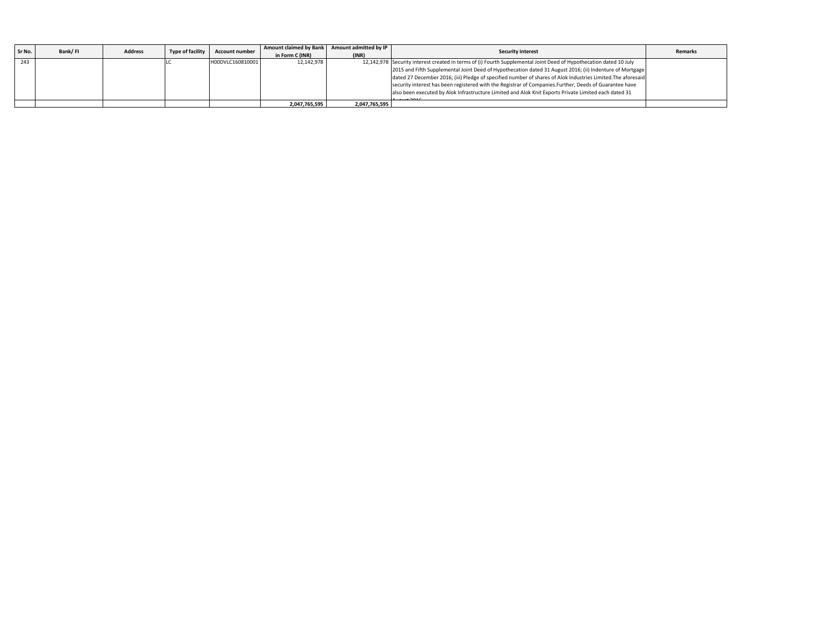| Sr No. | Bank/FI | <b>Address</b> | Type of facility | <b>Account number</b> | Amount claimed by Bank<br>in Form C (INR) | Amount admitted by IP<br>(INR) | <b>Security interest</b>                                                                                           | <b>Remarks</b> |
|--------|---------|----------------|------------------|-----------------------|-------------------------------------------|--------------------------------|--------------------------------------------------------------------------------------------------------------------|----------------|
| 243    |         |                |                  | H00DVLC160810001      | 12.142.978                                |                                | 12,142,978 Security interest created in terms of (i) Fourth Supplemental Joint Deed of Hypothecation dated 10 July |                |
|        |         |                |                  |                       |                                           |                                | 2015 and Fifth Supplemental Joint Deed of Hypothecation dated 31 August 2016; (ii) Indenture of Mortgage           |                |
|        |         |                |                  |                       |                                           |                                | dated 27 December 2016; (iii) Pledge of specified number of shares of Alok Industries Limited. The aforesaid       |                |
|        |         |                |                  |                       |                                           |                                | security interest has been registered with the Registrar of Companies. Further, Deeds of Guarantee have            |                |
|        |         |                |                  |                       |                                           |                                | also been executed by Alok Infrastructure Limited and Alok Knit Exports Private Limited each dated 31              |                |
|        |         |                |                  |                       |                                           |                                |                                                                                                                    |                |
|        |         |                |                  |                       | 2,047,765,595                             | 2,047,765,595                  |                                                                                                                    |                |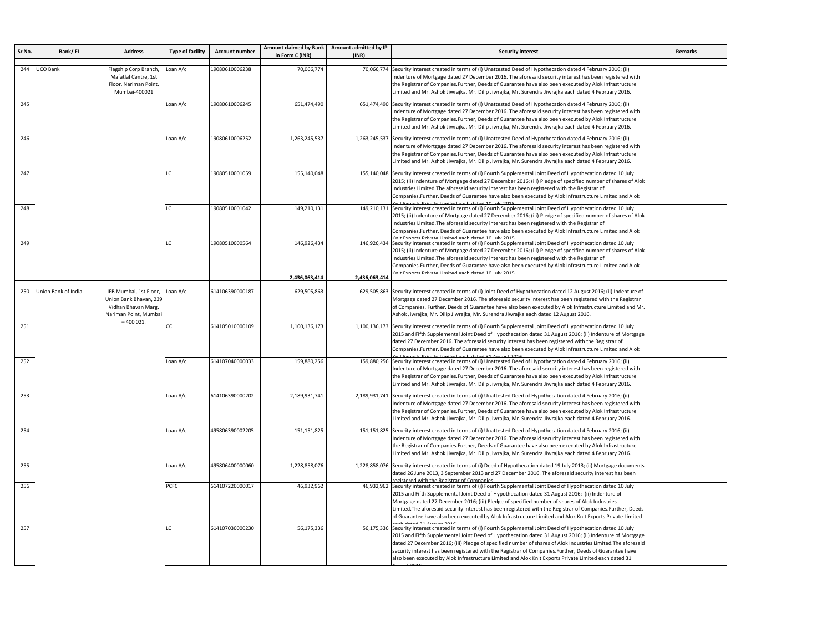| Sr No. | Bank/FI             | <b>Address</b>                                                                                                 | <b>Type of facility</b> | <b>Account number</b> | Amount claimed by Bank<br>in Form C (INR) | Amount admitted by IP<br>(INR) | <b>Security interest</b>                                                                                                                                                                                                                                                                                                                                                                                                                                                                                                                                           | <b>Remarks</b>                                                                                                                                                                                                                                                                                                                                                                                                                                                                                                                                       |                                                                                                                                                                                                                                                                                                                                                                                                                                                                                                   |  |                                                                                                                                                                                                                                                                                                                                                                                                                                                |  |
|--------|---------------------|----------------------------------------------------------------------------------------------------------------|-------------------------|-----------------------|-------------------------------------------|--------------------------------|--------------------------------------------------------------------------------------------------------------------------------------------------------------------------------------------------------------------------------------------------------------------------------------------------------------------------------------------------------------------------------------------------------------------------------------------------------------------------------------------------------------------------------------------------------------------|------------------------------------------------------------------------------------------------------------------------------------------------------------------------------------------------------------------------------------------------------------------------------------------------------------------------------------------------------------------------------------------------------------------------------------------------------------------------------------------------------------------------------------------------------|---------------------------------------------------------------------------------------------------------------------------------------------------------------------------------------------------------------------------------------------------------------------------------------------------------------------------------------------------------------------------------------------------------------------------------------------------------------------------------------------------|--|------------------------------------------------------------------------------------------------------------------------------------------------------------------------------------------------------------------------------------------------------------------------------------------------------------------------------------------------------------------------------------------------------------------------------------------------|--|
| 244    | UCO Bank            | Flagship Corp Branch,<br>Mafatlal Centre, 1st<br>Floor, Nariman Point,<br>Mumbai-400021                        | Loan A/c                | 19080610006238        | 70,066,774                                | 70,066,774                     | Security interest created in terms of (i) Unattested Deed of Hypothecation dated 4 February 2016; (ii)<br>Indenture of Mortgage dated 27 December 2016. The aforesaid security interest has been registered with<br>the Registrar of Companies.Further, Deeds of Guarantee have also been executed by Alok Infrastructure<br>Limited and Mr. Ashok Jiwrajka, Mr. Dilip Jiwrajka, Mr. Surendra Jiwrajka each dated 4 February 2016.                                                                                                                                 |                                                                                                                                                                                                                                                                                                                                                                                                                                                                                                                                                      |                                                                                                                                                                                                                                                                                                                                                                                                                                                                                                   |  |                                                                                                                                                                                                                                                                                                                                                                                                                                                |  |
| 245    |                     |                                                                                                                | Loan A/c                | 19080610006245        | 651,474,490                               |                                | 651,474,490 Security interest created in terms of (i) Unattested Deed of Hypothecation dated 4 February 2016; (ii)<br>Indenture of Mortgage dated 27 December 2016. The aforesaid security interest has been registered with<br>the Registrar of Companies.Further, Deeds of Guarantee have also been executed by Alok Infrastructure<br>Limited and Mr. Ashok Jiwrajka, Mr. Dilip Jiwrajka, Mr. Surendra Jiwrajka each dated 4 February 2016.                                                                                                                     |                                                                                                                                                                                                                                                                                                                                                                                                                                                                                                                                                      |                                                                                                                                                                                                                                                                                                                                                                                                                                                                                                   |  |                                                                                                                                                                                                                                                                                                                                                                                                                                                |  |
| 246    |                     |                                                                                                                |                         | Loan A/c              | 19080610006252                            | 1,263,245,537                  |                                                                                                                                                                                                                                                                                                                                                                                                                                                                                                                                                                    | 1,263,245,537 Security interest created in terms of (i) Unattested Deed of Hypothecation dated 4 February 2016; (ii)<br>Indenture of Mortgage dated 27 December 2016. The aforesaid security interest has been registered with<br>the Registrar of Companies.Further, Deeds of Guarantee have also been executed by Alok Infrastructure<br>Limited and Mr. Ashok Jiwrajka, Mr. Dilip Jiwrajka, Mr. Surendra Jiwrajka each dated 4 February 2016.                                                                                                     |                                                                                                                                                                                                                                                                                                                                                                                                                                                                                                   |  |                                                                                                                                                                                                                                                                                                                                                                                                                                                |  |
| 247    |                     |                                                                                                                | IC.                     | 19080510001059        | 155,140,048                               |                                | 155,140,048 Security interest created in terms of (i) Fourth Supplemental Joint Deed of Hypothecation dated 10 July<br>2015; (ii) Indenture of Mortgage dated 27 December 2016; (iii) Pledge of specified number of shares of Alok<br>Industries Limited. The aforesaid security interest has been registered with the Registrar of<br>Companies.Further, Deeds of Guarantee have also been executed by Alok Infrastructure Limited and Alok                                                                                                                       |                                                                                                                                                                                                                                                                                                                                                                                                                                                                                                                                                      |                                                                                                                                                                                                                                                                                                                                                                                                                                                                                                   |  |                                                                                                                                                                                                                                                                                                                                                                                                                                                |  |
| 248    |                     |                                                                                                                | ıс                      | 19080510001042        | 149,210,131                               |                                | 149,210,131 Security interest created in terms of (i) Fourth Supplemental Joint Deed of Hypothecation dated 10 July<br>2015; (ii) Indenture of Mortgage dated 27 December 2016; (iii) Pledge of specified number of shares of Alok<br>Industries Limited. The aforesaid security interest has been registered with the Registrar of<br>Companies.Further, Deeds of Guarantee have also been executed by Alok Infrastructure Limited and Alok<br>Private Limited each dated 10 July 2015                                                                            |                                                                                                                                                                                                                                                                                                                                                                                                                                                                                                                                                      |                                                                                                                                                                                                                                                                                                                                                                                                                                                                                                   |  |                                                                                                                                                                                                                                                                                                                                                                                                                                                |  |
| 249    |                     |                                                                                                                | LC.                     | 19080510000564        | 146,926,434                               |                                | 146,926,434 Security interest created in terms of (i) Fourth Supplemental Joint Deed of Hypothecation dated 10 July<br>2015; (ii) Indenture of Mortgage dated 27 December 2016; (iii) Pledge of specified number of shares of Alok<br>Industries Limited. The aforesaid security interest has been registered with the Registrar of<br>Companies.Further, Deeds of Guarantee have also been executed by Alok Infrastructure Limited and Alok<br>th data of 10 July 2015                                                                                            |                                                                                                                                                                                                                                                                                                                                                                                                                                                                                                                                                      |                                                                                                                                                                                                                                                                                                                                                                                                                                                                                                   |  |                                                                                                                                                                                                                                                                                                                                                                                                                                                |  |
|        |                     |                                                                                                                |                         |                       | 2,436,063,414                             | 2,436,063,414                  |                                                                                                                                                                                                                                                                                                                                                                                                                                                                                                                                                                    |                                                                                                                                                                                                                                                                                                                                                                                                                                                                                                                                                      |                                                                                                                                                                                                                                                                                                                                                                                                                                                                                                   |  |                                                                                                                                                                                                                                                                                                                                                                                                                                                |  |
| 250    | Union Bank of India | IFB Mumbai, 1st Floor,<br>Union Bank Bhavan, 239<br>Vidhan Bhavan Marg,<br>Nariman Point, Mumbai<br>$-400021.$ | Loan A/c                | 614106390000187       | 629,505,863                               | 629,505,863                    | Security interest created in terms of (i) Joint Deed of Hypothecation dated 12 August 2016; (ii) Indenture of<br>Mortgage dated 27 December 2016. The aforesaid security interest has been registered with the Registrar<br>of Companies. Further, Deeds of Guarantee have also been executed by Alok Infrastructure Limited and Mr<br>Ashok Jiwrajka, Mr. Dilip Jiwrajka, Mr. Surendra Jiwrajka each dated 12 August 2016.                                                                                                                                        |                                                                                                                                                                                                                                                                                                                                                                                                                                                                                                                                                      |                                                                                                                                                                                                                                                                                                                                                                                                                                                                                                   |  |                                                                                                                                                                                                                                                                                                                                                                                                                                                |  |
| 251    |                     |                                                                                                                |                         |                       | CC                                        | 614105010000109                | 1,100,136,173                                                                                                                                                                                                                                                                                                                                                                                                                                                                                                                                                      |                                                                                                                                                                                                                                                                                                                                                                                                                                                                                                                                                      | 1,100,136,173 Security interest created in terms of (i) Fourth Supplemental Joint Deed of Hypothecation dated 10 July<br>2015 and Fifth Supplemental Joint Deed of Hypothecation dated 31 August 2016; (ii) Indenture of Mortgage<br>dated 27 December 2016. The aforesaid security interest has been registered with the Registrar of<br>Companies.Further, Deeds of Guarantee have also been executed by Alok Infrastructure Limited and Alok<br>arts Private Limited aash dated 21 August 2016 |  |                                                                                                                                                                                                                                                                                                                                                                                                                                                |  |
| 252    |                     |                                                                                                                |                         | Loan A/c              | 614107040000033                           | 159,880,256                    |                                                                                                                                                                                                                                                                                                                                                                                                                                                                                                                                                                    | 159,880,256 Security interest created in terms of (i) Unattested Deed of Hypothecation dated 4 February 2016; (ii)<br>Indenture of Mortgage dated 27 December 2016. The aforesaid security interest has been registered with<br>the Registrar of Companies.Further, Deeds of Guarantee have also been executed by Alok Infrastructure<br>Limited and Mr. Ashok Jiwrajka, Mr. Dilip Jiwrajka, Mr. Surendra Jiwrajka each dated 4 February 2016.                                                                                                       |                                                                                                                                                                                                                                                                                                                                                                                                                                                                                                   |  |                                                                                                                                                                                                                                                                                                                                                                                                                                                |  |
| 253    |                     |                                                                                                                |                         | Loan A/c              | 614106390000202                           | 2,189,931,741                  |                                                                                                                                                                                                                                                                                                                                                                                                                                                                                                                                                                    | 2,189,931,741 Security interest created in terms of (i) Unattested Deed of Hypothecation dated 4 February 2016; (ii)<br>Indenture of Mortgage dated 27 December 2016. The aforesaid security interest has been registered with<br>the Registrar of Companies.Further, Deeds of Guarantee have also been executed by Alok Infrastructure<br>Limited and Mr. Ashok Jiwrajka, Mr. Dilip Jiwrajka, Mr. Surendra Jiwrajka each dated 4 February 2016.                                                                                                     |                                                                                                                                                                                                                                                                                                                                                                                                                                                                                                   |  |                                                                                                                                                                                                                                                                                                                                                                                                                                                |  |
| 254    |                     |                                                                                                                |                         |                       |                                           |                                | Loan A/c                                                                                                                                                                                                                                                                                                                                                                                                                                                                                                                                                           | 495806390002205                                                                                                                                                                                                                                                                                                                                                                                                                                                                                                                                      | 151,151,825                                                                                                                                                                                                                                                                                                                                                                                                                                                                                       |  | 151,151,825 Security interest created in terms of (i) Unattested Deed of Hypothecation dated 4 February 2016; (ii)<br>Indenture of Mortgage dated 27 December 2016. The aforesaid security interest has been registered with<br>the Registrar of Companies.Further, Deeds of Guarantee have also been executed by Alok Infrastructure<br>Limited and Mr. Ashok Jiwrajka, Mr. Dilip Jiwrajka, Mr. Surendra Jiwrajka each dated 4 February 2016. |  |
| 255    |                     |                                                                                                                |                         |                       | Loan A/c                                  | 495806400000060                | 1,228,858,076                                                                                                                                                                                                                                                                                                                                                                                                                                                                                                                                                      |                                                                                                                                                                                                                                                                                                                                                                                                                                                                                                                                                      | 1,228,858,076 Security interest created in terms of (i) Deed of Hypothecation dated 19 July 2013; (ii) Mortgage documents<br>dated 26 June 2013, 3 September 2013 and 27 December 2016. The aforesaid security interest has been<br>egistered with the Registrar of Companies                                                                                                                                                                                                                     |  |                                                                                                                                                                                                                                                                                                                                                                                                                                                |  |
| 256    |                     |                                                                                                                |                         | PCFC                  | 614107220000017                           | 46,932,962                     |                                                                                                                                                                                                                                                                                                                                                                                                                                                                                                                                                                    | 46,932,962 Security interest created in terms of (i) Fourth Supplemental Joint Deed of Hypothecation dated 10 July<br>2015 and Fifth Supplemental Joint Deed of Hypothecation dated 31 August 2016; (ii) Indenture of<br>Mortgage dated 27 December 2016; (iii) Pledge of specified number of shares of Alok Industries<br>Limited. The aforesaid security interest has been registered with the Registrar of Companies. Further, Deeds<br>of Guarantee have also been executed by Alok Infrastructure Limited and Alok Knit Exports Private Limited |                                                                                                                                                                                                                                                                                                                                                                                                                                                                                                   |  |                                                                                                                                                                                                                                                                                                                                                                                                                                                |  |
| 257    |                     |                                                                                                                | IC.                     | 614107030000230       | 56,175,336                                |                                | 56,175,336 Security interest created in terms of (i) Fourth Supplemental Joint Deed of Hypothecation dated 10 July<br>2015 and Fifth Supplemental Joint Deed of Hypothecation dated 31 August 2016; (ii) Indenture of Mortgage<br>dated 27 December 2016; (iii) Pledge of specified number of shares of Alok Industries Limited. The aforesaid<br>security interest has been registered with the Registrar of Companies. Further, Deeds of Guarantee have<br>also been executed by Alok Infrastructure Limited and Alok Knit Exports Private Limited each dated 31 |                                                                                                                                                                                                                                                                                                                                                                                                                                                                                                                                                      |                                                                                                                                                                                                                                                                                                                                                                                                                                                                                                   |  |                                                                                                                                                                                                                                                                                                                                                                                                                                                |  |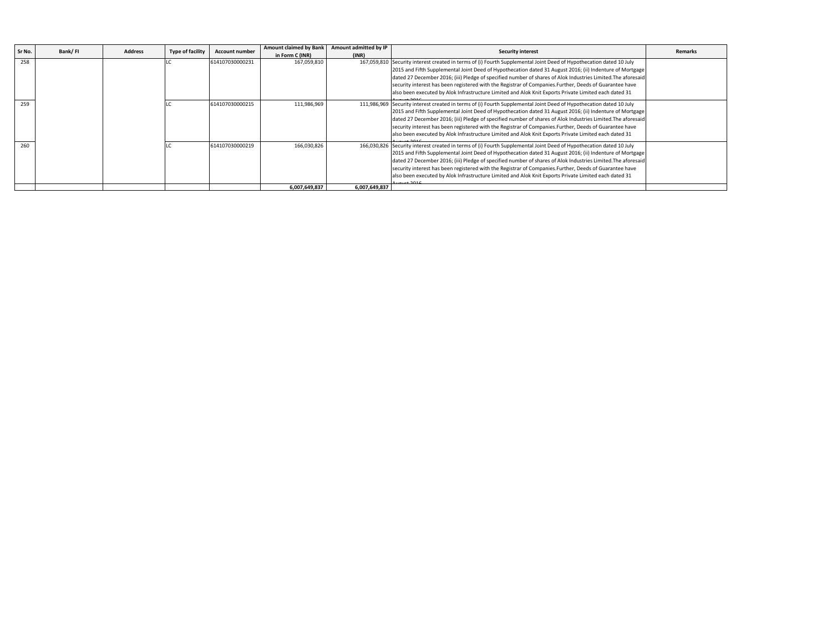| Sr No. |  | Bank/FI<br><b>Type of facility</b><br><b>Address</b> | <b>Account number</b> | <b>Amount claimed by Bank</b> | Amount admitted by IP | <b>Security interest</b>                                                                                            | <b>Remarks</b> |
|--------|--|------------------------------------------------------|-----------------------|-------------------------------|-----------------------|---------------------------------------------------------------------------------------------------------------------|----------------|
|        |  |                                                      |                       | in Form C (INR)               | (INR)                 |                                                                                                                     |                |
| 258    |  |                                                      | 614107030000231       | 167,059,810                   |                       | 167,059,810 Security interest created in terms of (i) Fourth Supplemental Joint Deed of Hypothecation dated 10 July |                |
|        |  |                                                      |                       |                               |                       | 2015 and Fifth Supplemental Joint Deed of Hypothecation dated 31 August 2016; (ii) Indenture of Mortgage            |                |
|        |  |                                                      |                       |                               |                       | dated 27 December 2016; (iii) Pledge of specified number of shares of Alok Industries Limited. The aforesaid        |                |
|        |  |                                                      |                       |                               |                       | security interest has been registered with the Registrar of Companies. Further, Deeds of Guarantee have             |                |
|        |  |                                                      |                       |                               |                       | also been executed by Alok Infrastructure Limited and Alok Knit Exports Private Limited each dated 31               |                |
| 259    |  |                                                      | 614107030000215       | 111,986,969                   |                       | 111,986,969 Security interest created in terms of (i) Fourth Supplemental Joint Deed of Hypothecation dated 10 July |                |
|        |  |                                                      |                       |                               |                       | 2015 and Fifth Supplemental Joint Deed of Hypothecation dated 31 August 2016; (ii) Indenture of Mortgage            |                |
|        |  |                                                      |                       |                               |                       | dated 27 December 2016; (iii) Pledge of specified number of shares of Alok Industries Limited. The aforesaid        |                |
|        |  |                                                      |                       |                               |                       | security interest has been registered with the Registrar of Companies. Further, Deeds of Guarantee have             |                |
|        |  |                                                      |                       |                               |                       | also been executed by Alok Infrastructure Limited and Alok Knit Exports Private Limited each dated 31               |                |
| 260    |  |                                                      | 614107030000219       | 166,030,826                   |                       | 166,030,826 Security interest created in terms of (i) Fourth Supplemental Joint Deed of Hypothecation dated 10 July |                |
|        |  |                                                      |                       |                               |                       | 2015 and Fifth Supplemental Joint Deed of Hypothecation dated 31 August 2016; (ii) Indenture of Mortgage            |                |
|        |  |                                                      |                       |                               |                       | dated 27 December 2016; (iii) Pledge of specified number of shares of Alok Industries Limited. The aforesaid        |                |
|        |  |                                                      |                       |                               |                       | security interest has been registered with the Registrar of Companies. Further, Deeds of Guarantee have             |                |
|        |  |                                                      |                       |                               |                       | also been executed by Alok Infrastructure Limited and Alok Knit Exports Private Limited each dated 31               |                |
|        |  |                                                      |                       | 6,007,649,837                 | 6,007,649,837         |                                                                                                                     |                |